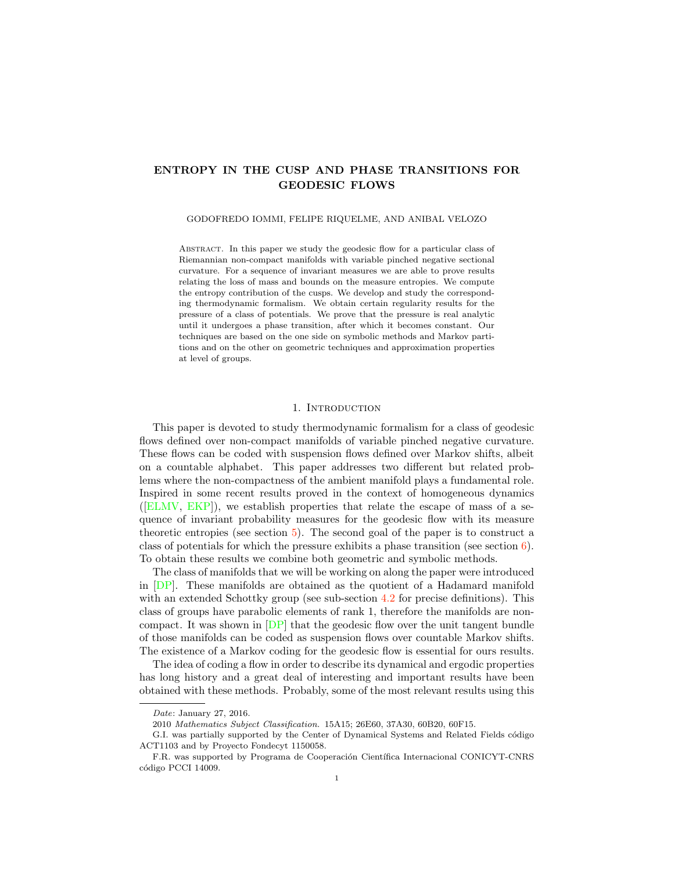# ENTROPY IN THE CUSP AND PHASE TRANSITIONS FOR GEODESIC FLOWS

#### GODOFREDO IOMMI, FELIPE RIQUELME, AND ANIBAL VELOZO

Abstract. In this paper we study the geodesic flow for a particular class of Riemannian non-compact manifolds with variable pinched negative sectional curvature. For a sequence of invariant measures we are able to prove results relating the loss of mass and bounds on the measure entropies. We compute the entropy contribution of the cusps. We develop and study the corresponding thermodynamic formalism. We obtain certain regularity results for the pressure of a class of potentials. We prove that the pressure is real analytic until it undergoes a phase transition, after which it becomes constant. Our techniques are based on the one side on symbolic methods and Markov partitions and on the other on geometric techniques and approximation properties at level of groups.

## 1. INTRODUCTION

This paper is devoted to study thermodynamic formalism for a class of geodesic flows defined over non-compact manifolds of variable pinched negative curvature. These flows can be coded with suspension flows defined over Markov shifts, albeit on a countable alphabet. This paper addresses two different but related problems where the non-compactness of the ambient manifold plays a fundamental role. Inspired in some recent results proved in the context of homogeneous dynamics ([ELMV, EKP]), we establish properties that relate the escape of mass of a sequence of invariant probability measures for the geodesic flow with its measure theoretic entropies (see section 5). The second goal of the paper is to construct a class of potentials for which the pressure exhibits a phase transition (see section  $6$ ). To obtain these results we combine both geometric and symbolic methods.

The class of manifolds that we will be working on along the paper were introduced in [DP]. These manifolds are obtained as the quotient of a Hadamard manifold with an extended Schottky group (see sub-section 4.2 for precise definitions). This class of groups have parabolic elements of rank 1, therefore the manifolds are noncompact. It was shown in  $[DP]$  that the geodesic flow over the unit tangent bundle of those manifolds can be coded as suspension flows over countable Markov shifts. The existence of a Markov coding for the geodesic flow is essential for ours results.

The idea of coding a flow in order to describe its dynamical and ergodic properties has long history and a great deal of interesting and important results have been obtained with these methods. Probably, some of the most relevant results using this

Date: January 27, 2016.

<sup>2010</sup> Mathematics Subject Classification. 15A15; 26E60, 37A30, 60B20, 60F15.

G.I. was partially supported by the Center of Dynamical Systems and Related Fields código ACT1103 and by Proyecto Fondecyt 1150058.

F.R. was supported by Programa de Cooperación Científica Internacional CONICYT-CNRS código PCCI 14009.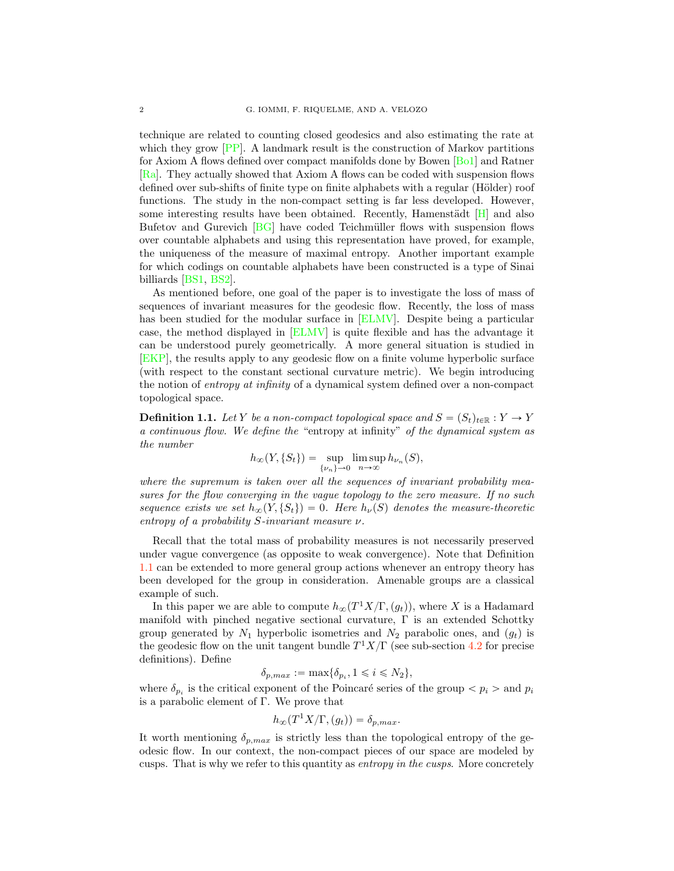technique are related to counting closed geodesics and also estimating the rate at which they grow  $[PP]$ . A landmark result is the construction of Markov partitions for Axiom A flows defined over compact manifolds done by Bowen [Bo1] and Ratner [Ra]. They actually showed that Axiom A flows can be coded with suspension flows defined over sub-shifts of finite type on finite alphabets with a regular (Hölder) roof functions. The study in the non-compact setting is far less developed. However, some interesting results have been obtained. Recently, Hamenstädt  $[H]$  and also Bufetov and Gurevich [BG] have coded Teichmüller flows with suspension flows over countable alphabets and using this representation have proved, for example, the uniqueness of the measure of maximal entropy. Another important example for which codings on countable alphabets have been constructed is a type of Sinai billiards [BS1, BS2].

As mentioned before, one goal of the paper is to investigate the loss of mass of sequences of invariant measures for the geodesic flow. Recently, the loss of mass has been studied for the modular surface in [ELMV]. Despite being a particular case, the method displayed in [ELMV] is quite flexible and has the advantage it can be understood purely geometrically. A more general situation is studied in [EKP], the results apply to any geodesic flow on a finite volume hyperbolic surface (with respect to the constant sectional curvature metric). We begin introducing the notion of entropy at infinity of a dynamical system defined over a non-compact topological space.

**Definition 1.1.** Let Y be a non-compact topological space and  $S = (S_t)_{t \in \mathbb{R}} : Y \to Y$ a continuous flow. We define the "entropy at infinity" of the dynamical system as the number

$$
h_{\infty}(Y, \{S_t\}) = \sup_{\{\nu_n\}\to 0} \limsup_{n\to\infty} h_{\nu_n}(S),
$$

where the supremum is taken over all the sequences of invariant probability measures for the flow converging in the vague topology to the zero measure. If no such sequence exists we set  $h_{\infty}(Y, \{S_t\}) = 0$ . Here  $h_{\nu}(S)$  denotes the measure-theoretic entropy of a probability  $S$ -invariant measure  $\nu$ .

Recall that the total mass of probability measures is not necessarily preserved under vague convergence (as opposite to weak convergence). Note that Definition 1.1 can be extended to more general group actions whenever an entropy theory has been developed for the group in consideration. Amenable groups are a classical example of such.

In this paper we are able to compute  $h_{\infty}(T^1X/\Gamma, (g_t)),$  where X is a Hadamard manifold with pinched negative sectional curvature,  $\Gamma$  is an extended Schottky group generated by  $N_1$  hyperbolic isometries and  $N_2$  parabolic ones, and  $(g_t)$  is the geodesic flow on the unit tangent bundle  $T^1X/\Gamma$  (see sub-section 4.2 for precise definitions). Define

$$
\delta_{p,max} := \max\{\delta_{p_i}, 1 \leq i \leq N_2\},\
$$

where  $\delta_{p_i}$  is the critical exponent of the Poincaré series of the group  $\langle p_i \rangle$  and  $p_i$ is a parabolic element of Γ. We prove that

$$
h_{\infty}(T^1X/\Gamma,(g_t)) = \delta_{p,max}.
$$

It worth mentioning  $\delta_{p,max}$  is strictly less than the topological entropy of the geodesic flow. In our context, the non-compact pieces of our space are modeled by cusps. That is why we refer to this quantity as entropy in the cusps. More concretely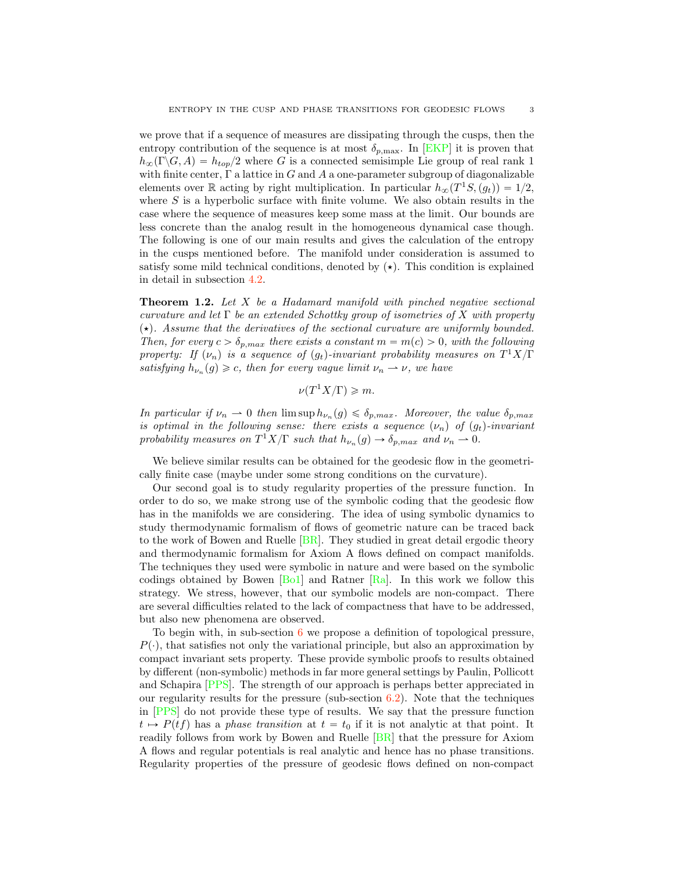we prove that if a sequence of measures are dissipating through the cusps, then the entropy contribution of the sequence is at most  $\delta_{p,\text{max}}$ . In [EKP] it is proven that  $h_{\infty}(\Gamma \backslash G, A) = h_{top}/2$  where G is a connected semisimple Lie group of real rank 1 with finite center,  $\Gamma$  a lattice in G and A a one-parameter subgroup of diagonalizable elements over R acting by right multiplication. In particular  $h_{\infty}(T^1S, (g_t)) = 1/2$ , where  $S$  is a hyperbolic surface with finite volume. We also obtain results in the case where the sequence of measures keep some mass at the limit. Our bounds are less concrete than the analog result in the homogeneous dynamical case though. The following is one of our main results and gives the calculation of the entropy in the cusps mentioned before. The manifold under consideration is assumed to satisfy some mild technical conditions, denoted by  $(\star)$ . This condition is explained in detail in subsection 4.2.

Theorem 1.2. Let X be a Hadamard manifold with pinched negative sectional curvature and let  $\Gamma$  be an extended Schottky group of isometries of X with property  $(\star)$ . Assume that the derivatives of the sectional curvature are uniformly bounded. Then, for every  $c > \delta_{p,max}$  there exists a constant  $m = m(c) > 0$ , with the following property: If  $(\nu_n)$  is a sequence of  $(g_t)$ -invariant probability measures on  $T^1X/\Gamma$ satisfying  $h_{\nu_n}(g) \geq c$ , then for every vague limit  $\nu_n \to \nu$ , we have

$$
\nu(T^1X/\Gamma) \geqslant m.
$$

In particular if  $\nu_n \to 0$  then  $\limsup h_{\nu_n}(g) \leq \delta_{p,max}$ . Moreover, the value  $\delta_{p,max}$ is optimal in the following sense: there exists a sequence  $(\nu_n)$  of  $(g_t)$ -invariant probability measures on  $T^1X/\Gamma$  such that  $h_{\nu_n}(g) \to \delta_{p,max}$  and  $\nu_n \to 0$ .

We believe similar results can be obtained for the geodesic flow in the geometrically finite case (maybe under some strong conditions on the curvature).

Our second goal is to study regularity properties of the pressure function. In order to do so, we make strong use of the symbolic coding that the geodesic flow has in the manifolds we are considering. The idea of using symbolic dynamics to study thermodynamic formalism of flows of geometric nature can be traced back to the work of Bowen and Ruelle [BR]. They studied in great detail ergodic theory and thermodynamic formalism for Axiom A flows defined on compact manifolds. The techniques they used were symbolic in nature and were based on the symbolic codings obtained by Bowen  $[B_01]$  and Ratner  $[R_0]$ . In this work we follow this strategy. We stress, however, that our symbolic models are non-compact. There are several difficulties related to the lack of compactness that have to be addressed, but also new phenomena are observed.

To begin with, in sub-section 6 we propose a definition of topological pressure,  $P(\cdot)$ , that satisfies not only the variational principle, but also an approximation by compact invariant sets property. These provide symbolic proofs to results obtained by different (non-symbolic) methods in far more general settings by Paulin, Pollicott and Schapira [PPS]. The strength of our approach is perhaps better appreciated in our regularity results for the pressure (sub-section 6.2). Note that the techniques in [PPS] do not provide these type of results. We say that the pressure function  $t \mapsto P(tf)$  has a phase transition at  $t = t_0$  if it is not analytic at that point. It readily follows from work by Bowen and Ruelle [BR] that the pressure for Axiom A flows and regular potentials is real analytic and hence has no phase transitions. Regularity properties of the pressure of geodesic flows defined on non-compact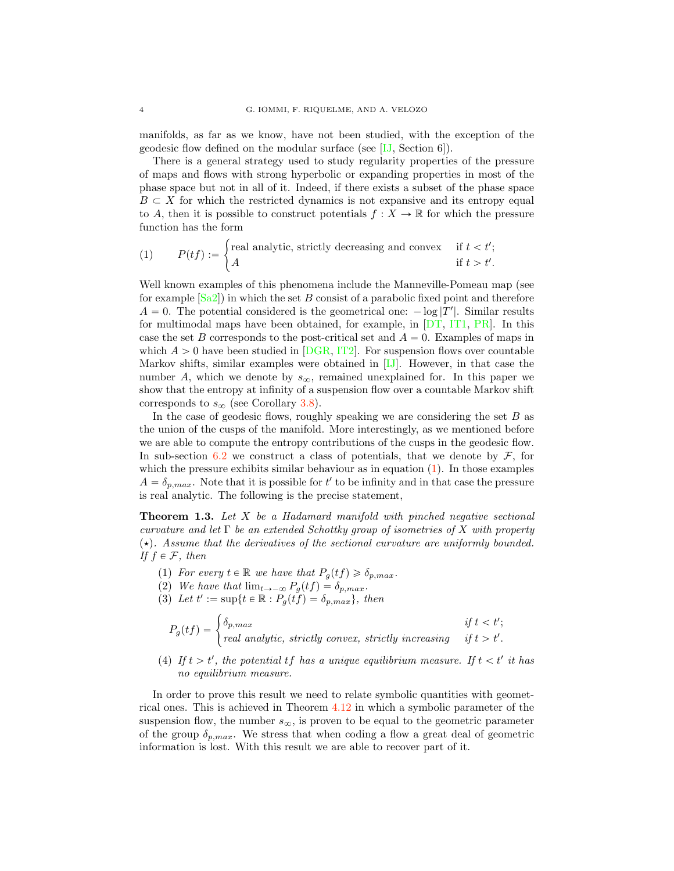manifolds, as far as we know, have not been studied, with the exception of the geodesic flow defined on the modular surface (see [IJ, Section 6]).

There is a general strategy used to study regularity properties of the pressure of maps and flows with strong hyperbolic or expanding properties in most of the phase space but not in all of it. Indeed, if there exists a subset of the phase space  $B \subset X$  for which the restricted dynamics is not expansive and its entropy equal to A, then it is possible to construct potentials  $f: X \to \mathbb{R}$  for which the pressure function has the form

(1) 
$$
P(tf) := \begin{cases} \text{real analytic, strictly decreasing and convex} & \text{if } t < t';\\ A & \text{if } t > t'. \end{cases}
$$

Well known examples of this phenomena include the Manneville-Pomeau map (see for example  $|Sa2|$  in which the set B consist of a parabolic fixed point and therefore  $A = 0$ . The potential considered is the geometrical one:  $-\log |T'|$ . Similar results for multimodal maps have been obtained, for example, in [DT, IT1, PR]. In this case the set B corresponds to the post-critical set and  $A = 0$ . Examples of maps in which  $A > 0$  have been studied in [DGR, IT2]. For suspension flows over countable Markov shifts, similar examples were obtained in [IJ]. However, in that case the number A, which we denote by  $s_{\infty}$ , remained unexplained for. In this paper we show that the entropy at infinity of a suspension flow over a countable Markov shift corresponds to  $s_{\infty}$  (see Corollary 3.8).

In the case of geodesic flows, roughly speaking we are considering the set  $B$  as the union of the cusps of the manifold. More interestingly, as we mentioned before we are able to compute the entropy contributions of the cusps in the geodesic flow. In sub-section 6.2 we construct a class of potentials, that we denote by  $\mathcal{F}$ , for which the pressure exhibits similar behaviour as in equation  $(1)$ . In those examples  $A = \delta_{p,max}$ . Note that it is possible for t' to be infinity and in that case the pressure is real analytic. The following is the precise statement,

**Theorem 1.3.** Let X be a Hadamard manifold with pinched negative sectional curvature and let  $\Gamma$  be an extended Schottky group of isometries of X with property  $(\star)$ . Assume that the derivatives of the sectional curvature are uniformly bounded. If  $f \in \mathcal{F}$ , then

- (1) For every  $t \in \mathbb{R}$  we have that  $P_q(tf) \geq \delta_{p,max}$ .
- (2) We have that  $\lim_{t\to-\infty} P_g(t f) = \delta_{p,max}.$
- (3) Let  $t' := \sup\{t \in \mathbb{R} : P_g(tf) = \delta_{p,max}\},\ then$

$$
P_g(tf) = \begin{cases} \delta_{p,max} & if \ t < t'; \\ real \ analytic, \ strictly \ convex, \ strictly \ increasing \ if \ t > t'. \end{cases}
$$

(4) If  $t > t'$ , the potential  $tf$  has a unique equilibrium measure. If  $t < t'$  it has no equilibrium measure.

In order to prove this result we need to relate symbolic quantities with geometrical ones. This is achieved in Theorem 4.12 in which a symbolic parameter of the suspension flow, the number  $s_{\infty}$ , is proven to be equal to the geometric parameter of the group  $\delta_{p,max}$ . We stress that when coding a flow a great deal of geometric information is lost. With this result we are able to recover part of it.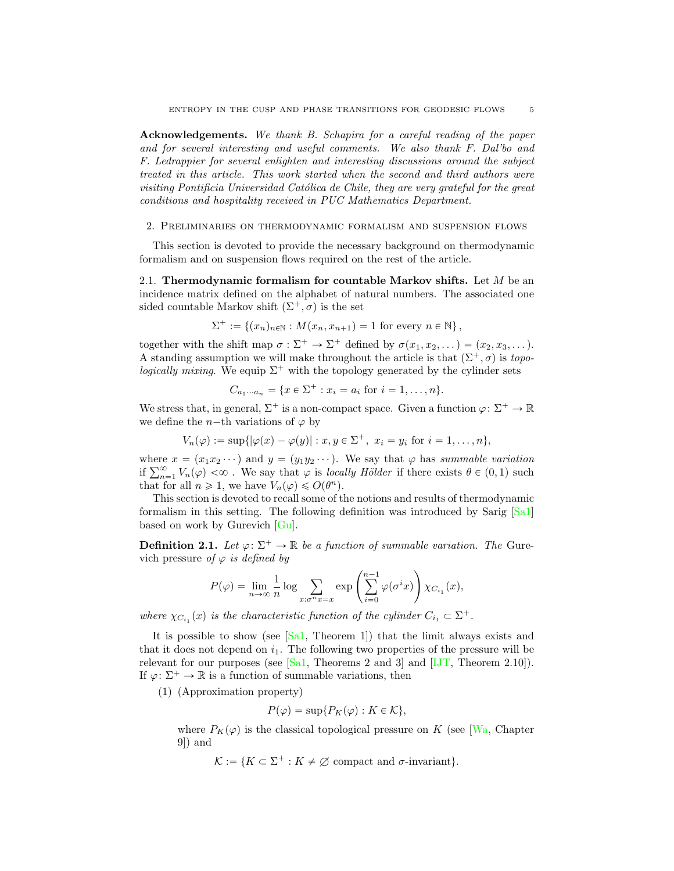Acknowledgements. We thank B. Schapira for a careful reading of the paper and for several interesting and useful comments. We also thank F. Dal'bo and F. Ledrappier for several enlighten and interesting discussions around the subject treated in this article. This work started when the second and third authors were visiting Pontificia Universidad Católica de Chile, they are very grateful for the great conditions and hospitality received in PUC Mathematics Department.

#### 2. Preliminaries on thermodynamic formalism and suspension flows

This section is devoted to provide the necessary background on thermodynamic formalism and on suspension flows required on the rest of the article.

2.1. Thermodynamic formalism for countable Markov shifts. Let  $M$  be an incidence matrix defined on the alphabet of natural numbers. The associated one sided countable Markov shift  $(\Sigma^+, \sigma)$  is the set

$$
\Sigma^+ := \{(x_n)_{n \in \mathbb{N}} : M(x_n, x_{n+1}) = 1 \text{ for every } n \in \mathbb{N}\},\
$$

together with the shift map  $\sigma : \Sigma^+ \to \Sigma^+$  defined by  $\sigma(x_1, x_2, \dots) = (x_2, x_3, \dots)$ . A standing assumption we will make throughout the article is that  $(\Sigma^+, \sigma)$  is topo*logically mixing*. We equip  $\Sigma^+$  with the topology generated by the cylinder sets

$$
C_{a_1 \cdots a_n} = \{ x \in \Sigma^+ : x_i = a_i \text{ for } i = 1, \ldots, n \}.
$$

We stress that, in general,  $\Sigma^+$  is a non-compact space. Given a function  $\varphi: \Sigma^+ \to \mathbb{R}$ we define the n-th variations of  $\varphi$  by

$$
V_n(\varphi) := \sup\{|\varphi(x) - \varphi(y)| : x, y \in \Sigma^+, \ x_i = y_i \text{ for } i = 1, ..., n\},\
$$

where  $x = (x_1x_2 \cdots)$  and  $y = (y_1y_2 \cdots)$ . We say that  $\varphi$  has summable variation if  $\sum_{n=1}^{\infty} V_n(\varphi) < \infty$ . We say that  $\varphi$  is *locally Hölder* if there exists  $\theta \in (0, 1)$  such that for all  $n \geq 1$ , we have  $V_n(\varphi) \leq O(\theta^n)$ .

This section is devoted to recall some of the notions and results of thermodynamic formalism in this setting. The following definition was introduced by Sarig [Sa1] based on work by Gurevich [Gu].

**Definition 2.1.** Let  $\varphi: \Sigma^+ \to \mathbb{R}$  be a function of summable variation. The Gurevich pressure of  $\varphi$  is defined by

$$
P(\varphi) = \lim_{n \to \infty} \frac{1}{n} \log \sum_{x: \sigma^n x = x} \exp \left( \sum_{i=0}^{n-1} \varphi(\sigma^i x) \right) \chi_{C_{i_1}}(x),
$$

where  $\chi_{C_{i_1}}(x)$  is the characteristic function of the cylinder  $C_{i_1} \subset \Sigma^+$ .

It is possible to show (see  $[Sa1, Theorem 1]$ ) that the limit always exists and that it does not depend on  $i_1$ . The following two properties of the pressure will be relevant for our purposes (see  $[Sal, Theorems 2 and 3]$  and  $[IJT, Theorem 2.10]$ ). If  $\varphi: \Sigma^+ \to \mathbb{R}$  is a function of summable variations, then

(1) (Approximation property)

$$
P(\varphi) = \sup \{ P_K(\varphi) : K \in \mathcal{K} \},
$$

where  $P_K(\varphi)$  is the classical topological pressure on K (see [Wa, Chapter 9]) and

$$
\mathcal{K} := \{ K \subset \Sigma^+ : K \neq \emptyset \text{ compact and } \sigma\text{-invariant} \}.
$$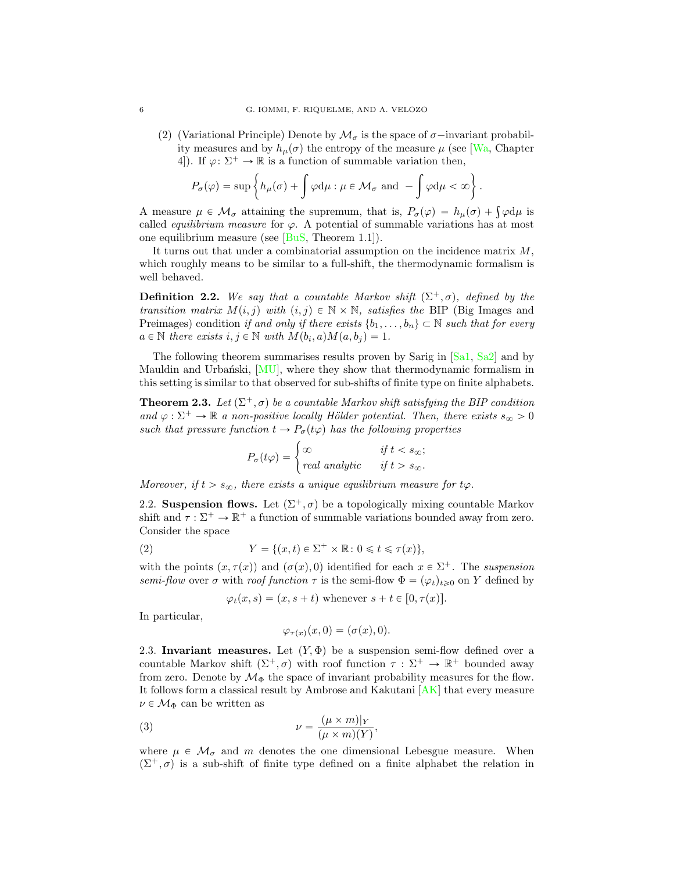(2) (Variational Principle) Denote by  $\mathcal{M}_{\sigma}$  is the space of  $\sigma$ -invariant probability measures and by  $h_{\mu}(\sigma)$  the entropy of the measure  $\mu$  (see [Wa, Chapter 4]). If  $\varphi: \Sigma^+ \to \mathbb{R}$  is a function of summable variation then,

$$
P_{\sigma}(\varphi)=\sup\left\{h_{\mu}(\sigma)+\int\varphi\mathrm{d}\mu:\mu\in\mathcal{M}_{\sigma}\text{ and }-\int\varphi\mathrm{d}\mu<\infty\right\}.
$$

A measure  $\mu \in \mathcal{M}_{\sigma}$  attaining the supremum, that is,  $P_{\sigma}(\varphi) = h_{\mu}(\sigma) + \int \varphi d\mu$  is called *equilibrium measure* for  $\varphi$ . A potential of summable variations has at most one equilibrium measure (see  $[BuS, Theorem 1.1]$ ).

It turns out that under a combinatorial assumption on the incidence matrix M, which roughly means to be similar to a full-shift, the thermodynamic formalism is well behaved.

**Definition 2.2.** We say that a countable Markov shift  $(\Sigma^+, \sigma)$ , defined by the transition matrix  $M(i, j)$  with  $(i, j) \in \mathbb{N} \times \mathbb{N}$ , satisfies the BIP (Big Images and Preimages) condition if and only if there exists  $\{b_1, \ldots, b_n\} \subset \mathbb{N}$  such that for every  $a \in \mathbb{N}$  there exists  $i, j \in \mathbb{N}$  with  $M(b_i, a)M(a, b_j) = 1$ .

The following theorem summarises results proven by Sarig in [Sa1, Sa2] and by Mauldin and Urbański,  $[MU]$ , where they show that thermodynamic formalism in this setting is similar to that observed for sub-shifts of finite type on finite alphabets.

**Theorem 2.3.** Let  $(\Sigma^+, \sigma)$  be a countable Markov shift satisfying the BIP condition and  $\varphi : \Sigma^+ \to \mathbb{R}$  a non-positive locally Hölder potential. Then, there exists  $s_{\infty} > 0$ such that pressure function  $t \to P_{\sigma}(t\varphi)$  has the following properties

$$
P_{\sigma}(t\varphi) = \begin{cases} \infty & \text{if } t < s_{\infty}; \\ real analytic & \text{if } t > s_{\infty}. \end{cases}
$$

Moreover, if  $t > s_{\infty}$ , there exists a unique equilibrium measure for  $t\varphi$ .

2.2. Suspension flows. Let  $(\Sigma^+, \sigma)$  be a topologically mixing countable Markov shift and  $\tau : \Sigma^+ \to \mathbb{R}^+$  a function of summable variations bounded away from zero. Consider the space

(2) 
$$
Y = \{(x, t) \in \Sigma^+ \times \mathbb{R} : 0 \leq t \leq \tau(x)\},
$$

with the points  $(x, \tau(x))$  and  $(\sigma(x), 0)$  identified for each  $x \in \Sigma^+$ . The suspension semi-flow over  $\sigma$  with roof function  $\tau$  is the semi-flow  $\Phi = (\varphi_t)_{t\geq0}$  on Y defined by

$$
\varphi_t(x, s) = (x, s + t)
$$
 whenever  $s + t \in [0, \tau(x)]$ .

In particular,

$$
\varphi_{\tau(x)}(x,0)=(\sigma(x),0).
$$

2.3. Invariant measures. Let  $(Y, \Phi)$  be a suspension semi-flow defined over a countable Markov shift  $(\Sigma^+, \sigma)$  with roof function  $\tau : \Sigma^+ \to \mathbb{R}^+$  bounded away from zero. Denote by  $\mathcal{M}_{\Phi}$  the space of invariant probability measures for the flow. It follows form a classical result by Ambrose and Kakutani [AK] that every measure  $\nu \in \mathcal{M}_{\Phi}$  can be written as

(3) 
$$
\nu = \frac{(\mu \times m)|_Y}{(\mu \times m)(Y)},
$$

where  $\mu \in \mathcal{M}_{\sigma}$  and m denotes the one dimensional Lebesgue measure. When  $(\Sigma^+, \sigma)$  is a sub-shift of finite type defined on a finite alphabet the relation in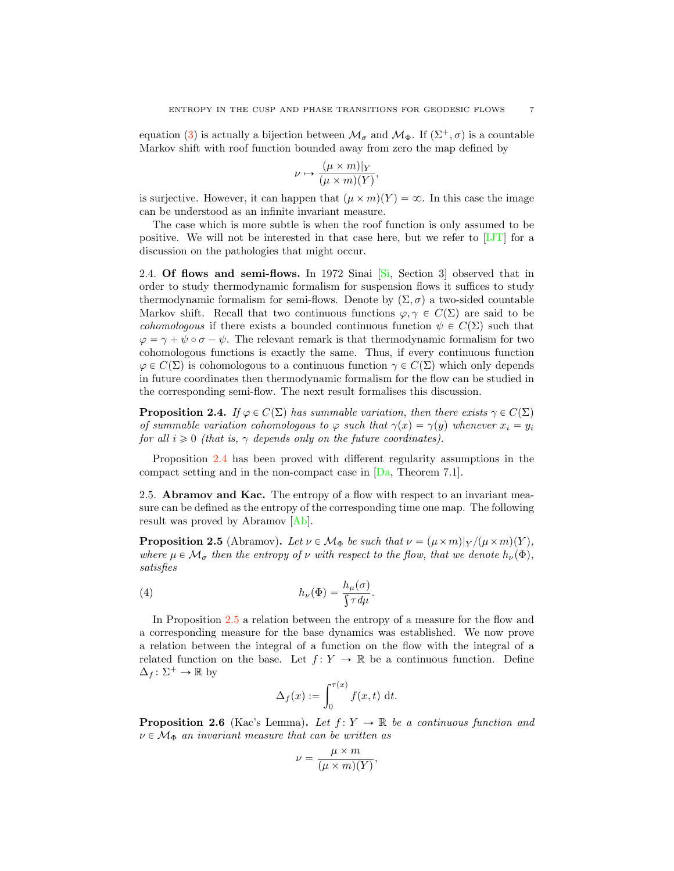equation (3) is actually a bijection between  $\mathcal{M}_{\sigma}$  and  $\mathcal{M}_{\Phi}$ . If  $(\Sigma^{+}, \sigma)$  is a countable Markov shift with roof function bounded away from zero the map defined by

$$
\nu \mapsto \frac{(\mu \times m)|_Y}{(\mu \times m)(Y)},
$$

is surjective. However, it can happen that  $(\mu \times m)(Y) = \infty$ . In this case the image can be understood as an infinite invariant measure.

The case which is more subtle is when the roof function is only assumed to be positive. We will not be interested in that case here, but we refer to [IJT] for a discussion on the pathologies that might occur.

2.4. Of flows and semi-flows. In 1972 Sinai  $[S_i]$ , Section 3 observed that in order to study thermodynamic formalism for suspension flows it suffices to study thermodynamic formalism for semi-flows. Denote by  $(\Sigma, \sigma)$  a two-sided countable Markov shift. Recall that two continuous functions  $\varphi, \gamma \in C(\Sigma)$  are said to be *cohomologous* if there exists a bounded continuous function  $\psi \in C(\Sigma)$  such that  $\varphi = \gamma + \psi \circ \sigma - \psi$ . The relevant remark is that thermodynamic formalism for two cohomologous functions is exactly the same. Thus, if every continuous function  $\varphi \in C(\Sigma)$  is cohomologous to a continuous function  $\gamma \in C(\Sigma)$  which only depends in future coordinates then thermodynamic formalism for the flow can be studied in the corresponding semi-flow. The next result formalises this discussion.

**Proposition 2.4.** If  $\varphi \in C(\Sigma)$  has summable variation, then there exists  $\gamma \in C(\Sigma)$ of summable variation cohomologous to  $\varphi$  such that  $\gamma(x) = \gamma(y)$  whenever  $x_i = y_i$ for all  $i \geq 0$  (that is,  $\gamma$  depends only on the future coordinates).

Proposition 2.4 has been proved with different regularity assumptions in the compact setting and in the non-compact case in [Da, Theorem 7.1].

2.5. Abramov and Kac. The entropy of a flow with respect to an invariant measure can be defined as the entropy of the corresponding time one map. The following result was proved by Abramov [Ab].

**Proposition 2.5** (Abramov). Let  $\nu \in M_{\Phi}$  be such that  $\nu = (\mu \times m)|\gamma/(\mu \times m)(Y)$ , where  $\mu \in \mathcal{M}_{\sigma}$  then the entropy of v with respect to the flow, that we denote  $h_{\nu}(\Phi)$ , satisfies

(4) 
$$
h_{\nu}(\Phi) = \frac{h_{\mu}(\sigma)}{\int \tau d\mu}.
$$

In Proposition 2.5 a relation between the entropy of a measure for the flow and a corresponding measure for the base dynamics was established. We now prove a relation between the integral of a function on the flow with the integral of a related function on the base. Let  $f: Y \to \mathbb{R}$  be a continuous function. Define  $\Delta_f : \Sigma^+ \to \mathbb{R}$  by

$$
\Delta_f(x) := \int_0^{\tau(x)} f(x, t) \, \mathrm{d}t.
$$

**Proposition 2.6** (Kac's Lemma). Let  $f: Y \to \mathbb{R}$  be a continuous function and  $\nu \in \mathcal{M}_{\Phi}$  an invariant measure that can be written as

$$
\nu = \frac{\mu \times m}{(\mu \times m)(Y)},
$$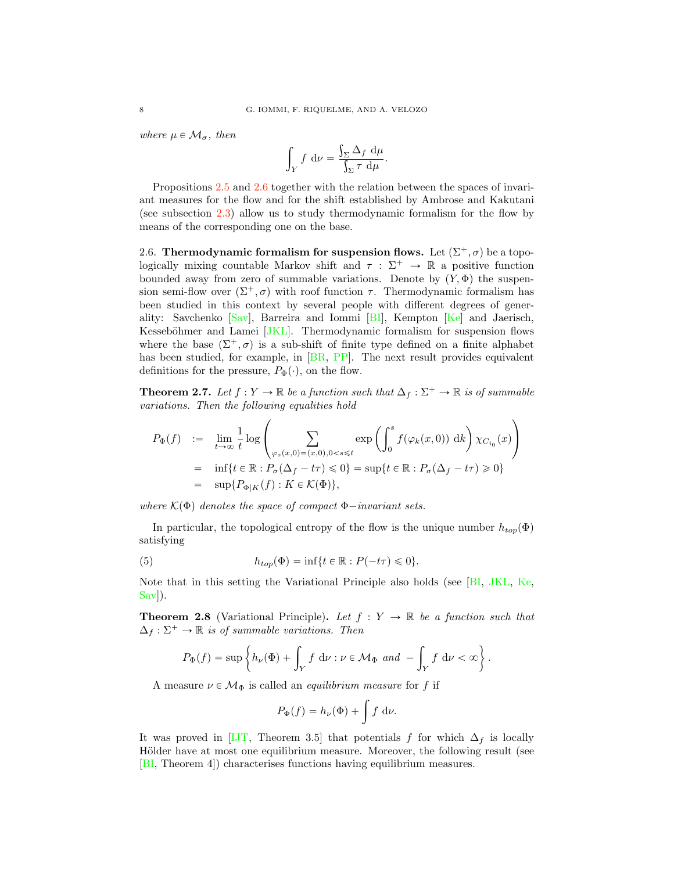where  $\mu \in \mathcal{M}_{\sigma}$ , then

$$
\int_Y f \, \mathrm{d}\nu = \frac{\int_{\Sigma} \Delta_f \, \mathrm{d}\mu}{\int_{\Sigma} \tau \, \mathrm{d}\mu}.
$$

Propositions 2.5 and 2.6 together with the relation between the spaces of invariant measures for the flow and for the shift established by Ambrose and Kakutani (see subsection 2.3) allow us to study thermodynamic formalism for the flow by means of the corresponding one on the base.

2.6. Thermodynamic formalism for suspension flows. Let  $(\Sigma^+, \sigma)$  be a topologically mixing countable Markov shift and  $\tau : \Sigma^+ \to \mathbb{R}$  a positive function bounded away from zero of summable variations. Denote by  $(Y, \Phi)$  the suspension semi-flow over  $(\Sigma^+, \sigma)$  with roof function  $\tau$ . Thermodynamic formalism has been studied in this context by several people with different degrees of generality: Savchenko [Sav], Barreira and Iommi [BI], Kempton [Ke] and Jaerisch, Kesseböhmer and Lamei [JKL]. Thermodynamic formalism for suspension flows where the base  $(\Sigma^+, \sigma)$  is a sub-shift of finite type defined on a finite alphabet has been studied, for example, in [BR, PP]. The next result provides equivalent definitions for the pressure,  $P_{\Phi}(\cdot)$ , on the flow.

**Theorem 2.7.** Let  $f : Y \to \mathbb{R}$  be a function such that  $\Delta_f : \Sigma^+ \to \mathbb{R}$  is of summable variations. Then the following equalities hold

$$
P_{\Phi}(f) := \lim_{t \to \infty} \frac{1}{t} \log \left( \sum_{\varphi_s(x,0) = (x,0),0 < s \le t} \exp \left( \int_0^s f(\varphi_k(x,0)) \, \mathrm{d}k \right) \chi_{C_{i_0}}(x) \right)
$$
\n
$$
= \inf \{ t \in \mathbb{R} : P_{\sigma}(\Delta_f - t\tau) \le 0 \} = \sup \{ t \in \mathbb{R} : P_{\sigma}(\Delta_f - t\tau) \ge 0 \}
$$
\n
$$
= \sup \{ P_{\Phi|K}(f) : K \in \mathcal{K}(\Phi) \},
$$

where  $\mathcal{K}(\Phi)$  denotes the space of compact  $\Phi$ -invariant sets.

In particular, the topological entropy of the flow is the unique number  $h_{top}(\Phi)$ satisfying

(5) 
$$
h_{top}(\Phi) = \inf\{t \in \mathbb{R} : P(-t\tau) \leq 0\}.
$$

Note that in this setting the Variational Principle also holds (see [BI, JKL, Ke, Sav]).

**Theorem 2.8** (Variational Principle). Let  $f: Y \to \mathbb{R}$  be a function such that  $\Delta_f : \Sigma^+ \to \mathbb{R}$  is of summable variations. Then

$$
P_{\Phi}(f) = \sup \left\{ h_{\nu}(\Phi) + \int_{Y} f \, \mathrm{d}\nu : \nu \in \mathcal{M}_{\Phi} \text{ and } -\int_{Y} f \, \mathrm{d}\nu < \infty \right\}.
$$

A measure  $\nu\in\mathcal{M}_{\Phi}$  is called an *equilibrium measure* for  $f$  if

$$
P_{\Phi}(f) = h_{\nu}(\Phi) + \int f \, \mathrm{d}\nu.
$$

It was proved in [IJT, Theorem 3.5] that potentials f for which  $\Delta_f$  is locally Hölder have at most one equilibrium measure. Moreover, the following result (see [BI, Theorem 4]) characterises functions having equilibrium measures.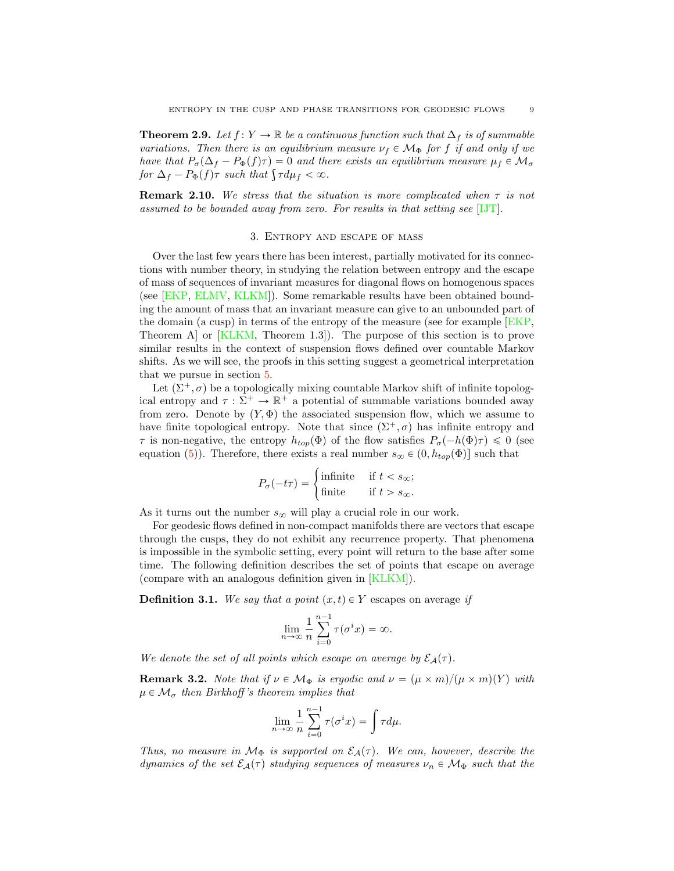**Theorem 2.9.** Let  $f : Y \to \mathbb{R}$  be a continuous function such that  $\Delta_f$  is of summable variations. Then there is an equilibrium measure  $\nu_f \in \mathcal{M}_{\Phi}$  for f if and only if we have that  $P_{\sigma}(\Delta_f - P_{\Phi}(f)\tau) = 0$  and there exists an equilibrium measure  $\mu_f \in \mathcal{M}_{\sigma}$ for  $\Delta_f - P_{\Phi}(f) \tau$  such that  $\int \tau d\mu_f < \infty$ .

**Remark 2.10.** We stress that the situation is more complicated when  $\tau$  is not assumed to be bounded away from zero. For results in that setting see [IJT].

#### 3. Entropy and escape of mass

Over the last few years there has been interest, partially motivated for its connections with number theory, in studying the relation between entropy and the escape of mass of sequences of invariant measures for diagonal flows on homogenous spaces (see [EKP, ELMV, KLKM]). Some remarkable results have been obtained bounding the amount of mass that an invariant measure can give to an unbounded part of the domain (a cusp) in terms of the entropy of the measure (see for example [EKP, Theorem A] or [KLKM, Theorem 1.3]). The purpose of this section is to prove similar results in the context of suspension flows defined over countable Markov shifts. As we will see, the proofs in this setting suggest a geometrical interpretation that we pursue in section 5.

Let  $(\Sigma^+, \sigma)$  be a topologically mixing countable Markov shift of infinite topological entropy and  $\tau : \Sigma^+ \to \mathbb{R}^+$  a potential of summable variations bounded away from zero. Denote by  $(Y, \Phi)$  the associated suspension flow, which we assume to have finite topological entropy. Note that since  $(\Sigma^+, \sigma)$  has infinite entropy and  $\tau$  is non-negative, the entropy  $h_{top}(\Phi)$  of the flow satisfies  $P_{\sigma}(-h(\Phi)\tau) \leq 0$  (see equation (5)). Therefore, there exists a real number  $s_{\infty} \in (0, h_{top}(\Phi))$  such that

$$
P_{\sigma}(-t\tau) = \begin{cases} \text{infinite} & \text{if } t < s_{\infty}; \\ \text{finite} & \text{if } t > s_{\infty}. \end{cases}
$$

As it turns out the number  $s_{\infty}$  will play a crucial role in our work.

For geodesic flows defined in non-compact manifolds there are vectors that escape through the cusps, they do not exhibit any recurrence property. That phenomena is impossible in the symbolic setting, every point will return to the base after some time. The following definition describes the set of points that escape on average (compare with an analogous definition given in [KLKM]).

**Definition 3.1.** We say that a point  $(x, t) \in Y$  escapes on average if

$$
\lim_{n \to \infty} \frac{1}{n} \sum_{i=0}^{n-1} \tau(\sigma^i x) = \infty.
$$

We denote the set of all points which escape on average by  $\mathcal{E}_A(\tau)$ .

**Remark 3.2.** Note that if  $\nu \in M_{\Phi}$  is ergodic and  $\nu = (\mu \times m)/(\mu \times m)(Y)$  with  $\mu \in \mathcal{M}_{\sigma}$  then Birkhoff's theorem implies that

$$
\lim_{n \to \infty} \frac{1}{n} \sum_{i=0}^{n-1} \tau(\sigma^i x) = \int \tau d\mu.
$$

Thus, no measure in  $M_{\Phi}$  is supported on  $\mathcal{E}_{\mathcal{A}}(\tau)$ . We can, however, describe the dynamics of the set  $\mathcal{E}_{\mathcal{A}}(\tau)$  studying sequences of measures  $\nu_n \in \mathcal{M}_{\Phi}$  such that the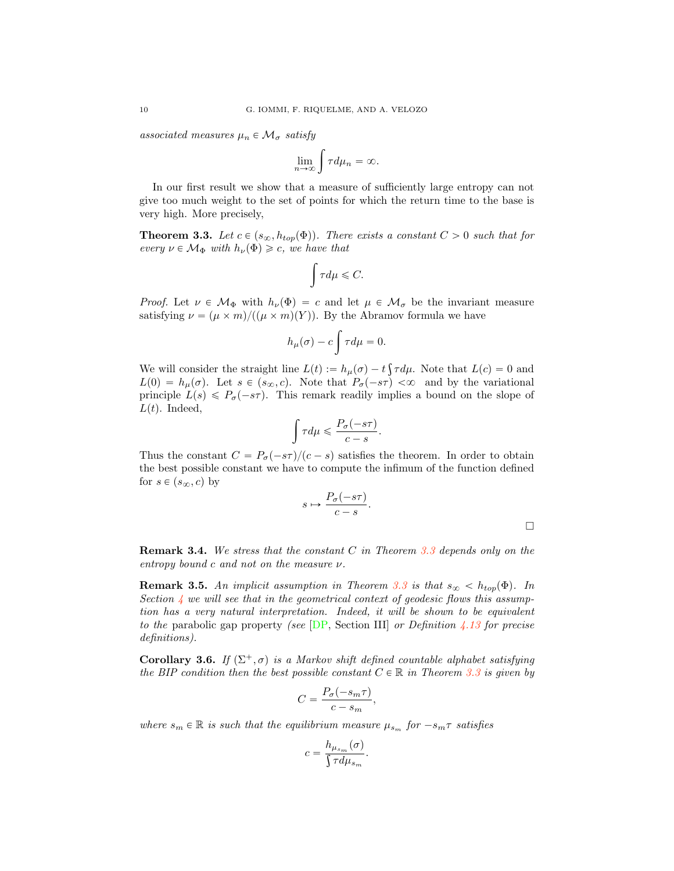associated measures  $\mu_n \in \mathcal{M}_{\sigma}$  satisfy

$$
\lim_{n\to\infty}\int\tau d\mu_n=\infty.
$$

In our first result we show that a measure of sufficiently large entropy can not give too much weight to the set of points for which the return time to the base is very high. More precisely,

**Theorem 3.3.** Let  $c \in (s_{\infty}, h_{top}(\Phi))$ . There exists a constant  $C > 0$  such that for every  $\nu \in \mathcal{M}_{\Phi}$  with  $h_{\nu}(\Phi) \geq c$ , we have that

$$
\int\tau d\mu\leqslant C.
$$

*Proof.* Let  $\nu \in \mathcal{M}_{\Phi}$  with  $h_{\nu}(\Phi) = c$  and let  $\mu \in \mathcal{M}_{\sigma}$  be the invariant measure satisfying  $\nu = (\mu \times m)/((\mu \times m)(Y))$ . By the Abramov formula we have

$$
h_{\mu}(\sigma) - c \int \tau d\mu = 0.
$$

We will consider the straight line  $L(t) := h_{\mu}(\sigma) - t \int \tau d\mu$ . Note that  $L(c) = 0$  and  $L(0) = h_{\mu}(\sigma)$ . Let  $s \in (s_{\infty}, c)$ . Note that  $P_{\sigma}(-s\tau) < \infty$  and by the variational principle  $L(s) \leq P_{\sigma}(-s\tau)$ . This remark readily implies a bound on the slope of  $L(t)$ . Indeed,

$$
\int \tau d\mu \leqslant \frac{P_{\sigma}(-s\tau)}{c-s}.
$$

Thus the constant  $C = P_{\sigma}(-s\tau)/(c - s)$  satisfies the theorem. In order to obtain the best possible constant we have to compute the infimum of the function defined for  $s \in (s_{\infty}, c)$  by

$$
s \mapsto \frac{P_{\sigma}(-s\tau)}{c - s}.
$$

**Remark 3.4.** We stress that the constant C in Theorem 3.3 depends only on the entropy bound c and not on the measure  $\nu$ .

**Remark 3.5.** An implicit assumption in Theorem 3.3 is that  $s_{\infty} < h_{top}(\Phi)$ . In Section  $\frac{1}{4}$  we will see that in the geometrical context of geodesic flows this assumption has a very natural interpretation. Indeed, it will be shown to be equivalent to the parabolic gap property (see  $[DP, Section III]$  or Definition 4.13 for precise definitions).

Corollary 3.6. If  $(\Sigma^+, \sigma)$  is a Markov shift defined countable alphabet satisfying the BIP condition then the best possible constant  $C \in \mathbb{R}$  in Theorem 3.3 is given by

$$
C = \frac{P_{\sigma}(-s_m \tau)}{c - s_m},
$$

where  $s_m \in \mathbb{R}$  is such that the equilibrium measure  $\mu_{s_m}$  for  $-s_m\tau$  satisfies

$$
c = \frac{h_{\mu_{s_m}}(\sigma)}{\int \tau d\mu_{s_m}}.
$$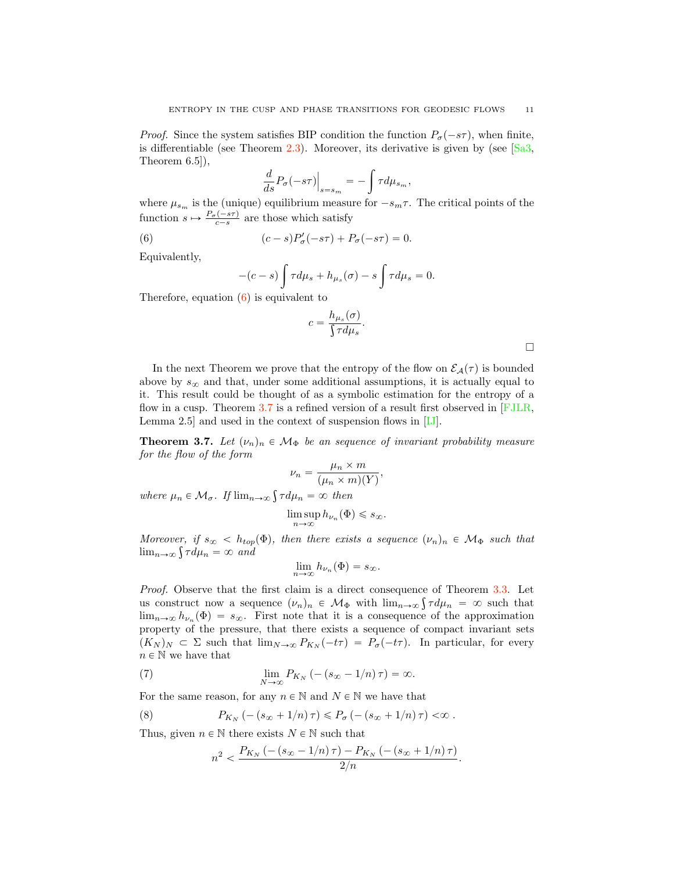*Proof.* Since the system satisfies BIP condition the function  $P_{\sigma}(-s\tau)$ , when finite, is differentiable (see Theorem 2.3). Moreover, its derivative is given by (see  $[Sa3]$ , Theorem 6.5]),

$$
\frac{d}{ds}P_{\sigma}(-s\tau)\Big|_{s=s_m} = -\int \tau d\mu_{s_m},
$$

where  $\mu_{s_m}$  is the (unique) equilibrium measure for  $-s_m\tau$ . The critical points of the function  $s \mapsto \frac{P_{\sigma}(-s\tau)}{c-s}$  are those which satisfy

(6) 
$$
(c-s)P'_{\sigma}(-s\tau) + P_{\sigma}(-s\tau) = 0.
$$

Equivalently,

$$
-(c-s)\int \tau d\mu_s + h_{\mu_s}(\sigma) - s\int \tau d\mu_s = 0.
$$

Therefore, equation (6) is equivalent to

$$
c = \frac{h_{\mu_s}(\sigma)}{\int \tau d\mu_s}.
$$

In the next Theorem we prove that the entropy of the flow on  $\mathcal{E}_{\mathcal{A}}(\tau)$  is bounded above by  $s_{\infty}$  and that, under some additional assumptions, it is actually equal to it. This result could be thought of as a symbolic estimation for the entropy of a flow in a cusp. Theorem 3.7 is a refined version of a result first observed in [FJLR, Lemma 2.5] and used in the context of suspension flows in [IJ].

**Theorem 3.7.** Let  $(\nu_n)_n \in \mathcal{M}_{\Phi}$  be an sequence of invariant probability measure for the flow of the form

$$
\nu_n = \frac{\mu_n \times m}{(\mu_n \times m)(Y)},
$$

where  $\mu_n \in \mathcal{M}_{\sigma}$ . If  $\lim_{n \to \infty} \int \tau d\mu_n = \infty$  then

$$
\limsup_{n\to\infty} h_{\nu_n}(\Phi) \leq s_\infty.
$$

Moreover, if  $s_{\infty} < h_{top}(\Phi)$ , then there exists a sequence  $(\nu_n)_n \in \mathcal{M}_{\Phi}$  such that  $\lim_{n\to\infty} \int \tau d\mu_n = \infty$  and

$$
\lim_{n\to\infty}h_{\nu_n}(\Phi)=s_{\infty}.
$$

Proof. Observe that the first claim is a direct consequence of Theorem 3.3. Let us construct now a sequence  $(\nu_n)_n \in \mathcal{M}_{\Phi}$  with  $\lim_{n\to\infty} \int \tau d\mu_n = \infty$  such that  $\lim_{n\to\infty} h_{\nu_n}(\Phi) = s_\infty$ . First note that it is a consequence of the approximation property of the pressure, that there exists a sequence of compact invariant sets  $(K_N)_N \subset \Sigma$  such that  $\lim_{N\to\infty} P_{K_N}(-t\tau) = P_{\sigma}(-t\tau)$ . In particular, for every  $n \in \mathbb{N}$  we have that

(7) 
$$
\lim_{N \to \infty} P_{K_N} \left( -(s_{\infty} - 1/n) \tau \right) = \infty.
$$

For the same reason, for any  $n \in \mathbb{N}$  and  $N \in \mathbb{N}$  we have that

(8) 
$$
P_{K_N}(-(s_{\infty}+1/n)\,\tau)\leq P_{\sigma}(-(s_{\infty}+1/n)\,\tau)<\infty.
$$

Thus, given  $n \in \mathbb{N}$  there exists  $N \in \mathbb{N}$  such that

$$
n^{2} < \frac{P_{K_{N}}\left(-\left(s_{\infty}-1/n\right)\tau\right)-P_{K_{N}}\left(-\left(s_{\infty}+1/n\right)\tau\right)}{2/n}.
$$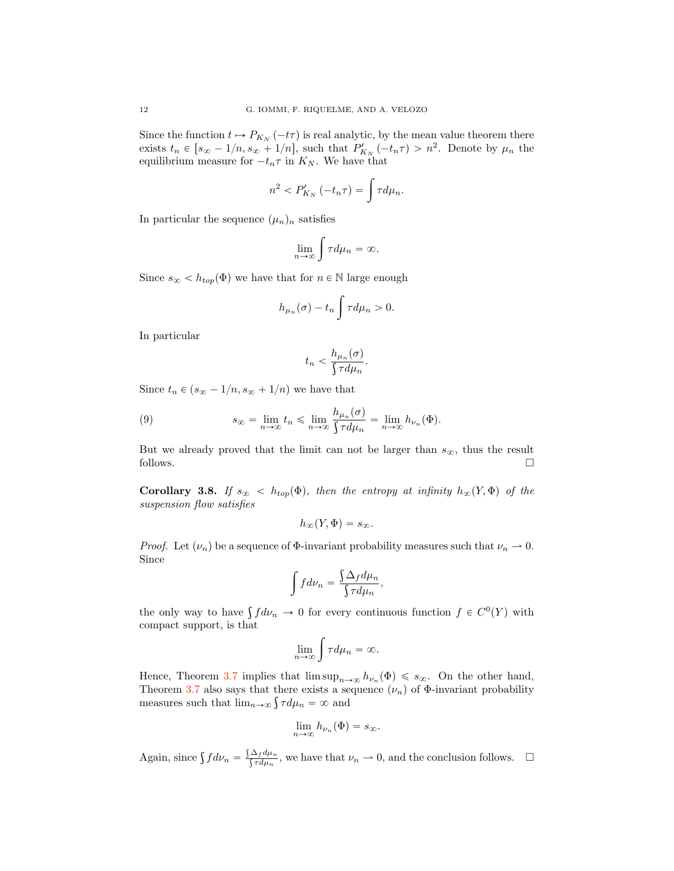Since the function  $t \mapsto P_{K_N}(-t\tau)$  is real analytic, by the mean value theorem there exists  $t_n \in [s_{\infty} - 1/n, s_{\infty} + 1/n]$ , such that  $P'_{K_N}(-t_n \tau) > n^2$ . Denote by  $\mu_n$  the equilibrium measure for  $-t_n\tau$  in  $K_N$ . We have that

$$
n^2 < P'_{K_N}(-t_n \tau) = \int \tau d\mu_n.
$$

In particular the sequence  $(\mu_n)_n$  satisfies

$$
\lim_{n \to \infty} \int \tau d\mu_n = \infty.
$$

Since  $s_{\infty} < h_{top}(\Phi)$  we have that for  $n \in \mathbb{N}$  large enough

$$
h_{\mu_n}(\sigma) - t_n \int \tau d\mu_n > 0.
$$

In particular

$$
t_n < \frac{h_{\mu_n}(\sigma)}{\int \tau d\mu_n}.
$$

Since  $t_n \in (s_{\infty} - 1/n, s_{\infty} + 1/n)$  we have that

(9) 
$$
s_{\infty} = \lim_{n \to \infty} t_n \leq \lim_{n \to \infty} \frac{h_{\mu_n}(\sigma)}{\int \tau d\mu_n} = \lim_{n \to \infty} h_{\nu_n}(\Phi).
$$

But we already proved that the limit can not be larger than  $s_{\infty}$ , thus the result follows. follows.  $\Box$ 

Corollary 3.8. If  $s_{\infty} < h_{top}(\Phi)$ , then the entropy at infinity  $h_{\infty}(Y, \Phi)$  of the suspension flow satisfies

$$
h_{\infty}(Y,\Phi)=s_{\infty}.
$$

*Proof.* Let  $(\nu_n)$  be a sequence of  $\Phi$ -invariant probability measures such that  $\nu_n \rightharpoonup 0$ . Since

$$
\int f d\nu_n = \frac{\int \Delta_f d\mu_n}{\int \tau d\mu_n},
$$

the only way to have  $\int f d\nu_n \to 0$  for every continuous function  $f \in C^0(Y)$  with compact support, is that

$$
\lim_{n\to\infty}\int\tau d\mu_n=\infty.
$$

Hence, Theorem 3.7 implies that  $\limsup_{n\to\infty} h_{\nu_n}(\Phi) \leq s_\infty$ . On the other hand, Theorem 3.7 also says that there exists a sequence  $(\nu_n)$  of  $\Phi$ -invariant probability measures such that  $\lim_{n\to\infty} \int \tau d\mu_n = \infty$  and

$$
\lim_{n\to\infty}h_{\nu_n}(\Phi)=s_{\infty}.
$$

Again, since  $\int f d\nu_n = \frac{\int \Delta_f d\mu_n}{\int \tau d\mu_n}$ , we have that  $\nu_n \to 0$ , and the conclusion follows.  $\Box$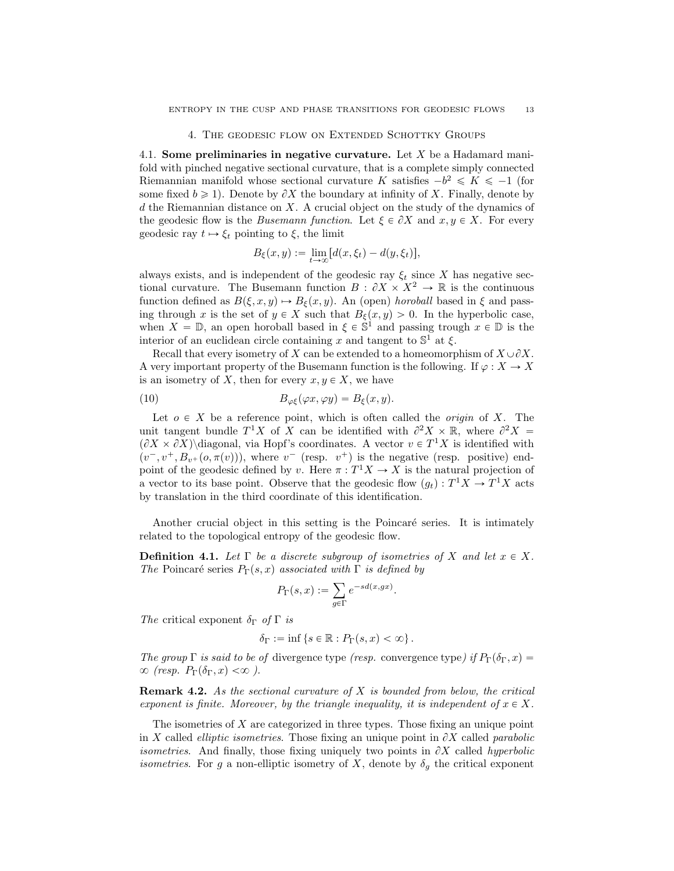### 4. The geodesic flow on Extended Schottky Groups

4.1. Some preliminaries in negative curvature. Let  $X$  be a Hadamard manifold with pinched negative sectional curvature, that is a complete simply connected Riemannian manifold whose sectional curvature K satisfies  $-b^2 \le K \le -1$  (for some fixed  $b \ge 1$ ). Denote by  $\partial X$  the boundary at infinity of X. Finally, denote by  $d$  the Riemannian distance on X. A crucial object on the study of the dynamics of the geodesic flow is the *Busemann function*. Let  $\xi \in \partial X$  and  $x, y \in X$ . For every geodesic ray  $t \mapsto \xi_t$  pointing to  $\xi$ , the limit

$$
B_{\xi}(x,y) := \lim_{t \to \infty} [d(x,\xi_t) - d(y,\xi_t)],
$$

always exists, and is independent of the geodesic ray  $\xi_t$  since X has negative sectional curvature. The Busemann function  $B : \partial X \times X^2 \to \mathbb{R}$  is the continuous function defined as  $B(\xi, x, y) \mapsto B_{\xi}(x, y)$ . An (open) horoball based in  $\xi$  and passing through x is the set of  $y \in X$  such that  $B_{\xi}(x, y) > 0$ . In the hyperbolic case, when  $X = \mathbb{D}$ , an open horoball based in  $\xi \in \mathbb{S}^1$  and passing trough  $x \in \mathbb{D}$  is the interior of an euclidean circle containing x and tangent to  $\mathbb{S}^1$  at  $\xi$ .

Recall that every isometry of X can be extended to a homeomorphism of  $X \cup \partial X$ . A very important property of the Busemann function is the following. If  $\varphi: X \to X$ is an isometry of X, then for every  $x, y \in X$ , we have

(10) 
$$
B_{\varphi\xi}(\varphi x,\varphi y)=B_{\xi}(x,y).
$$

Let  $o \in X$  be a reference point, which is often called the *origin* of X. The unit tangent bundle  $T^1X$  of X can be identified with  $\partial^2 X \times \mathbb{R}$ , where  $\partial^2 X =$  $(\partial X \times \partial X)$  diagonal, via Hopf's coordinates. A vector  $v \in T^1 X$  is identified with  $(v^-, v^+, B_{v^+}(o, \pi(v)))$ , where  $v^-$  (resp.  $v^+)$  is the negative (resp. positive) endpoint of the geodesic defined by v. Here  $\pi: T^1 X \to X$  is the natural projection of a vector to its base point. Observe that the geodesic flow  $(g_t) : T^1 X \to T^1 X$  acts by translation in the third coordinate of this identification.

Another crucial object in this setting is the Poincaré series. It is intimately related to the topological entropy of the geodesic flow.

**Definition 4.1.** Let  $\Gamma$  be a discrete subgroup of isometries of X and let  $x \in X$ . The Poincaré series  $P_{\Gamma}(s, x)$  associated with  $\Gamma$  is defined by

$$
P_{\Gamma}(s,x):=\sum_{g\in \Gamma}e^{-sd(x,gx)}.
$$

The critical exponent  $\delta_{\Gamma}$  of  $\Gamma$  is

$$
\delta_{\Gamma} := \inf \left\{ s \in \mathbb{R} : P_{\Gamma}(s, x) < \infty \right\}.
$$

The group  $\Gamma$  is said to be of divergence type (resp. convergence type) if  $P_{\Gamma}(\delta_{\Gamma},x)$  =  $\infty$  (resp.  $P_{\Gamma}(\delta_{\Gamma}, x) < \infty$ ).

**Remark 4.2.** As the sectional curvature of  $X$  is bounded from below, the critical exponent is finite. Moreover, by the triangle inequality, it is independent of  $x \in X$ .

The isometries of  $X$  are categorized in three types. Those fixing an unique point in X called *elliptic isometries*. Those fixing an unique point in  $\partial X$  called *parabolic isometries.* And finally, those fixing uniquely two points in  $\partial X$  called hyperbolic *isometries.* For g a non-elliptic isometry of X, denote by  $\delta_g$  the critical exponent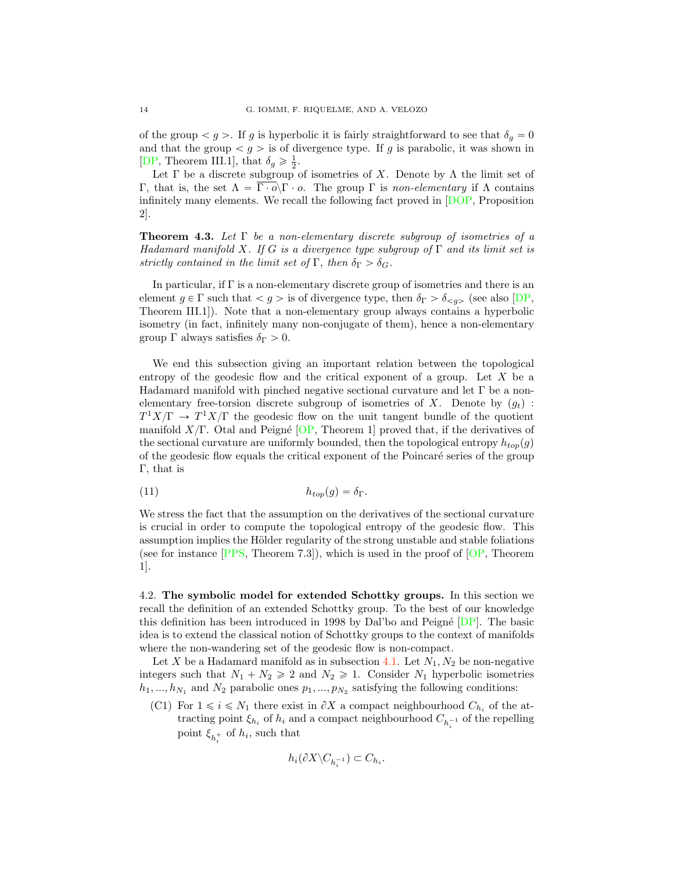of the group  $\langle g \rangle$ . If g is hyperbolic it is fairly straightforward to see that  $\delta_q = 0$ and that the group  $g >$  is of divergence type. If g is parabolic, it was shown in [DP, Theorem III.1], that  $\delta_g \geq \frac{1}{2}$ .

Let  $\Gamma$  be a discrete subgroup of isometries of X. Denote by  $\Lambda$  the limit set of Γ, that is, the set  $Λ = \overline{\Gamma \cdot o} \setminus Γ \cdot o$ . The group Γ is non-elementary if Λ contains infinitely many elements. We recall the following fact proved in [DOP, Proposition 2].

**Theorem 4.3.** Let  $\Gamma$  be a non-elementary discrete subgroup of isometries of a Hadamard manifold X. If G is a divergence type subgroup of  $\Gamma$  and its limit set is strictly contained in the limit set of  $\Gamma$ , then  $\delta_{\Gamma} > \delta_{G}$ .

In particular, if Γ is a non-elementary discrete group of isometries and there is an element  $g \in \Gamma$  such that  $g >$  is of divergence type, then  $\delta_{\Gamma} > \delta_{\leq g>}$  (see also [DP, Theorem III.1]). Note that a non-elementary group always contains a hyperbolic isometry (in fact, infinitely many non-conjugate of them), hence a non-elementary group  $\Gamma$  always satisfies  $\delta_{\Gamma} > 0$ .

We end this subsection giving an important relation between the topological entropy of the geodesic flow and the critical exponent of a group. Let X be a Hadamard manifold with pinched negative sectional curvature and let Γ be a nonelementary free-torsion discrete subgroup of isometries of X. Denote by  $(q_t)$ :  $T^1X/\Gamma \rightarrow T^1X/\Gamma$  the geodesic flow on the unit tangent bundle of the quotient manifold  $X/\Gamma$ . Otal and Peigné [OP, Theorem 1] proved that, if the derivatives of the sectional curvature are uniformly bounded, then the topological entropy  $h_{top}(g)$ of the geodesic flow equals the critical exponent of the Poincaré series of the group Γ, that is

(11) 
$$
h_{top}(g) = \delta_{\Gamma}.
$$

We stress the fact that the assumption on the derivatives of the sectional curvature is crucial in order to compute the topological entropy of the geodesic flow. This assumption implies the Hölder regularity of the strong unstable and stable foliations (see for instance  $[PPS, Theorem 7.3]$ ), which is used in the proof of  $[OP, Theorem 7.3]$ 1].

4.2. The symbolic model for extended Schottky groups. In this section we recall the definition of an extended Schottky group. To the best of our knowledge this definition has been introduced in 1998 by Dal'bo and Peigné  $[DP]$ . The basic idea is to extend the classical notion of Schottky groups to the context of manifolds where the non-wandering set of the geodesic flow is non-compact.

Let X be a Hadamard manifold as in subsection 4.1. Let  $N_1, N_2$  be non-negative integers such that  $N_1 + N_2 \ge 2$  and  $N_2 \ge 1$ . Consider  $N_1$  hyperbolic isometries  $h_1, ..., h_{N_1}$  and  $N_2$  parabolic ones  $p_1, ..., p_{N_2}$  satisfying the following conditions:

(C1) For  $1 \le i \le N_1$  there exist in  $\partial X$  a compact neighbourhood  $C_{h_i}$  of the attracting point  $\xi_{h_i}$  of  $h_i$  and a compact neighbourhood  $C_{h_i^{-1}}$  of the repelling point  $\xi_{h_i^+}$  of  $h_i$ , such that

$$
h_i(\partial X \backslash C_{h_i^{-1}}) \subset C_{h_i}.
$$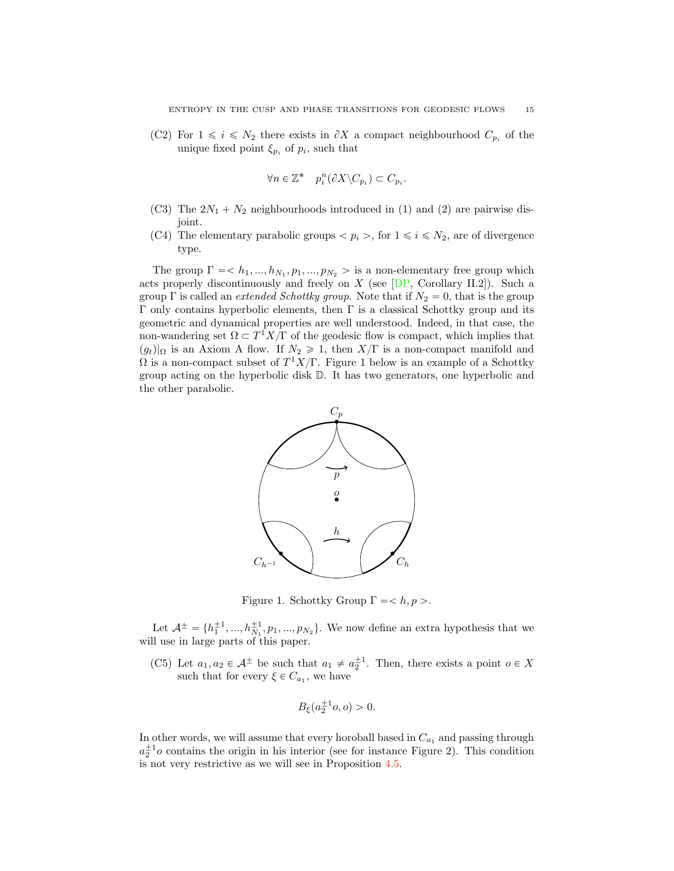(C2) For  $1 \leq i \leq N_2$  there exists in  $\partial X$  a compact neighbourhood  $C_{p_i}$  of the unique fixed point  $\xi_{p_i}$  of  $p_i$ , such that

$$
\forall n \in \mathbb{Z}^* \quad p_i^n(\partial X \backslash C_{p_i}) \subset C_{p_i}.
$$

- (C3) The  $2N_1 + N_2$  neighbourhoods introduced in (1) and (2) are pairwise disjoint.
- (C4) The elementary parabolic groups  $\langle p_i \rangle$ , for  $1 \leq i \leq N_2$ , are of divergence type.

The group  $\Gamma = \langle h_1, ..., h_{N_1}, p_1, ..., p_{N_2} \rangle$  is a non-elementary free group which acts properly discontinuously and freely on  $X$  (see  $[DP, Corollary II.2]$ ). Such a group  $\Gamma$  is called an *extended Schottky group*. Note that if  $N_2 = 0$ , that is the group  $Γ$  only contains hyperbolic elements, then  $Γ$  is a classical Schottky group and its geometric and dynamical properties are well understood. Indeed, in that case, the non-wandering set  $\Omega \subset T^1 X/\Gamma$  of the geodesic flow is compact, which implies that  $(g_t)|_{\Omega}$  is an Axiom A flow. If  $N_2 \geq 1$ , then  $X/\Gamma$  is a non-compact manifold and  $\Omega$  is a non-compact subset of  $T^1X/\Gamma$ . Figure 1 below is an example of a Schottky group acting on the hyperbolic disk D. It has two generators, one hyperbolic and the other parabolic.



Figure 1. Schottky Group  $\Gamma = \langle h, p \rangle$ .

Let  $\mathcal{A}^{\pm} = \{h_1^{\pm 1}, ..., h_{N_1}^{\pm 1}, p_1, ..., p_{N_2}\}$ . We now define an extra hypothesis that we will use in large parts of this paper.

(C5) Let  $a_1, a_2 \in A^{\pm}$  be such that  $a_1 \neq a_2^{\pm 1}$ . Then, there exists a point  $o \in X$ such that for every  $\xi \in C_{a_1}$ , we have

$$
B_{\xi}(a_2^{\pm 1}o, o) > 0.
$$

In other words, we will assume that every horoball based in  $C_{a_1}$  and passing through  $a_2^{\pm 1}$ o contains the origin in his interior (see for instance Figure 2). This condition is not very restrictive as we will see in Proposition 4.5.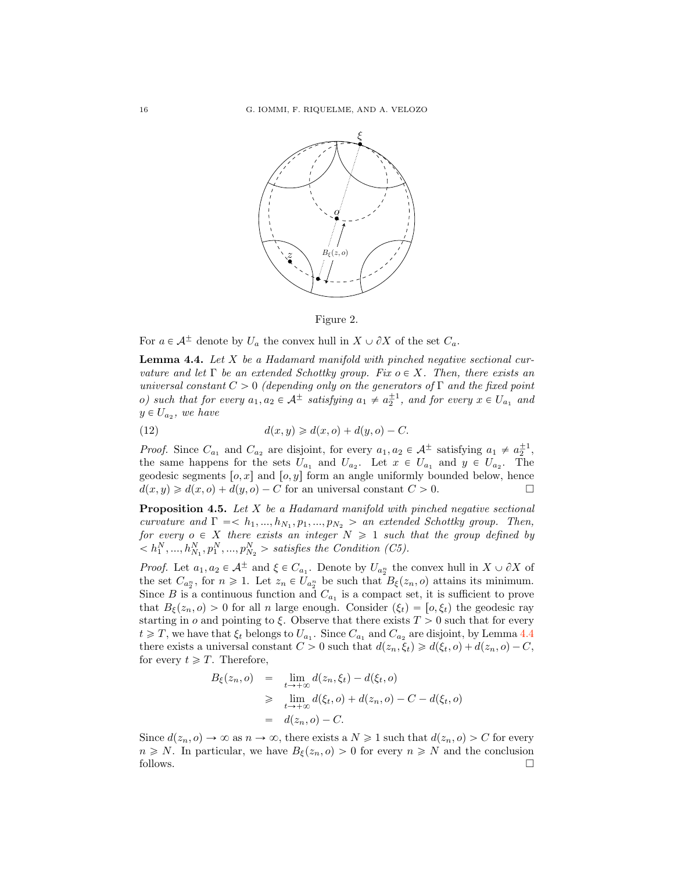



For  $a \in A^{\pm}$  denote by  $U_a$  the convex hull in  $X \cup \partial X$  of the set  $C_a$ .

**Lemma 4.4.** Let  $X$  be a Hadamard manifold with pinched negative sectional curvature and let  $\Gamma$  be an extended Schottky group. Fix  $o \in X$ . Then, there exists an universal constant  $C > 0$  (depending only on the generators of  $\Gamma$  and the fixed point o) such that for every  $a_1, a_2 \in A^{\pm}$  satisfying  $a_1 \neq a_2^{\pm 1}$ , and for every  $x \in U_{a_1}$  and  $y \in U_{a_2}$ , we have

(12) 
$$
d(x,y) \geq d(x,o) + d(y,o) - C.
$$

*Proof.* Since  $C_{a_1}$  and  $C_{a_2}$  are disjoint, for every  $a_1, a_2 \in \mathcal{A}^{\pm}$  satisfying  $a_1 \neq a_2^{\pm 1}$ , the same happens for the sets  $U_{a_1}$  and  $U_{a_2}$ . Let  $x \in U_{a_1}$  and  $y \in U_{a_2}$ . The geodesic segments  $[o, x]$  and  $[o, y]$  form an angle uniformly bounded below, hence  $d(x, y) \ge d(x, o) + d(y, o) - C$  for an universal constant  $C > 0$ .  $d(x, y) \ge d(x, o) + d(y, o) - C$  for an universal constant  $C > 0$ .

**Proposition 4.5.** Let  $X$  be a Hadamard manifold with pinched negative sectional curvature and  $\Gamma = \langle h_1, ..., h_{N_1}, p_1, ..., p_{N_2} \rangle$  an extended Schottky group. Then, for every  $o \in X$  there exists an integer  $N \geq 1$  such that the group defined by  $\langle h_1^N, ..., h_{N_1}^N, p_1^N, ..., p_{N_2}^N \rangle$  satisfies the Condition (C5).

*Proof.* Let  $a_1, a_2 \in A^{\pm}$  and  $\xi \in C_{a_1}$ . Denote by  $U_{a_2^n}$  the convex hull in  $X \cup \partial X$  of the set  $C_{a_2^n}$ , for  $n \geq 1$ . Let  $z_n \in U_{a_2^n}$  be such that  $B_{\xi}(z_n, o)$  attains its minimum. Since B is a continuous function and  $C_{a_1}$  is a compact set, it is sufficient to prove that  $B_{\xi}(z_n, o) > 0$  for all n large enough. Consider  $(\xi_t) = [o, \xi_t]$  the geodesic ray starting in  $o$  and pointing to  $\xi$ . Observe that there exists  $T > 0$  such that for every  $t \geq T$ , we have that  $\xi_t$  belongs to  $U_{a_1}$ . Since  $C_{a_1}$  and  $C_{a_2}$  are disjoint, by Lemma 4.4 there exists a universal constant  $C > 0$  such that  $d(z_n, \xi_t) \geq d(\xi_t, o) + d(z_n, o) - C$ , for every  $t \geqslant T$ . Therefore,

$$
B_{\xi}(z_n, o) = \lim_{t \to +\infty} d(z_n, \xi_t) - d(\xi_t, o)
$$
  
\n
$$
\geq \lim_{t \to +\infty} d(\xi_t, o) + d(z_n, o) - C - d(\xi_t, o)
$$
  
\n
$$
= d(z_n, o) - C.
$$

Since  $d(z_n, o) \to \infty$  as  $n \to \infty$ , there exists a  $N \geq 1$  such that  $d(z_n, o) > C$  for every  $n \geq N$ . In particular, we have  $B_{\xi}(z_n, o) > 0$  for every  $n \geq N$  and the conclusion follows. follows.  $\Box$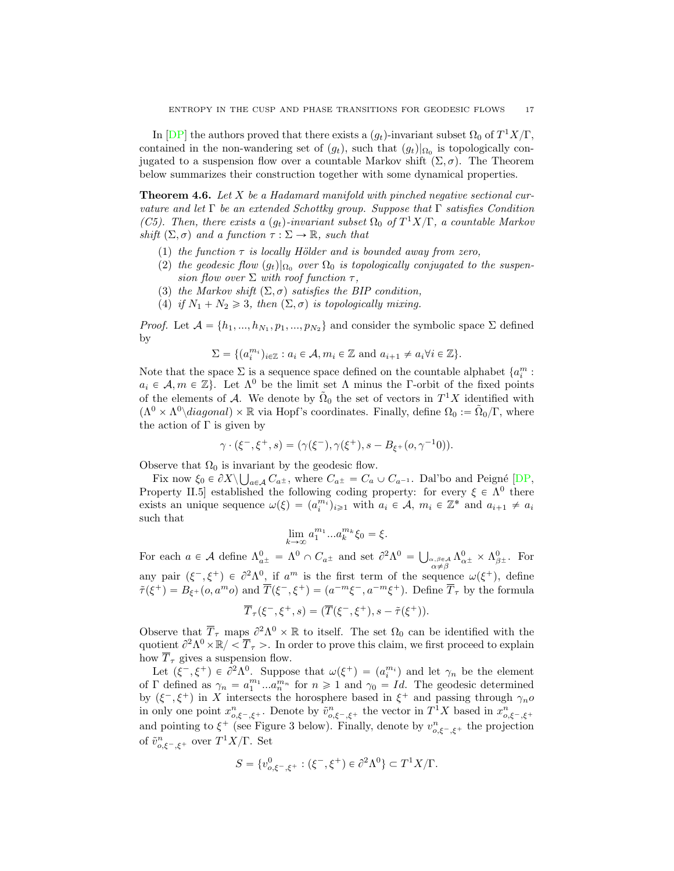In [DP] the authors proved that there exists a  $(g_t)$ -invariant subset  $\Omega_0$  of  $T^1 X/\Gamma$ , contained in the non-wandering set of  $(g_t)$ , such that  $(g_t)|_{\Omega_0}$  is topologically conjugated to a suspension flow over a countable Markov shift  $(\Sigma, \sigma)$ . The Theorem below summarizes their construction together with some dynamical properties.

**Theorem 4.6.** Let X be a Hadamard manifold with pinched negative sectional curvature and let  $\Gamma$  be an extended Schottky group. Suppose that  $\Gamma$  satisfies Condition (C5). Then, there exists a  $(q_t)$ -invariant subset  $\Omega_0$  of  $T^1X/\Gamma$ , a countable Markov shift  $(\Sigma, \sigma)$  and a function  $\tau : \Sigma \to \mathbb{R}$ , such that

- (1) the function  $\tau$  is locally Hölder and is bounded away from zero,
- (2) the geodesic flow  $(g_t)|_{\Omega_0}$  over  $\Omega_0$  is topologically conjugated to the suspension flow over  $\Sigma$  with roof function  $\tau$ ,
- (3) the Markov shift  $(\Sigma, \sigma)$  satisfies the BIP condition,
- (4) if  $N_1 + N_2 \geq 3$ , then  $(\Sigma, \sigma)$  is topologically mixing.

*Proof.* Let  $A = \{h_1, ..., h_{N_1}, p_1, ..., p_{N_2}\}\$ and consider the symbolic space  $\Sigma$  defined by

$$
\Sigma = \{ (a_i^{m_i})_{i \in \mathbb{Z}} : a_i \in \mathcal{A}, m_i \in \mathbb{Z} \text{ and } a_{i+1} \neq a_i \forall i \in \mathbb{Z} \}.
$$

Note that the space  $\Sigma$  is a sequence space defined on the countable alphabet  $\{a_i^m :$  $a_i \in \mathcal{A}, m \in \mathbb{Z}$ . Let  $\Lambda^0$  be the limit set  $\Lambda$  minus the Γ-orbit of the fixed points of the elements of *A*. We denote by  $\tilde{\Omega}_0$  the set of vectors in  $T^1X$  identified with  $(\Lambda^0 \times \Lambda^0 \setminus diagonal) \times \mathbb{R}$  via Hopf's coordinates. Finally, define  $\Omega_0 := \tilde{\Omega}_0/\Gamma$ , where the action of  $\Gamma$  is given by

$$
\gamma \cdot (\xi^-, \xi^+, s) = (\gamma(\xi^-), \gamma(\xi^+), s - B_{\xi^+}(o, \gamma^{-1}0)).
$$

Observe that  $\Omega_0$  is invariant by the geodesic flow.

Fix now  $\xi_0 \in \partial X \setminus \bigcup_{a \in \mathcal{A}} C_{a^{\pm}}$ , where  $C_{a^{\pm}} = C_a \cup C_{a^{-1}}$ . Dal'bo and Peigné [DP, Property II.5] established the following coding property: for every  $\xi \in \Lambda^0$  there exists an unique sequence  $\omega(\xi) = (a_i^{m_i})_{i \geq 1}$  with  $a_i \in \mathcal{A}$ ,  $m_i \in \mathbb{Z}^*$  and  $a_{i+1} \neq a_i$ such that

$$
\lim_{k \to \infty} a_1^{m_1} \dots a_k^{m_k} \xi_0 = \xi.
$$

For each  $a \in \mathcal{A}$  define  $\Lambda_{a\pm}^0 = \Lambda^0 \cap C_{a\pm}$  and set  $\partial^2 \Lambda^0 = \bigcup_{\substack{\alpha,\beta \in \mathcal{A} \\ \alpha \neq \beta}}$  $\Lambda_{\alpha \pm}^{0} \times \Lambda_{\beta \pm}^{0}$ . For any pair  $(\xi^-, \xi^+) \in \partial^2 \Lambda^0$ , if  $a^m$  is the first term of the sequence  $\omega(\xi^+)$ , define  $\tilde{\tau}(\xi^+) = B_{\xi^+}(o, a^m o)$  and  $\overline{T}(\xi^-, \xi^+) = (a^{-m}\xi^-, a^{-m}\xi^+)$ . Define  $\overline{T}_{\tau}$  by the formula

$$
\overline{T}_{\tau}(\xi^{-}, \xi^{+}, s) = (\overline{T}(\xi^{-}, \xi^{+}), s - \tilde{\tau}(\xi^{+})).
$$

Observe that  $\overline{T}_{\tau}$  maps  $\partial^2 \Lambda^0 \times \mathbb{R}$  to itself. The set  $\Omega_0$  can be identified with the quotient  $\partial^2 \Lambda^0 \times \mathbb{R} / \langle \overline{T}_{\tau} \rangle$ . In order to prove this claim, we first proceed to explain how  $\overline{T}_{\tau}$  gives a suspension flow.

Let  $(\xi^-, \xi^+) \in \partial^2 \Lambda^0$ . Suppose that  $\omega(\xi^+) = (a_i^{m_i})$  and let  $\gamma_n$  be the element of  $\Gamma$  defined as  $\gamma_n = a_1^{m_1} ... a_n^{m_n}$  for  $n \ge 1$  and  $\gamma_0 = Id$ . The geodesic determined by  $(\xi^-, \xi^+)$  in X intersects the horosphere based in  $\xi^+$  and passing through  $\gamma_n o$ in only one point  $x_{o,\xi^-, \xi^+}^n$ . Denote by  $\tilde{v}_{o,\xi^-, \xi^+}^n$  the vector in  $T^1 X$  based in  $x_{o,\xi^-, \xi^+}^n$  and pointing to  $\xi^+$  (see Figure 3 below). Finally, denote by  $v_{o,\xi^-, \xi^+}^n$  the projection of  $\tilde{v}^n_{o,\xi^-, \xi^+}$  over  $T^1X/\Gamma$ . Set

$$
S = \{v_{o,\xi^-, \xi^+}^0 : (\xi^-, \xi^+) \in \partial^2 \Lambda^0\} \subset T^1 X/\Gamma.
$$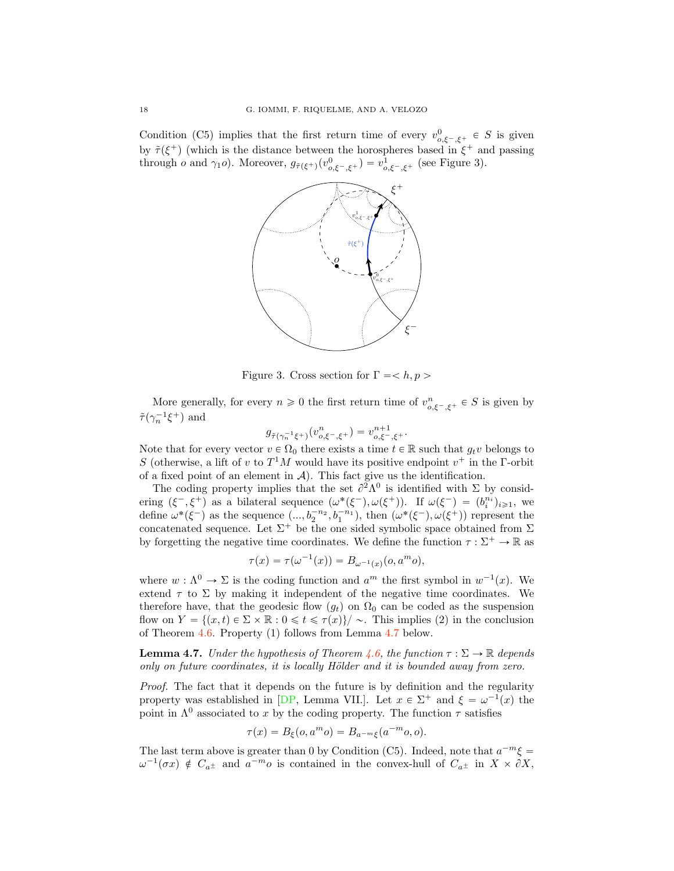Condition (C5) implies that the first return time of every  $v_{o,\xi^-, \xi^+}^0 \in S$  is given by  $\tilde{\tau}(\xi^+)$  (which is the distance between the horospheres based in  $\xi^+$  and passing through *o* and  $\gamma_1$ *o*). Moreover,  $g_{\tilde{\tau}(\xi^+)}(v^0_{o,\xi^-, \xi^+}) = v^1_{o,\xi^-, \xi^+}$  (see Figure 3).



Figure 3. Cross section for  $\Gamma = \langle h, p \rangle$ 

More generally, for every  $n \geq 0$  the first return time of  $v_{o,\xi^-, \xi^+}^n \in S$  is given by  $\tilde{\tau}(\gamma_n^{-1}\xi^+)$  and

$$
g_{\tilde{\tau}(\gamma_n^{-1}\xi^+)}(v_{o,\xi^-,\xi^+}^n) = v_{o,\xi^-,\xi^+}^{n+1}.
$$

Note that for every vector  $v \in \Omega_0$  there exists a time  $t \in \mathbb{R}$  such that  $g_t v$  belongs to S (otherwise, a lift of v to  $T<sup>1</sup>M$  would have its positive endpoint  $v<sup>+</sup>$  in the Γ-orbit of a fixed point of an element in  $A$ ). This fact give us the identification.

The coding property implies that the set  $\partial^2 \Lambda^0$  is identified with  $\Sigma$  by considering  $(\xi^-, \xi^+)$  as a bilateral sequence  $(\omega^*(\xi^-), \omega(\xi^+))$ . If  $\omega(\xi^-) = (b_i^{n_i})_{i \geq 1}$ , we define  $\omega^*(\xi^-)$  as the sequence  $(\ldots, b_2^{-n_2}, b_1^{-n_1})$ , then  $(\omega^*(\xi^-), \omega(\xi^+))$  represent the concatenated sequence. Let  $\Sigma^+$  be the one sided symbolic space obtained from  $\Sigma$ by forgetting the negative time coordinates. We define the function  $\tau : \Sigma^+ \to \mathbb{R}$  as

$$
\tau(x) = \tau(\omega^{-1}(x)) = B_{\omega^{-1}(x)}(o, a^m o),
$$

where  $w : \Lambda^0 \to \Sigma$  is the coding function and  $a^m$  the first symbol in  $w^{-1}(x)$ . We extend  $\tau$  to  $\Sigma$  by making it independent of the negative time coordinates. We therefore have, that the geodesic flow  $(g_t)$  on  $\Omega_0$  can be coded as the suspension flow on  $Y = \{(x, t) \in \Sigma \times \mathbb{R} : 0 \leq t \leq \tau(x)\}/\sim$ . This implies (2) in the conclusion of Theorem 4.6. Property (1) follows from Lemma 4.7 below.

**Lemma 4.7.** Under the hypothesis of Theorem 4.6, the function  $\tau : \Sigma \to \mathbb{R}$  depends only on future coordinates, it is locally Hölder and it is bounded away from zero.

Proof. The fact that it depends on the future is by definition and the regularity property was established in [DP, Lemma VII.]. Let  $x \in \Sigma^+$  and  $\xi = \omega^{-1}(x)$  the point in  $\Lambda^0$  associated to x by the coding property. The function  $\tau$  satisfies

$$
\tau(x) = B_{\xi}(o, a^m o) = B_{a^{-m}\xi}(a^{-m} o, o).
$$

The last term above is greater than 0 by Condition (C5). Indeed, note that  $a^{-m}\xi =$  $\omega^{-1}(\sigma x) \notin C_{a^{\pm}}$  and  $a^{-m}o$  is contained in the convex-hull of  $C_{a^{\pm}}$  in  $X \times \partial X$ ,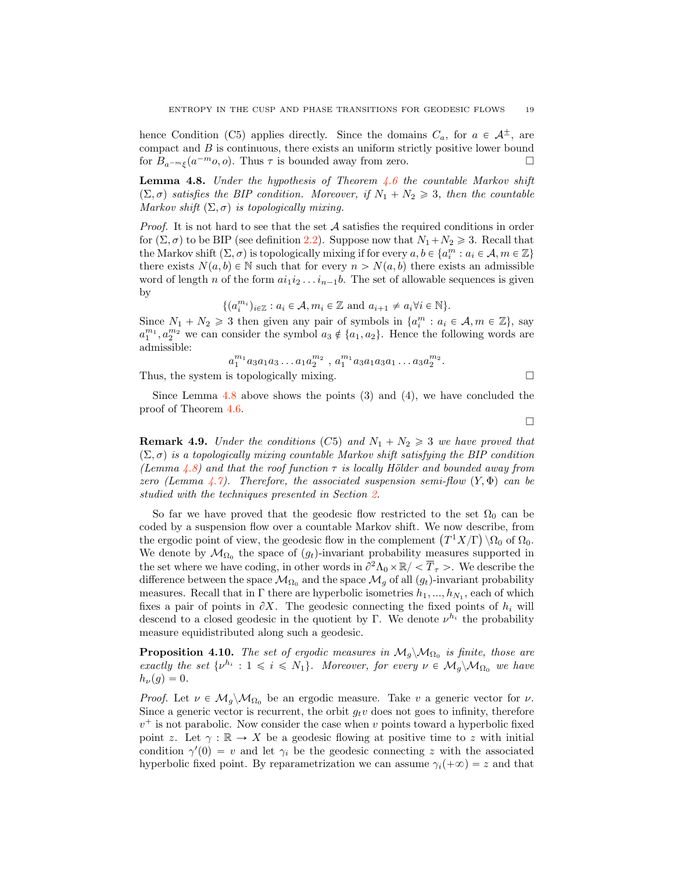hence Condition (C5) applies directly. Since the domains  $C_a$ , for  $a \in A^{\pm}$ , are compact and  $B$  is continuous, there exists an uniform strictly positive lower bound for  $B_{a^{-m}\xi}(a^{-m}o, o)$ . Thus  $\tau$  is bounded away from zero.  $\Box$ 

**Lemma 4.8.** Under the hypothesis of Theorem  $4.6$  the countable Markov shift  $(\Sigma, \sigma)$  satisfies the BIP condition. Moreover, if  $N_1 + N_2 \geq 3$ , then the countable Markov shift  $(\Sigma, \sigma)$  is topologically mixing.

Proof. It is not hard to see that the set A satisfies the required conditions in order for  $(\Sigma, \sigma)$  to be BIP (see definition 2.2). Suppose now that  $N_1 + N_2 \ge 3$ . Recall that the Markov shift  $(\Sigma, \sigma)$  is topologically mixing if for every  $a, b \in \{a_i^m : a_i \in \mathcal{A}, m \in \mathbb{Z}\}\$ there exists  $N(a, b) \in \mathbb{N}$  such that for every  $n > N(a, b)$  there exists an admissible word of length n of the form  $ai_1i_2 \ldots i_{n-1}b$ . The set of allowable sequences is given by

$$
\{(a_i^{m_i})_{i\in\mathbb{Z}} : a_i \in \mathcal{A}, m_i \in \mathbb{Z} \text{ and } a_{i+1} \neq a_i \forall i \in \mathbb{N}\}.
$$

Since  $N_1 + N_2 \geq 3$  then given any pair of symbols in  $\{a_i^m : a_i \in \mathcal{A}, m \in \mathbb{Z}\},\$  say  $a_1^{m_1}, a_2^{m_2}$  we can consider the symbol  $a_3 \notin \{a_1, a_2\}$ . Hence the following words are admissible:

$$
a_1^{m_1} a_3 a_1 a_3 \ldots a_1 a_2^{m_2}
$$
,  $a_1^{m_1} a_3 a_1 a_3 a_1 \ldots a_3 a_2^{m_2}$ .

Thus, the system is topologically mixing.  $\Box$ 

Since Lemma 4.8 above shows the points 
$$
(3)
$$
 and  $(4)$ , we have concluded the proof of Theorem 4.6.

 $\Box$ 

**Remark 4.9.** Under the conditions (C5) and  $N_1 + N_2 \geq 3$  we have proved that  $(\Sigma, \sigma)$  is a topologically mixing countable Markov shift satisfying the BIP condition (Lemma 4.8) and that the roof function  $\tau$  is locally Hölder and bounded away from zero (Lemma 4.7). Therefore, the associated suspension semi-flow  $(Y, \Phi)$  can be studied with the techniques presented in Section 2.

So far we have proved that the geodesic flow restricted to the set  $\Omega_0$  can be coded by a suspension flow over a countable Markov shift. We now describe, from the ergodic point of view, the geodesic flow in the complement  $(T^1X/\Gamma) \setminus \Omega_0$  of  $\Omega_0$ . We denote by  $\mathcal{M}_{\Omega_0}$  the space of  $(g_t)$ -invariant probability measures supported in the set where we have coding, in other words in  $\partial^2 \Lambda_0 \times \mathbb{R} / \langle \overline{T}_{\tau} \rangle$ . We describe the difference between the space  $\mathcal{M}_{\Omega_0}$  and the space  $\mathcal{M}_g$  of all  $(g_t)$ -invariant probability measures. Recall that in  $\Gamma$  there are hyperbolic isometries  $h_1, ..., h_{N_1}$ , each of which fixes a pair of points in  $\partial X$ . The geodesic connecting the fixed points of  $h_i$  will descend to a closed geodesic in the quotient by Γ. We denote  $\nu^{h_i}$  the probability measure equidistributed along such a geodesic.

**Proposition 4.10.** The set of ergodic measures in  $M_g \backslash M_{\Omega_0}$  is finite, those are exactly the set  $\{\nu^{h_i} : 1 \leq i \leq N_1\}$ . Moreover, for every  $\nu \in \mathcal{M}_q \backslash \mathcal{M}_{\Omega_0}$  we have  $h_{\nu}(q) = 0.$ 

*Proof.* Let  $\nu \in M_q \backslash M_{\Omega_0}$  be an ergodic measure. Take v a generic vector for  $\nu$ . Since a generic vector is recurrent, the orbit  $g_t v$  does not goes to infinity, therefore  $v^+$  is not parabolic. Now consider the case when v points toward a hyperbolic fixed point z. Let  $\gamma : \mathbb{R} \to X$  be a geodesic flowing at positive time to z with initial condition  $\gamma'(0) = v$  and let  $\gamma_i$  be the geodesic connecting z with the associated hyperbolic fixed point. By reparametrization we can assume  $\gamma_i(+\infty)=z$  and that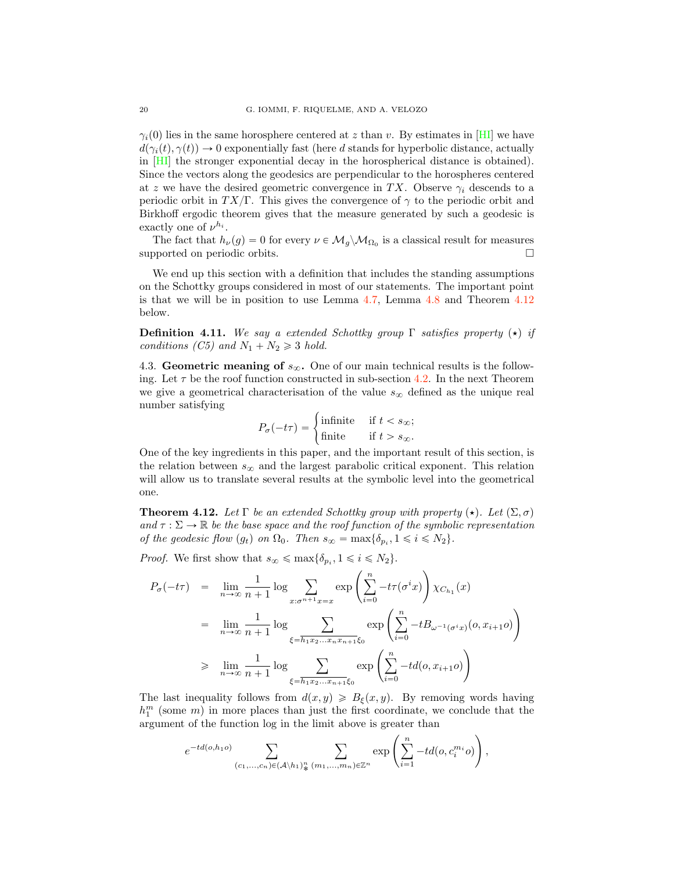$\gamma_i(0)$  lies in the same horosphere centered at z than v. By estimates in [HI] we have  $d(\gamma_i(t), \gamma(t)) \to 0$  exponentially fast (here d stands for hyperbolic distance, actually in [HI] the stronger exponential decay in the horospherical distance is obtained). Since the vectors along the geodesics are perpendicular to the horospheres centered at z we have the desired geometric convergence in TX. Observe  $\gamma_i$  descends to a periodic orbit in  $TX/\Gamma$ . This gives the convergence of  $\gamma$  to the periodic orbit and Birkhoff ergodic theorem gives that the measure generated by such a geodesic is exactly one of  $\nu^{h_i}$ .

The fact that  $h_{\nu}(g) = 0$  for every  $\nu \in M_g \backslash M_{\Omega_0}$  is a classical result for measures poorted on periodic orbits. supported on periodic orbits.

We end up this section with a definition that includes the standing assumptions on the Schottky groups considered in most of our statements. The important point is that we will be in position to use Lemma 4.7, Lemma 4.8 and Theorem 4.12 below.

**Definition 4.11.** We say a extended Schottky group  $\Gamma$  satisfies property  $(\star)$  if conditions (C5) and  $N_1 + N_2 \geq 3$  hold.

4.3. Geometric meaning of  $s_{\infty}$ . One of our main technical results is the following. Let  $\tau$  be the roof function constructed in sub-section 4.2. In the next Theorem we give a geometrical characterisation of the value  $s_{\infty}$  defined as the unique real number satisfying

$$
P_{\sigma}(-t\tau) = \begin{cases} \text{infinite} & \text{if } t < s_{\infty}; \\ \text{finite} & \text{if } t > s_{\infty}. \end{cases}
$$

One of the key ingredients in this paper, and the important result of this section, is the relation between  $s_{\infty}$  and the largest parabolic critical exponent. This relation will allow us to translate several results at the symbolic level into the geometrical one.

**Theorem 4.12.** Let  $\Gamma$  be an extended Schottky group with property  $(\star)$ . Let  $(\Sigma, \sigma)$ and  $\tau : \Sigma \to \mathbb{R}$  be the base space and the roof function of the symbolic representation of the geodesic flow  $(g_t)$  on  $\Omega_0$ . Then  $s_{\infty} = \max{\{\delta_{p_i}, 1 \leq i \leq N_2\}}$ .

*Proof.* We first show that  $s_{\infty} \le \max{\{\delta_{p_i}, 1 \le i \le N_2\}}$ .

$$
P_{\sigma}(-t\tau) = \lim_{n \to \infty} \frac{1}{n+1} \log \sum_{x:\sigma^{n+1}x=x} \exp\left(\sum_{i=0}^{n} -t\tau(\sigma^{i}x)\right) \chi_{C_{h_1}}(x)
$$
  
\n
$$
= \lim_{n \to \infty} \frac{1}{n+1} \log \sum_{\xi=\overline{h_1x_2...x_nx_{n+1}}\xi_0} \exp\left(\sum_{i=0}^{n} -tB_{\omega^{-1}(\sigma^{i}x)}(o, x_{i+1}o)\right)
$$
  
\n
$$
\geq \lim_{n \to \infty} \frac{1}{n+1} \log \sum_{\xi=\overline{h_1x_2...x_{n+1}}\xi_0} \exp\left(\sum_{i=0}^{n} -td(o, x_{i+1}o)\right)
$$

The last inequality follows from  $d(x, y) \ge B_{\xi}(x, y)$ . By removing words having  $h_1^m$  (some  $m$ ) in more places than just the first coordinate, we conclude that the argument of the function log in the limit above is greater than

$$
e^{-td(o,h_1o)}\sum_{(c_1,\ldots,c_n)\in(\mathcal{A}\backslash h_1)_*^n}\sum_{(m_1,\ldots,m_n)\in\mathbb{Z}^n}\exp\left(\sum_{i=1}^n-td(o,c_i^{m_i}o)\right),
$$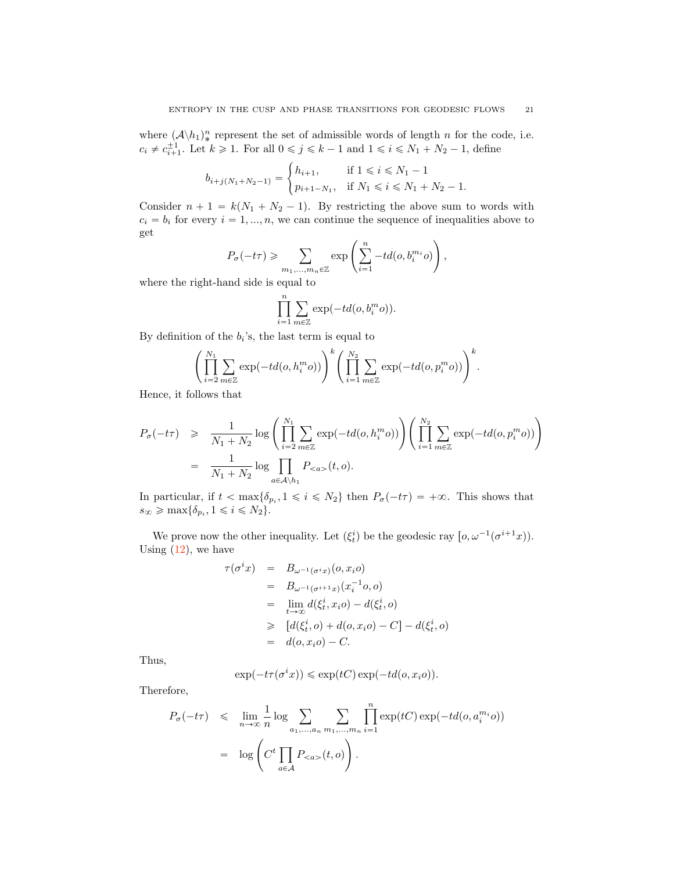where  $(\mathcal{A}\backslash h_1)_*^n$  represent the set of admissible words of length n for the code, i.e.  $c_i \neq c_{i+1}^{\pm 1}$ . Let  $k \geq 1$ . For all  $0 \leq j \leq k-1$  and  $1 \leq i \leq N_1 + N_2 - 1$ , define

$$
b_{i+j(N_1+N_2-1)} = \begin{cases} h_{i+1}, & \text{if } 1 \leq i \leq N_1-1 \\ p_{i+1-N_1}, & \text{if } N_1 \leq i \leq N_1+N_2-1. \end{cases}
$$

Consider  $n + 1 = k(N_1 + N_2 - 1)$ . By restricting the above sum to words with  $c_i = b_i$  for every  $i = 1, ..., n$ , we can continue the sequence of inequalities above to get

$$
P_{\sigma}(-t\tau) \geq \sum_{m_1,\dots,m_n \in \mathbb{Z}} \exp\left(\sum_{i=1}^n -td(o,b_i^{m_i}o)\right),
$$

where the right-hand side is equal to

$$
\prod_{i=1}^{n} \sum_{m \in \mathbb{Z}} \exp(-td(o, b_i^m o)).
$$

By definition of the  $b_i$ 's, the last term is equal to

$$
\left(\prod_{i=2}^{N_1}\sum_{m\in\mathbb{Z}}\exp(-td(o,h_i^m o))\right)^k \left(\prod_{i=1}^{N_2}\sum_{m\in\mathbb{Z}}\exp(-td(o,p_i^m o))\right)^k.
$$

Hence, it follows that

$$
P_{\sigma}(-t\tau) \geq \frac{1}{N_1 + N_2} \log \left( \prod_{i=2}^{N_1} \sum_{m \in \mathbb{Z}} \exp(-td(o, h_i^m o)) \right) \left( \prod_{i=1}^{N_2} \sum_{m \in \mathbb{Z}} \exp(-td(o, p_i^m o)) \right)
$$
  
= 
$$
\frac{1}{N_1 + N_2} \log \prod_{a \in \mathcal{A} \backslash h_1} P_{< a>} (t, o).
$$

In particular, if  $t < \max{\delta_{p_i}, 1 \leq i \leq N_2}$  then  $P_\sigma(-t\tau) = +\infty$ . This shows that  $s_{\infty} \ge \max{\{\delta_{p_i}, 1 \le i \le N_2\}}.$ 

We prove now the other inequality. Let  $(\xi_t^i)$  be the geodesic ray  $[0, \omega^{-1}(\sigma^{i+1}x)).$ Using  $(12)$ , we have

$$
\tau(\sigma^i x) = B_{\omega^{-1}(\sigma^i x)}(o, x_i o)
$$
  
=  $B_{\omega^{-1}(\sigma^{i+1} x)}(x_i^{-1} o, o)$   
=  $\lim_{t \to \infty} d(\xi_t^i, x_i o) - d(\xi_t^i, o)$   
 $\geq [d(\xi_t^i, o) + d(o, x_i o) - C] - d(\xi_t^i, o)$   
=  $d(o, x_i o) - C.$ 

Thus,

$$
\exp(-t\tau(\sigma^ix)) \leq \exp(tC)\exp(-td(o,xio)).
$$

Therefore,

$$
P_{\sigma}(-t\tau) \leq \lim_{n \to \infty} \frac{1}{n} \log \sum_{a_1, ..., a_n} \sum_{m_1, ..., m_n} \prod_{i=1}^n \exp(tC) \exp(-td(o, a_i^{m_i}o))
$$
  
= 
$$
\log \left( C^t \prod_{a \in \mathcal{A}} P_{< a>} (t, o) \right).
$$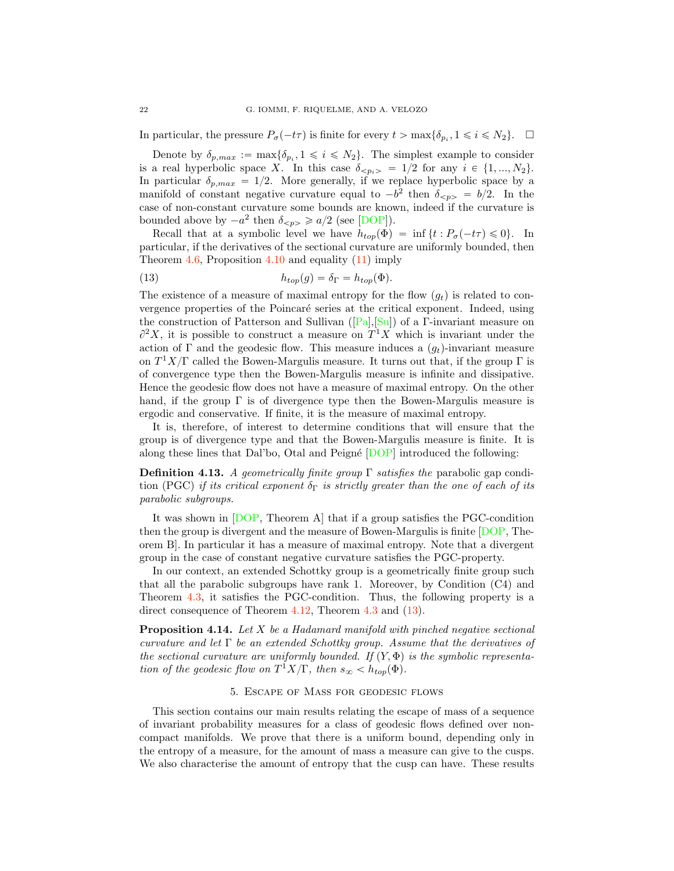In particular, the pressure  $P_{\sigma}(-t\tau)$  is finite for every  $t > \max\{\delta_p, 1 \leq i \leq N_2\}$ .  $\Box$ 

Denote by  $\delta_{p,max} := \max{\delta_{p_i}, 1 \leq i \leq N_2}$ . The simplest example to consider is a real hyperbolic space X. In this case  $\delta_{\langle p_i \rangle} = 1/2$  for any  $i \in \{1, ..., N_2\}.$ In particular  $\delta_{p,max} = 1/2$ . More generally, if we replace hyperbolic space by a manifold of constant negative curvature equal to  $-b^2$  then  $\delta_{\leq p>} = b/2$ . In the case of non-constant curvature some bounds are known, indeed if the curvature is bounded above by  $-a^2$  then  $\delta_{\leq p>} \geq a/2$  (see [DOP]).

Recall that at a symbolic level we have  $h_{top}(\Phi) = \inf \{ t : P_{\sigma}(-t\tau) \leq 0 \}.$  In particular, if the derivatives of the sectional curvature are uniformly bounded, then Theorem  $4.6$ , Proposition  $4.10$  and equality  $(11)$  imply

(13) 
$$
h_{top}(g) = \delta_{\Gamma} = h_{top}(\Phi).
$$

The existence of a measure of maximal entropy for the flow  $(q_t)$  is related to convergence properties of the Poincaré series at the critical exponent. Indeed, using the construction of Patterson and Sullivan ([Pa],[Su]) of a Γ-invariant measure on  $\partial^2 X$ , it is possible to construct a measure on  $T^1 X$  which is invariant under the action of Γ and the geodesic flow. This measure induces a  $(q_t)$ -invariant measure on  $T^1X/\Gamma$  called the Bowen-Margulis measure. It turns out that, if the group  $\Gamma$  is of convergence type then the Bowen-Margulis measure is infinite and dissipative. Hence the geodesic flow does not have a measure of maximal entropy. On the other hand, if the group  $\Gamma$  is of divergence type then the Bowen-Margulis measure is ergodic and conservative. If finite, it is the measure of maximal entropy.

It is, therefore, of interest to determine conditions that will ensure that the group is of divergence type and that the Bowen-Margulis measure is finite. It is along these lines that Dal'bo, Otal and Peigné  $[DOP]$  introduced the following:

**Definition 4.13.** A geometrically finite group  $\Gamma$  satisfies the parabolic gap condition (PGC) if its critical exponent  $\delta_{\Gamma}$  is strictly greater than the one of each of its parabolic subgroups.

It was shown in [DOP, Theorem A] that if a group satisfies the PGC-condition then the group is divergent and the measure of Bowen-Margulis is finite [DOP, Theorem B]. In particular it has a measure of maximal entropy. Note that a divergent group in the case of constant negative curvature satisfies the PGC-property.

In our context, an extended Schottky group is a geometrically finite group such that all the parabolic subgroups have rank 1. Moreover, by Condition (C4) and Theorem 4.3, it satisfies the PGC-condition. Thus, the following property is a direct consequence of Theorem 4.12, Theorem 4.3 and  $(13)$ .

**Proposition 4.14.** Let  $X$  be a Hadamard manifold with pinched negative sectional curvature and let  $\Gamma$  be an extended Schottky group. Assume that the derivatives of the sectional curvature are uniformly bounded. If  $(Y, \Phi)$  is the symbolic representation of the geodesic flow on  $T^1X/\Gamma$ , then  $s_{\infty} < h_{top}(\Phi)$ .

## 5. Escape of Mass for geodesic flows

This section contains our main results relating the escape of mass of a sequence of invariant probability measures for a class of geodesic flows defined over noncompact manifolds. We prove that there is a uniform bound, depending only in the entropy of a measure, for the amount of mass a measure can give to the cusps. We also characterise the amount of entropy that the cusp can have. These results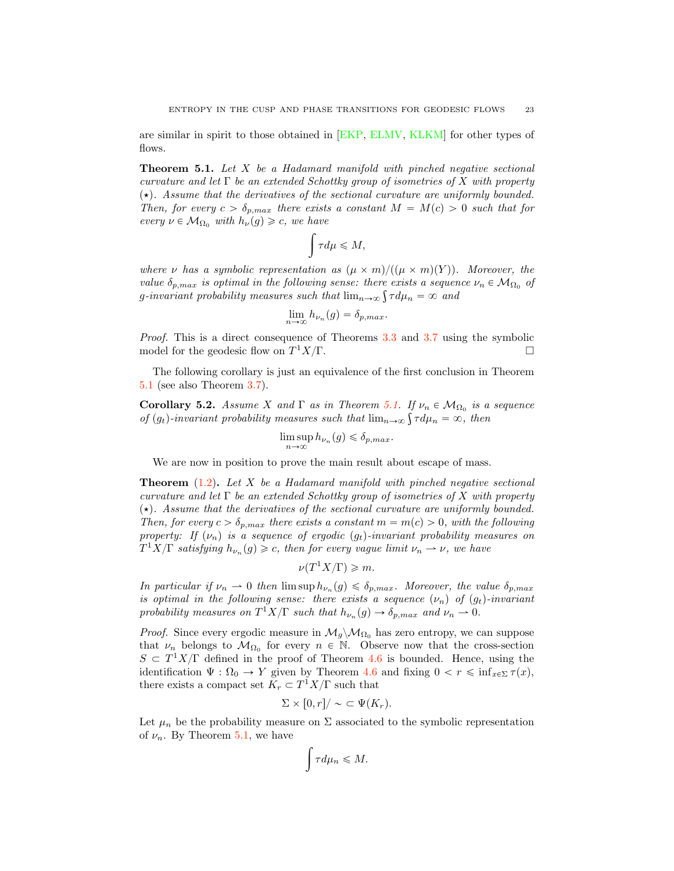are similar in spirit to those obtained in [EKP, ELMV, KLKM] for other types of flows.

Theorem 5.1. Let X be a Hadamard manifold with pinched negative sectional curvature and let  $\Gamma$  be an extended Schottky group of isometries of X with property  $(\star)$ . Assume that the derivatives of the sectional curvature are uniformly bounded. Then, for every  $c > \delta_{p,max}$  there exists a constant  $M = M(c) > 0$  such that for every  $\nu \in \mathcal{M}_{\Omega_0}$  with  $h_{\nu}(g) \geqslant c$ , we have

$$
\int \tau d\mu \leqslant M,
$$

where  $\nu$  has a symbolic representation as  $(\mu \times m)/((\mu \times m)(Y))$ . Moreover, the value  $\delta_{p,max}$  is optimal in the following sense: there exists a sequence  $\nu_n \in \mathcal{M}_{\Omega_0}$  of g-invariant probability measures such that  $\lim_{n\to\infty} \int \tau d\mu_n = \infty$  and

$$
\lim_{n\to\infty}h_{\nu_n}(g)=\delta_{p,max}.
$$

Proof. This is a direct consequence of Theorems 3.3 and 3.7 using the symbolic model for the geodesic flow on  $T^1X/\Gamma$ .

The following corollary is just an equivalence of the first conclusion in Theorem 5.1 (see also Theorem 3.7).

**Corollary 5.2.** Assume X and  $\Gamma$  as in Theorem 5.1. If  $\nu_n \in \mathcal{M}_{\Omega_0}$  is a sequence of  $(g_t)$ -invariant probability measures such that  $\lim_{n\to\infty} \int \tau d\mu_n = \infty$ , then

$$
\limsup_{n \to \infty} h_{\nu_n}(g) \leq \delta_{p,max}.
$$

We are now in position to prove the main result about escape of mass.

**Theorem**  $(1.2)$ . Let X be a Hadamard manifold with pinched negative sectional curvature and let  $\Gamma$  be an extended Schottky group of isometries of X with property  $(\star)$ . Assume that the derivatives of the sectional curvature are uniformly bounded. Then, for every  $c > \delta_{p,max}$  there exists a constant  $m = m(c) > 0$ , with the following property: If  $(\nu_n)$  is a sequence of ergodic  $(g_t)$ -invariant probability measures on  $T^1X/\Gamma$  satisfying  $h_{\nu_n}(g) \geqslant c$ , then for every vague limit  $\nu_n \to \nu$ , we have

$$
\nu(T^1X/\Gamma) \geqslant m.
$$

In particular if  $\nu_n \to 0$  then  $\limsup h_{\nu_n}(g) \leq \delta_{p,max}$ . Moreover, the value  $\delta_{p,max}$ is optimal in the following sense: there exists a sequence  $(\nu_n)$  of  $(g_t)$ -invariant probability measures on  $T^1X/\Gamma$  such that  $h_{\nu_n}(g) \to \delta_{p,max}$  and  $\nu_n \to 0$ .

*Proof.* Since every ergodic measure in  $\mathcal{M}_g \backslash \mathcal{M}_{\Omega_0}$  has zero entropy, we can suppose that  $\nu_n$  belongs to  $\mathcal{M}_{\Omega_0}$  for every  $n \in \mathbb{N}$ . Observe now that the cross-section  $S \subset T^{1}X/\Gamma$  defined in the proof of Theorem 4.6 is bounded. Hence, using the identification  $\Psi : \Omega_0 \to Y$  given by Theorem 4.6 and fixing  $0 < r \leq \inf_{x \in \Sigma} \tau(x)$ , there exists a compact set  $K_r \subset T^1 X/\Gamma$  such that

$$
\Sigma \times [0, r] / \sim \subset \Psi(K_r).
$$

Let  $\mu_n$  be the probability measure on  $\Sigma$  associated to the symbolic representation of  $\nu_n$ . By Theorem 5.1, we have

$$
\int\tau d\mu_n\leqslant M.
$$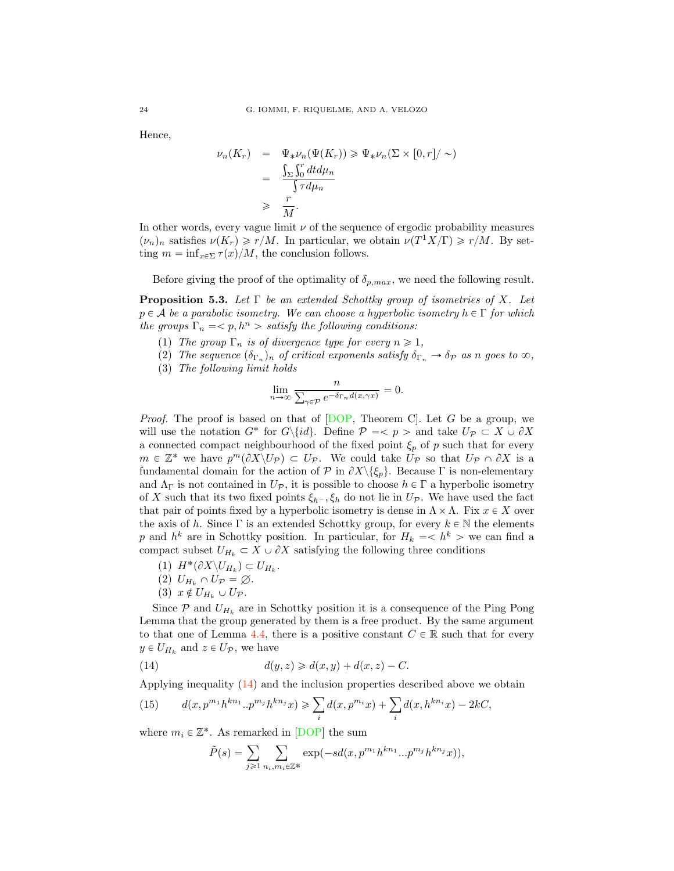Hence,

$$
\nu_n(K_r) = \Psi_* \nu_n(\Psi(K_r)) \ge \Psi_* \nu_n(\Sigma \times [0, r] / \sim)
$$
  
= 
$$
\frac{\int_{\Sigma} \int_0^r dt d\mu_n}{\int \tau d\mu_n}
$$
  
\$\ge \frac{r}{M}\$.

In other words, every vague limit  $\nu$  of the sequence of ergodic probability measures  $(\nu_n)_n$  satisfies  $\nu(K_r) \geq r/M$ . In particular, we obtain  $\nu(T^1X/\Gamma) \geq r/M$ . By setting  $m = \inf_{x \in \Sigma} \tau(x)/M$ , the conclusion follows.

Before giving the proof of the optimality of  $\delta_{p,max}$ , we need the following result.

**Proposition 5.3.** Let  $\Gamma$  be an extended Schottky group of isometries of X. Let  $p \in A$  be a parabolic isometry. We can choose a hyperbolic isometry  $h \in \Gamma$  for which the groups  $\Gamma_n = \langle p, h^n \rangle$  satisfy the following conditions:

- (1) The group  $\Gamma_n$  is of divergence type for every  $n \geq 1$ ,
- (2) The sequence  $(\delta_{\Gamma_n})_n$  of critical exponents satisfy  $\delta_{\Gamma_n} \to \delta_{\mathcal{P}}$  as n goes to  $\infty$ ,
- (3) The following limit holds

$$
\lim_{n \to \infty} \frac{n}{\sum_{\gamma \in \mathcal{P}} e^{-\delta_{\Gamma_n} d(x, \gamma x)}} = 0.
$$

*Proof.* The proof is based on that of  $[DOP, Theorem C]$ . Let G be a group, we will use the notation  $G^*$  for  $G\setminus\{id\}$ . Define  $P = \langle p \rangle$  and take  $U_p \subset X \cup \partial X$ a connected compact neighbourhood of the fixed point  $\xi_p$  of p such that for every  $m \in \mathbb{Z}^*$  we have  $p^m(\partial X \setminus U_{\mathcal{P}}) \subset U_{\mathcal{P}}$ . We could take  $U_{\mathcal{P}}$  so that  $U_{\mathcal{P}} \cap \partial X$  is a fundamental domain for the action of  $P$  in  $\partial X \setminus {\xi_p}$ . Because  $\Gamma$  is non-elementary and  $\Lambda_{\Gamma}$  is not contained in  $U_{\mathcal{P}}$ , it is possible to choose  $h \in \Gamma$  a hyperbolic isometry of X such that its two fixed points  $\xi_{h}$ ,  $\xi_{h}$  do not lie in  $U_{\mathcal{P}}$ . We have used the fact that pair of points fixed by a hyperbolic isometry is dense in  $\Lambda \times \Lambda$ . Fix  $x \in X$  over the axis of h. Since  $\Gamma$  is an extended Schottky group, for every  $k \in \mathbb{N}$  the elements p and  $h^k$  are in Schottky position. In particular, for  $H_k = \langle h^k \rangle$  we can find a compact subset  $U_{H_k} \subset X \cup \partial X$  satisfying the following three conditions

- (1)  $H^*(\partial X \backslash U_{H_k}) \subset U_{H_k}$ .
- (2)  $U_{H_k} \cap U_{\mathcal{P}} = \varnothing$ .
- (3)  $x \notin U_{H_k} \cup U_{\mathcal{P}}$ .

Since  $P$  and  $U_{H_k}$  are in Schottky position it is a consequence of the Ping Pong Lemma that the group generated by them is a free product. By the same argument to that one of Lemma 4.4, there is a positive constant  $C \in \mathbb{R}$  such that for every  $y \in U_{H_k}$  and  $z \in U_{\mathcal{P}}$ , we have

(14) 
$$
d(y, z) \geq d(x, y) + d(x, z) - C.
$$

Applying inequality (14) and the inclusion properties described above we obtain

(15) 
$$
d(x, p^{m_1}h^{kn_1} \cdot p^{m_j}h^{kn_j}x) \ge \sum_i d(x, p^{m_i}x) + \sum_i d(x, h^{kn_i}x) - 2kC,
$$

where  $m_i \in \mathbb{Z}^*$ . As remarked in [DOP] the sum

$$
\tilde{P}(s) = \sum_{j \geq 1} \sum_{n_i, m_i \in \mathbb{Z}^*} \exp(-sd(x, p^{m_1}h^{kn_1}...p^{m_j}h^{kn_j}x)),
$$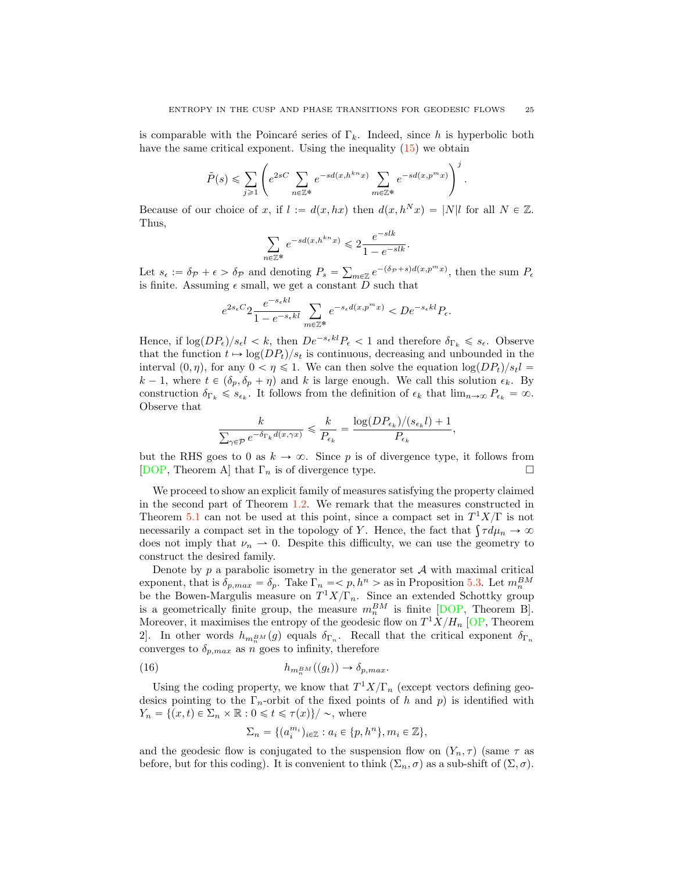is comparable with the Poincaré series of  $\Gamma_k$ . Indeed, since h is hyperbolic both have the same critical exponent. Using the inequality  $(15)$  we obtain

$$
\tilde{P}(s) \leqslant \sum_{j \geqslant 1} \left(e^{2sC} \sum_{n \in \mathbb{Z}^*} e^{-sd(x,h^{kn}x)} \sum_{m \in \mathbb{Z}^*} e^{-sd(x,p^mx)}\right)^j
$$

Because of our choice of x, if  $l := d(x, hx)$  then  $d(x, h^N x) = |N|l$  for all  $N \in \mathbb{Z}$ . Thus,

$$
\sum_{n\in\mathbb{Z}^*}e^{-sd(x,h^{kn}x)} \leq 2\frac{e^{-slk}}{1-e^{-slk}}.
$$

Let  $s_{\epsilon} := \delta_{\mathcal{P}} + \epsilon > \delta_{\mathcal{P}}$  and denoting  $P_s = \sum_{m \in \mathbb{Z}} e^{-(\delta_{\mathcal{P}} + s) d(x, p^m x)}$ , then the sum  $P_{\epsilon}$ is finite. Assuming  $\epsilon$  small, we get a constant  $\overline{D}$  such that

$$
e^{2s_{\epsilon}C} 2\frac{e^{-s_{\epsilon}kl}}{1-e^{-s_{\epsilon}kl}}\sum_{m\in\mathbb{Z}^*}e^{-s_{\epsilon}d(x,p^mx)}
$$

Hence, if  $\log(DP_{\epsilon})/s_{\epsilon}$ l  $\lt k$ , then  $De^{-s_{\epsilon}kl}P_{\epsilon} \lt 1$  and therefore  $\delta_{\Gamma_k} \leq s_{\epsilon}$ . Observe that the function  $t \mapsto \log(DP_t)/s_t$  is continuous, decreasing and unbounded in the interval  $(0, \eta)$ , for any  $0 < \eta \leq 1$ . We can then solve the equation  $\log(DP_t)/s_t l =$  $k - 1$ , where  $t \in (\delta_p, \delta_p + \eta)$  and k is large enough. We call this solution  $\epsilon_k$ . By construction  $\delta_{\Gamma_k} \leqslant s_{\epsilon_k}$ . It follows from the definition of  $\epsilon_k$  that  $\lim_{n\to\infty} P_{\epsilon_k} = \infty$ . Observe that

$$
\frac{k}{\sum_{\gamma \in \mathcal{P}} e^{-\delta_{\Gamma_k} d(x,\gamma x)}} \leqslant \frac{k}{P_{\epsilon_k}} = \frac{\log (DP_{\epsilon_k})/(s_{\epsilon_k}l)+1}{P_{\epsilon_k}},
$$

but the RHS goes to 0 as  $k \to \infty$ . Since p is of divergence type, it follows from [DOP, Theorem A] that  $\Gamma_n$  is of divergence type. [DOP, Theorem A] that  $\Gamma_n$  is of divergence type.

We proceed to show an explicit family of measures satisfying the property claimed in the second part of Theorem 1.2. We remark that the measures constructed in Theorem 5.1 can not be used at this point, since a compact set in  $T^1X/\Gamma$  is not necessarily a compact set in the topology of Y. Hence, the fact that  $\int \tau d\mu_n \to \infty$ does not imply that  $\nu_n \rightharpoonup 0$ . Despite this difficulty, we can use the geometry to construct the desired family.

Denote by  $p$  a parabolic isometry in the generator set  $A$  with maximal critical exponent, that is  $\delta_{p,max} = \delta_p$ . Take  $\Gamma_n = \langle p, h^n \rangle$  as in Proposition 5.3. Let  $m_n^{BM}$ be the Bowen-Margulis measure on  $T^1X/\Gamma_n$ . Since an extended Schottky group is a geometrically finite group, the measure  $m_n^{BM}$  is finite [DOP, Theorem B]. Moreover, it maximises the entropy of the geodesic flow on  $T^1X/H_n$  [OP, Theorem 2. In other words  $h_{m,m} g(g)$  equals  $\delta_{\Gamma_n}$ . Recall that the critical exponent  $\delta_{\Gamma_n}$ converges to  $\delta_{p,max}$  as n goes to infinity, therefore

(16) 
$$
h_{m_n^{BM}}((g_t)) \to \delta_{p,max}.
$$

Using the coding property, we know that  $T^1X/\Gamma_n$  (except vectors defining geodesics pointing to the  $\Gamma_n$ -orbit of the fixed points of h and p) is identified with  $Y_n = \{ (x, t) \in \Sigma_n \times \mathbb{R} : 0 \leq t \leq \tau(x) \} / \sim$ , where

$$
\Sigma_n = \{(a_i^{m_i})_{i \in \mathbb{Z}} : a_i \in \{p, h^n\}, m_i \in \mathbb{Z}\},\
$$

and the geodesic flow is conjugated to the suspension flow on  $(Y_n, \tau)$  (same  $\tau$  as before, but for this coding). It is convenient to think  $(\Sigma_n, \sigma)$  as a sub-shift of  $(\Sigma, \sigma)$ .

.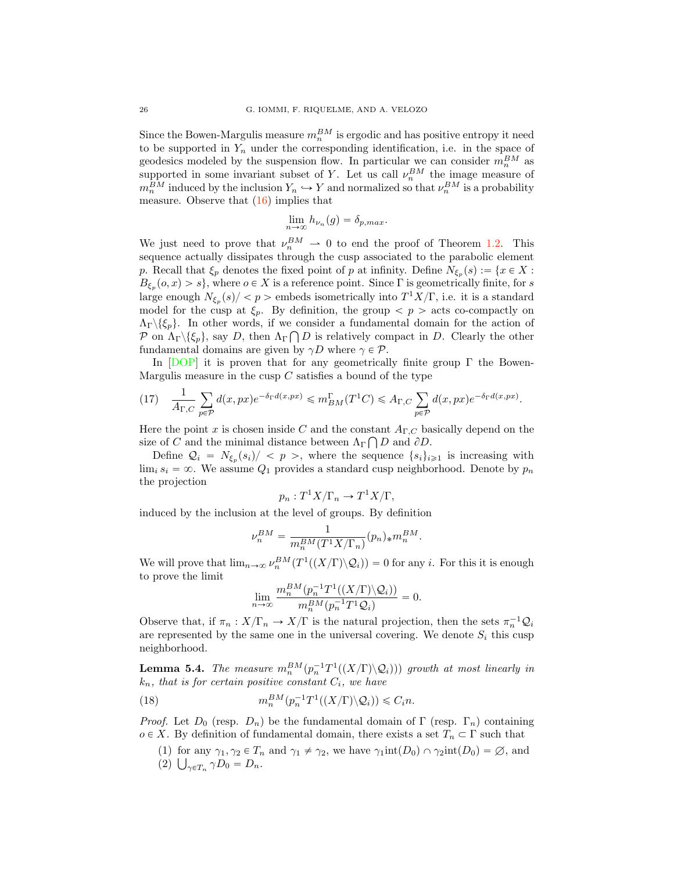Since the Bowen-Margulis measure  $m_n^{BM}$  is ergodic and has positive entropy it need to be supported in  $Y_n$  under the corresponding identification, i.e. in the space of geodesics modeled by the suspension flow. In particular we can consider  $m_n^{BM}$  as supported in some invariant subset of Y. Let us call  $\nu_n^{BM}$  the image measure of  $m_n^{BM}$  induced by the inclusion  $Y_n \hookrightarrow Y$  and normalized so that  $\nu_n^{BM}$  is a probability measure. Observe that (16) implies that

$$
\lim_{n \to \infty} h_{\nu_n}(g) = \delta_{p,max}.
$$

We just need to prove that  $\nu_n^{BM} \rightharpoonup 0$  to end the proof of Theorem 1.2. This sequence actually dissipates through the cusp associated to the parabolic element p. Recall that  $\xi_p$  denotes the fixed point of p at infinity. Define  $N_{\xi_p}(s) := \{x \in X :$  $B_{\xi_p}(o, x) > s$ , where  $o \in X$  is a reference point. Since Γ is geometrically finite, for s large enough  $N_{\xi_n}(s)/\langle p\rangle$  embeds isometrically into  $T^1X/\Gamma$ , i.e. it is a standard model for the cusp at  $\xi_p$ . By definition, the group  $\langle p \rangle$  acts co-compactly on  $\Lambda_{\Gamma} \setminus \{\xi_p\}.$  In other words, if we consider a fundamental domain for the action of *P* on  $\Lambda_{\Gamma} \setminus {\{\xi_p\}}$ , say *D*, then  $\Lambda_{\Gamma} \cap D$  is relatively compact in *D*. Clearly the other fundamental domains are given by  $\gamma D$  where  $\gamma \in \mathcal{P}$ .

In  $[DOP]$  it is proven that for any geometrically finite group  $\Gamma$  the Bowen-Margulis measure in the cusp  $C$  satisfies a bound of the type

.

$$
(17) \quad \frac{1}{A_{\Gamma,C}} \sum_{p \in \mathcal{P}} d(x, px) e^{-\delta_{\Gamma} d(x, px)} \leq m_{BM}^{\Gamma}(T^1C) \leq A_{\Gamma,C} \sum_{p \in \mathcal{P}} d(x, px) e^{-\delta_{\Gamma} d(x, px)}
$$

Here the point x is chosen inside C and the constant  $A_{\Gamma,C}$  basically depend on the size of C and the minimal distance between  $\Lambda_{\Gamma} \bigcap D$  and  $\partial D$ .

Define  $\mathcal{Q}_i = N_{\xi_p}(s_i)/\langle p \rangle$ , where the sequence  $\{s_i\}_{i\geq 1}$  is increasing with  $\lim_i s_i = \infty$ . We assume  $Q_1$  provides a standard cusp neighborhood. Denote by  $p_n$ the projection

$$
p_n: T^1 X/\Gamma_n \to T^1 X/\Gamma,
$$

induced by the inclusion at the level of groups. By definition

$$
\nu_n^{BM} = \frac{1}{m_n^{BM} (T^1 X/\Gamma_n)} (p_n)_* m_n^{BM}.
$$

We will prove that  $\lim_{n\to\infty} \nu_n^{BM}(T^1((X/\Gamma)\backslash Q_i)) = 0$  for any *i*. For this it is enough to prove the limit

$$
\lim_{n\to\infty}\frac{m_n^{BM}(p_n^{-1}T^1((X/\Gamma)\backslash\mathcal{Q}_i))}{m_n^{BM}(p_n^{-1}T^1\mathcal{Q}_i)}=0.
$$

Observe that, if  $\pi_n : X/\Gamma_n \to X/\Gamma$  is the natural projection, then the sets  $\pi_n^{-1} \mathcal{Q}_i$ are represented by the same one in the universal covering. We denote  $S_i$  this cusp neighborhood.

**Lemma 5.4.** The measure  $m_n^{BM}(p_n^{-1}T^1((X/\Gamma)\backslash Q_i)))$  growth at most linearly in  $k_n$ , that is for certain positive constant  $C_i$ , we have

(18) 
$$
m_n^{BM}(p_n^{-1}T^1((X/\Gamma)\backslash \mathcal{Q}_i)) \leqslant C_i n.
$$

*Proof.* Let  $D_0$  (resp.  $D_n$ ) be the fundamental domain of  $\Gamma$  (resp.  $\Gamma_n$ ) containing  $o \in X$ . By definition of fundamental domain, there exists a set  $T_n \subset \Gamma$  such that

(1) for any  $\gamma_1, \gamma_2 \in T_n$  and  $\gamma_1 \neq \gamma_2$ , we have  $\gamma_1$ int $(D_0) \cap \gamma_2$ int $(D_0) = \emptyset$ , and (2)  $\bigcup_{\gamma \in T_n} \gamma D_0 = D_n.$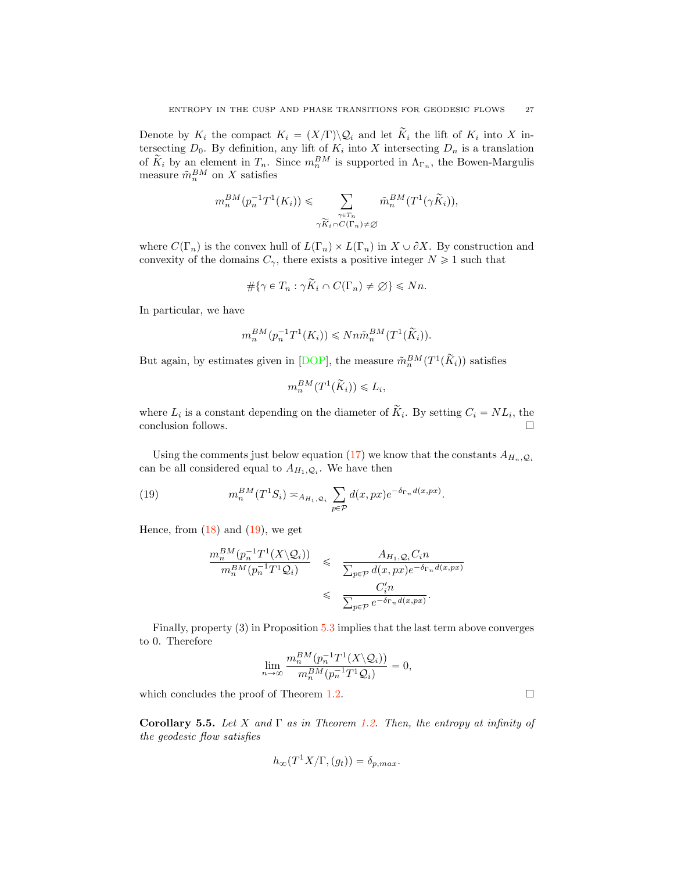Denote by  $K_i$  the compact  $K_i = (X/\Gamma) \backslash \mathcal{Q}_i$  and let  $\widetilde{K}_i$  the lift of  $K_i$  into X intersecting  $D_0$ . By definition, any lift of  $K_i$  into X intersecting  $D_n$  is a translation of  $K_i$  by an element in  $T_n$ . Since  $m_n^{BM}$  is supported in  $\Lambda_{\Gamma_n}$ , the Bowen-Margulis measure  $\tilde{m}_n^{BM}$  on X satisfies

$$
m_n^{BM}(p_n^{-1}T^1(K_i)) \leq \sum_{\substack{\gamma \in T_n \\ \gamma \widetilde{K}_i \cap C(\Gamma_n) \neq \emptyset}} \tilde{m}_n^{BM}(T^1(\gamma \widetilde{K}_i)),
$$

where  $C(\Gamma_n)$  is the convex hull of  $L(\Gamma_n) \times L(\Gamma_n)$  in  $X \cup \partial X$ . By construction and convexity of the domains  $C_{\gamma}$ , there exists a positive integer  $N \geq 1$  such that

$$
\#\{\gamma \in T_n : \gamma \widetilde{K}_i \cap C(\Gamma_n) \neq \varnothing\} \leq Nn.
$$

In particular, we have

$$
m_n^{BM}(p_n^{-1}T^1(K_i)) \leqslant Nn\tilde{m}_n^{BM}(T^1(\widetilde{K}_i)).
$$

But again, by estimates given in [DOP], the measure  $\tilde{m}_n^{BM}(T^1(\tilde{K}_i))$  satisfies

$$
m_n^{BM}(T^1(\widetilde{K}_i)) \leq L_i,
$$

where  $L_i$  is a constant depending on the diameter of  $\widetilde{K}_i$ . By setting  $C_i = NL_i$ , the conclusion follows conclusion follows. !

Using the comments just below equation (17) we know that the constants  $A_{H_n, \mathcal{Q}_i}$ can be all considered equal to  $A_{H_1,\mathcal{Q}_i}$ . We have then

(19) 
$$
m_n^{BM}(T^1S_i) \asymp_{A_{H_1,Q_i}} \sum_{p \in \mathcal{P}} d(x,px) e^{-\delta_{\Gamma_n} d(x,px)}.
$$

Hence, from  $(18)$  and  $(19)$ , we get

$$
\frac{m_n^{BM}(p_n^{-1}T^1(X\setminus Q_i))}{m_n^{BM}(p_n^{-1}T^1Q_i)} \leq \frac{A_{H_1,Q_i}C_in}{\sum_{p\in\mathcal{P}}d(x,px)e^{-\delta_{\Gamma_n}d(x,px)}}
$$
  

$$
\leq \frac{C'_in}{\sum_{p\in\mathcal{P}}e^{-\delta_{\Gamma_n}d(x,px)}}.
$$

Finally, property (3) in Proposition 5.3 implies that the last term above converges to 0. Therefore

$$
\lim_{n\to\infty}\frac{m_n^{BM}(p_n^{-1}T^1(X\setminus\mathcal{Q}_i))}{m_n^{BM}(p_n^{-1}T^1\mathcal{Q}_i)}=0,
$$

which concludes the proof of Theorem 1.2.  $\Box$ 

Corollary 5.5. Let X and  $\Gamma$  as in Theorem 1.2. Then, the entropy at infinity of the geodesic flow satisfies

$$
h_{\infty}(T^1X/\Gamma,(g_t)) = \delta_{p,max}.
$$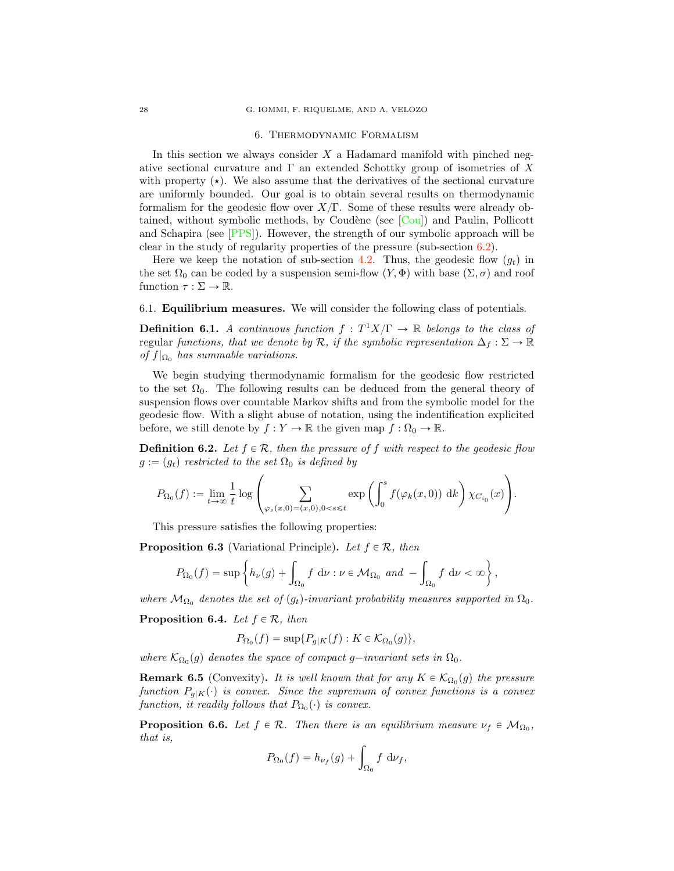#### 6. Thermodynamic Formalism

In this section we always consider  $X$  a Hadamard manifold with pinched negative sectional curvature and  $\Gamma$  an extended Schottky group of isometries of X with property  $(\star)$ . We also assume that the derivatives of the sectional curvature are uniformly bounded. Our goal is to obtain several results on thermodynamic formalism for the geodesic flow over  $X/\Gamma$ . Some of these results were already obtained, without symbolic methods, by Coudène (see  $\lceil \text{Cou} \rceil$ ) and Paulin, Pollicott and Schapira (see [PPS]). However, the strength of our symbolic approach will be clear in the study of regularity properties of the pressure (sub-section  $6.2$ ).

Here we keep the notation of sub-section 4.2. Thus, the geodesic flow  $(q_t)$  in the set  $\Omega_0$  can be coded by a suspension semi-flow  $(Y, \Phi)$  with base  $(\Sigma, \sigma)$  and roof function  $\tau : \Sigma \to \mathbb{R}$ .

6.1. Equilibrium measures. We will consider the following class of potentials.

**Definition 6.1.** A continuous function  $f : T^1X/\Gamma \to \mathbb{R}$  belongs to the class of regular functions, that we denote by  $\mathcal{R}$ , if the symbolic representation  $\Delta_f : \Sigma \to \mathbb{R}$ of  $f|_{\Omega_0}$  has summable variations.

We begin studying thermodynamic formalism for the geodesic flow restricted to the set  $\Omega_0$ . The following results can be deduced from the general theory of suspension flows over countable Markov shifts and from the symbolic model for the geodesic flow. With a slight abuse of notation, using the indentification explicited before, we still denote by  $f : Y \to \mathbb{R}$  the given map  $f : \Omega_0 \to \mathbb{R}$ .

**Definition 6.2.** Let  $f \in \mathcal{R}$ , then the pressure of f with respect to the geodesic flow  $g := (g_t)$  restricted to the set  $\Omega_0$  is defined by

$$
P_{\Omega_0}(f):=\lim_{t\to\infty}\frac{1}{t}\log\left(\sum_{\varphi_s(x,0)=(x,0),0
$$

This pressure satisfies the following properties:

**Proposition 6.3** (Variational Principle). Let  $f \in \mathcal{R}$ , then

$$
P_{\Omega_0}(f) = \sup \left\{ h_{\nu}(g) + \int_{\Omega_0} f \, \mathrm{d}\nu : \nu \in \mathcal{M}_{\Omega_0} \text{ and } -\int_{\Omega_0} f \, \mathrm{d}\nu < \infty \right\},\,
$$

where  $\mathcal{M}_{\Omega_0}$  denotes the set of  $(g_t)$ -invariant probability measures supported in  $\Omega_0$ .

**Proposition 6.4.** Let  $f \in \mathcal{R}$ , then

$$
P_{\Omega_0}(f) = \sup \{ P_{g|K}(f) : K \in \mathcal{K}_{\Omega_0}(g) \},
$$

where  $\mathcal{K}_{\Omega_0}(g)$  denotes the space of compact g-invariant sets in  $\Omega_0$ .

**Remark 6.5** (Convexity). It is well known that for any  $K \in \mathcal{K}_{\Omega_0}(g)$  the pressure function  $P_{q|K}(\cdot)$  is convex. Since the supremum of convex functions is a convex function, it readily follows that  $P_{\Omega_0}(\cdot)$  is convex.

**Proposition 6.6.** Let  $f \in \mathcal{R}$ . Then there is an equilibrium measure  $\nu_f \in \mathcal{M}_{\Omega_0}$ , that is,

$$
P_{\Omega_0}(f) = h_{\nu_f}(g) + \int_{\Omega_0} f \, \mathrm{d}\nu_f,
$$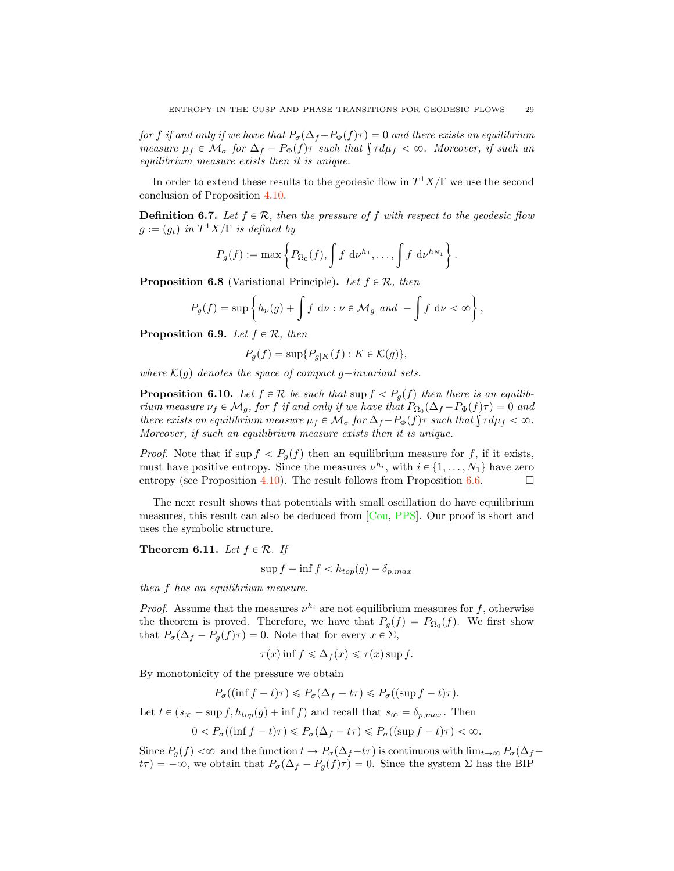for f if and only if we have that  $P_{\sigma}(\Delta_f-P_{\Phi}(f)\tau) = 0$  and there exists an equilibrium measure  $\mu_f \in \mathcal{M}_{\sigma}$  for  $\Delta_f - P_{\Phi}(f)$  *r* such that  $\int \tau d\mu_f < \infty$ . Moreover, if such an equilibrium measure exists then it is unique.

In order to extend these results to the geodesic flow in  $T^1 X/\Gamma$  we use the second conclusion of Proposition 4.10.

**Definition 6.7.** Let  $f \in \mathcal{R}$ , then the pressure of f with respect to the geodesic flow  $g := (g_t)$  in  $T^1 X/\Gamma$  is defined by

$$
P_g(f) := \max \left\{ P_{\Omega_0}(f), \int f \, d\nu^{h_1}, \ldots, \int f \, d\nu^{h_{N_1}} \right\}.
$$

**Proposition 6.8** (Variational Principle). Let  $f \in \mathcal{R}$ , then

$$
P_g(f) = \sup \left\{ h_{\nu}(g) + \int f \, \mathrm{d}\nu : \nu \in \mathcal{M}_g \text{ and } -\int f \, \mathrm{d}\nu < \infty \right\},\,
$$

**Proposition 6.9.** Let  $f \in \mathcal{R}$ , then

$$
P_g(f) = \sup \{ P_{g|K}(f) : K \in \mathcal{K}(g) \},
$$

where  $K(g)$  denotes the space of compact g-invariant sets.

**Proposition 6.10.** Let  $f \in \mathcal{R}$  be such that  $\sup f \leq P_q(f)$  then there is an equilibrium measure  $\nu_f \in \mathcal{M}_g$ , for f if and only if we have that  $P_{\Omega_0}(\Delta_f - P_{\Phi}(f)\tau) = 0$  and there exists an equilibrium measure  $\mu_f \in \mathcal{M}_{\sigma}$  for  $\Delta_f - P_{\Phi}(f)$ <sup> $\tau$ </sup> such that  $\int \tau d\mu_f < \infty$ . Moreover, if such an equilibrium measure exists then it is unique.

*Proof.* Note that if sup  $f < P_q(f)$  then an equilibrium measure for f, if it exists, must have positive entropy. Since the measures  $\nu^{h_i}$ , with  $i \in \{1, ..., N_1\}$  have zero entropy (see Proposition 4.10). The result follows from Proposition 6.6. entropy (see Proposition 4.10). The result follows from Proposition  $6.6$ .

The next result shows that potentials with small oscillation do have equilibrium measures, this result can also be deduced from [Cou, PPS]. Our proof is short and uses the symbolic structure.

**Theorem 6.11.** Let  $f \in \mathcal{R}$ . If

$$
\sup f - \inf f < h_{top}(g) - \delta_{p,max}
$$

then f has an equilibrium measure.

*Proof.* Assume that the measures  $\nu^{h_i}$  are not equilibrium measures for f, otherwise the theorem is proved. Therefore, we have that  $P_g(f) = P_{\Omega_0}(f)$ . We first show that  $P_{\sigma}(\Delta_f - P_g(f)\tau) = 0$ . Note that for every  $x \in \Sigma$ ,

$$
\tau(x)\inf f \leq \Delta_f(x) \leq \tau(x)\sup f.
$$

By monotonicity of the pressure we obtain

$$
P_{\sigma}((\inf f - t)\tau) \le P_{\sigma}(\Delta_f - t\tau) \le P_{\sigma}((\sup f - t)\tau).
$$

Let  $t \in (s_{\infty} + \sup f, h_{top}(g) + \inf f)$  and recall that  $s_{\infty} = \delta_{p,max}$ . Then

$$
0 < P_{\sigma}((\inf f - t)\tau) \leq P_{\sigma}(\Delta_f - t\tau) \leq P_{\sigma}((\sup f - t)\tau) < \infty.
$$

Since  $P_g(f) < \infty$  and the function  $t \to P_\sigma(\Delta_f - t\tau)$  is continuous with  $\lim_{t \to \infty} P_\sigma(\Delta_f - t\tau)$  $t\tau$ ) =  $-\infty$ , we obtain that  $P_{\sigma}(\Delta_f - P_g(f)\tau) = 0$ . Since the system  $\Sigma$  has the BIP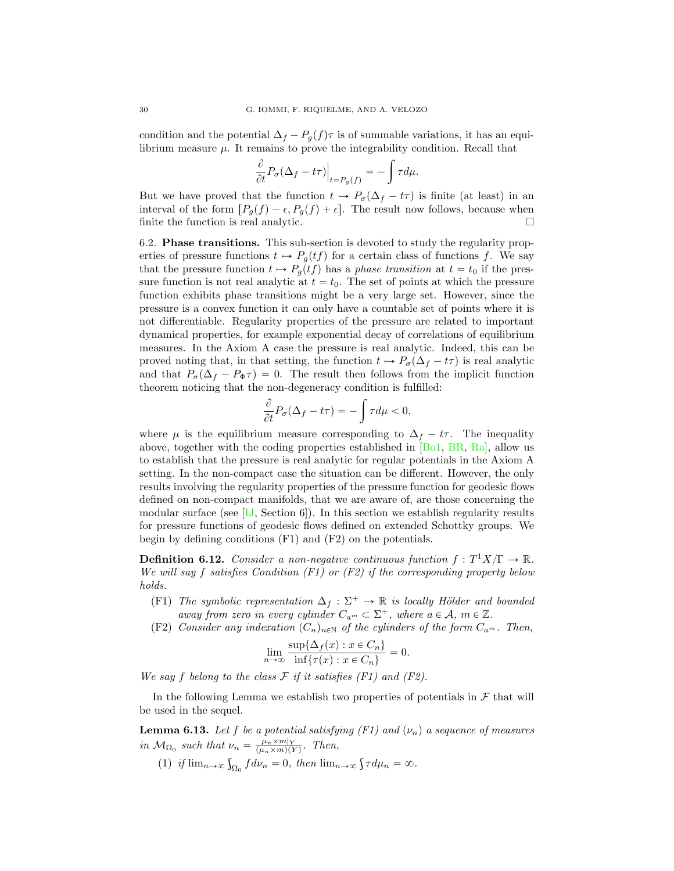condition and the potential  $\Delta_f - P_q(f)\tau$  is of summable variations, it has an equilibrium measure  $\mu$ . It remains to prove the integrability condition. Recall that

$$
\frac{\partial}{\partial t}P_{\sigma}(\Delta_{f}-t\tau)\Big|_{t=P_{g}(f)}=-\int\tau d\mu.
$$

But we have proved that the function  $t \to P_{\sigma}(\Delta_f - t\tau)$  is finite (at least) in an interval of the form  $[P_g(f) - \epsilon, P_g(f) + \epsilon]$ . The result now follows, because when finite the function is real analytic finite the function is real analytic.

6.2. Phase transitions. This sub-section is devoted to study the regularity properties of pressure functions  $t \mapsto P_g(t f)$  for a certain class of functions f. We say that the pressure function  $t \mapsto P_q(tf)$  has a phase transition at  $t = t_0$  if the pressure function is not real analytic at  $t = t_0$ . The set of points at which the pressure function exhibits phase transitions might be a very large set. However, since the pressure is a convex function it can only have a countable set of points where it is not differentiable. Regularity properties of the pressure are related to important dynamical properties, for example exponential decay of correlations of equilibrium measures. In the Axiom A case the pressure is real analytic. Indeed, this can be proved noting that, in that setting, the function  $t \mapsto P_{\sigma}(\Delta_f - t\tau)$  is real analytic and that  $P_{\sigma}(\Delta_f - P_{\Phi}\tau) = 0$ . The result then follows from the implicit function theorem noticing that the non-degeneracy condition is fulfilled:

$$
\frac{\partial}{\partial t}P_{\sigma}(\Delta_f - t\tau) = -\int \tau d\mu < 0,
$$

where  $\mu$  is the equilibrium measure corresponding to  $\Delta_f - t\tau$ . The inequality above, together with the coding properties established in  $[B_01, BR, Ra]$ , allow us to establish that the pressure is real analytic for regular potentials in the Axiom A setting. In the non-compact case the situation can be different. However, the only results involving the regularity properties of the pressure function for geodesic flows defined on non-compact manifolds, that we are aware of, are those concerning the modular surface (see  $[IJ, Section 6]$ ). In this section we establish regularity results for pressure functions of geodesic flows defined on extended Schottky groups. We begin by defining conditions (F1) and (F2) on the potentials.

**Definition 6.12.** Consider a non-negative continuous function  $f: T^1X/\Gamma \to \mathbb{R}$ . We will say f satisfies Condition  $(F1)$  or  $(F2)$  if the corresponding property below holds.

- (F1) The symbolic representation  $\Delta_f : \Sigma^+ \to \mathbb{R}$  is locally Hölder and bounded away from zero in every cylinder  $C_{a^m} \subset \Sigma^+$ , where  $a \in \mathcal{A}$ ,  $m \in \mathbb{Z}$ .
- (F2) Consider any indexation  $(C_n)_{n\in\mathbb{N}}$  of the cylinders of the form  $C_{a^m}$ . Then,

$$
\lim_{n \to \infty} \frac{\sup \{ \Delta_f(x) : x \in C_n \}}{\inf \{ \tau(x) : x \in C_n \}} = 0.
$$

We say f belong to the class  $\mathcal F$  if it satisfies  $(F1)$  and  $(F2)$ .

In the following Lemma we establish two properties of potentials in  $\mathcal F$  that will be used in the sequel.

**Lemma 6.13.** Let f be a potential satisfying (F1) and  $(\nu_n)$  a sequence of measures in  $\mathcal{M}_{\Omega_0}$  such that  $\nu_n = \frac{\mu_n \times m|_{Y}}{(\mu_n \times m)(Y)}$ . Then,

(1) if  $\lim_{n\to\infty} \int_{\Omega_0} f d\nu_n = 0$ , then  $\lim_{n\to\infty} \int f d\mu_n = \infty$ .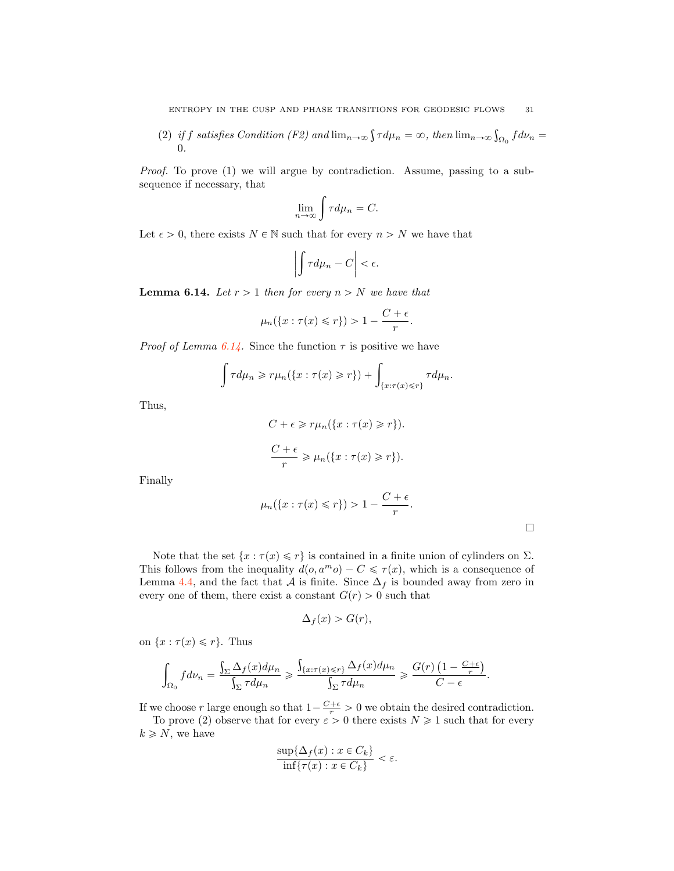(2) if f satisfies Condition (F2) and  $\lim_{n\to\infty} \int \tau d\mu_n = \infty$ , then  $\lim_{n\to\infty} \int_{\Omega_0} f d\nu_n =$ 0.

Proof. To prove (1) we will argue by contradiction. Assume, passing to a subsequence if necessary, that

$$
\lim_{n \to \infty} \int \tau d\mu_n = C.
$$

Let  $\epsilon > 0$ , there exists  $N \in \mathbb{N}$  such that for every  $n > N$  we have that

$$
\left| \int \tau d\mu_n - C \right| < \epsilon.
$$

**Lemma 6.14.** Let  $r > 1$  then for every  $n > N$  we have that

$$
\mu_n(\{x:\tau(x)\leq r\})>1-\frac{C+\epsilon}{r}.
$$

*Proof of Lemma 6.14.* Since the function  $\tau$  is positive we have

$$
\int \tau d\mu_n \geqslant r\mu_n(\lbrace x:\tau(x)\geqslant r\rbrace) + \int_{\lbrace x:\tau(x)\leqslant r\rbrace} \tau d\mu_n.
$$

Thus,

$$
C + \epsilon \ge r\mu_n(\lbrace x : \tau(x) \ge r \rbrace).
$$
  

$$
\frac{C + \epsilon}{r} \ge \mu_n(\lbrace x : \tau(x) \ge r \rbrace).
$$

Finally

$$
\mu_n(\{x:\tau(x)\leq r\})>1-\frac{C+\epsilon}{r}.
$$

Note that the set  $\{x : \tau(x) \leq r\}$  is contained in a finite union of cylinders on  $\Sigma$ . This follows from the inequality  $d(o, a^m o) - C \leq \tau(x)$ , which is a consequence of Lemma 4.4, and the fact that *A* is finite. Since  $\Delta_f$  is bounded away from zero in every one of them, there exist a constant  $G(r) > 0$  such that

$$
\Delta_f(x) > G(r),
$$

on  $\{x : \tau(x) \leq r\}$ . Thus

$$
\int_{\Omega_0} f d\nu_n = \frac{\int_{\Sigma} \Delta_f(x) d\mu_n}{\int_{\Sigma} \tau d\mu_n} \geqslant \frac{\int_{\{x: \tau(x) \leqslant r\}} \Delta_f(x) d\mu_n}{\int_{\Sigma} \tau d\mu_n} \geqslant \frac{G(r) \left(1 - \frac{C + \epsilon}{r} \right)}{C - \epsilon}.
$$

If we choose r large enough so that  $1 - \frac{C+\epsilon}{r} > 0$  we obtain the desired contradiction.

To prove (2) observe that for every  $\varepsilon > 0$  there exists  $N \ge 1$  such that for every  $k \geq N$ , we have

$$
\frac{\sup\{\Delta_f(x): x \in C_k\}}{\inf\{\tau(x): x \in C_k\}} < \varepsilon.
$$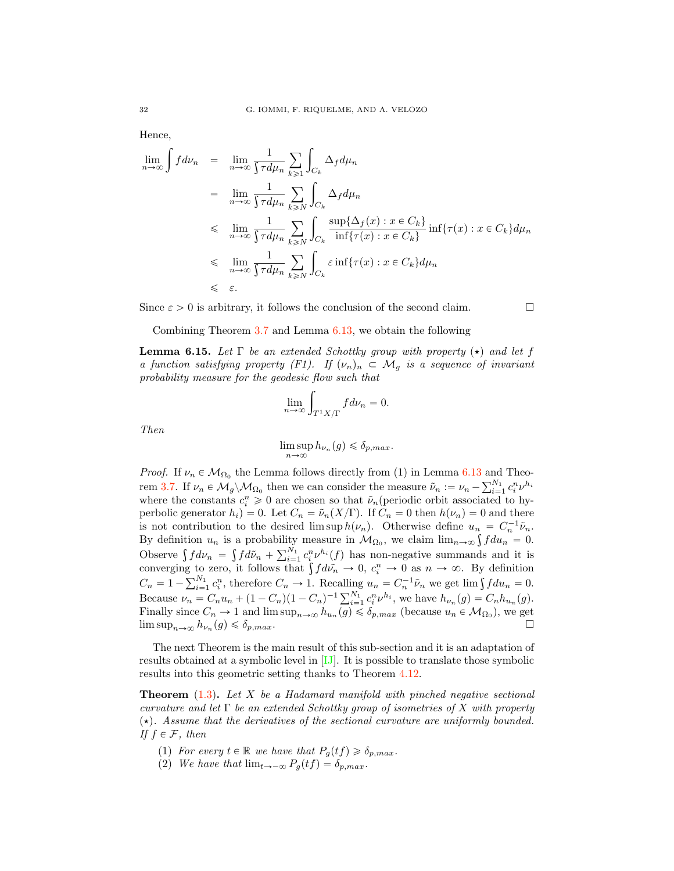Hence,

$$
\lim_{n \to \infty} \int f d\nu_n = \lim_{n \to \infty} \frac{1}{\int \tau d\mu_n} \sum_{k \ge 1} \int_{C_k} \Delta_f d\mu_n
$$
\n
$$
= \lim_{n \to \infty} \frac{1}{\int \tau d\mu_n} \sum_{k \ge N} \int_{C_k} \Delta_f d\mu_n
$$
\n
$$
\le \lim_{n \to \infty} \frac{1}{\int \tau d\mu_n} \sum_{k \ge N} \int_{C_k} \frac{\sup{\{\Delta_f(x) : x \in C_k\}}}{\inf{\{\tau(x) : x \in C_k\}} } \inf{\{\tau(x) : x \in C_k\}} d\mu_n
$$
\n
$$
\le \lim_{n \to \infty} \frac{1}{\int \tau d\mu_n} \sum_{k \ge N} \int_{C_k} \varepsilon \inf{\{\tau(x) : x \in C_k\}} d\mu_n
$$
\n
$$
\le \varepsilon.
$$

Since  $\varepsilon > 0$  is arbitrary, it follows the conclusion of the second claim.  $\Box$ 

Combining Theorem 3.7 and Lemma 6.13, we obtain the following

**Lemma 6.15.** Let  $\Gamma$  be an extended Schottky group with property  $(\star)$  and let f a function satisfying property (F1). If  $(\nu_n)_n \subset \mathcal{M}_q$  is a sequence of invariant probability measure for the geodesic flow such that

$$
\lim_{n \to \infty} \int_{T^1 X/\Gamma} f d\nu_n = 0.
$$

Then

$$
\limsup_{n \to \infty} h_{\nu_n}(g) \leq \delta_{p,max}.
$$

*Proof.* If  $\nu_n \in M_{\Omega_0}$  the Lemma follows directly from (1) in Lemma 6.13 and Theorem 3.7. If  $\nu_n \in M_g \backslash M_{\Omega_0}$  then we can consider the measure  $\tilde{\nu}_n := \nu_n - \sum_{i=1}^{N_1} c_i^n \nu^{h_i}$ where the constants  $c_i^n \geq 0$  are chosen so that  $\tilde{\nu}_n$  (periodic orbit associated to hyperbolic generator  $h_i$  = 0. Let  $C_n = \tilde{\nu}_n(X/\Gamma)$ . If  $C_n = 0$  then  $h(\nu_n) = 0$  and there is not contribution to the desired lim sup  $h(\nu_n)$ . Otherwise define  $u_n = C_n^{-1} \tilde{\nu}_n$ . By definition  $u_n$  is a probability measure in  $\mathcal{M}_{\Omega_0}$ , we claim  $\lim_{n\to\infty} \int f du_n = 0$ . Observe  $\int f d\nu_n = \int f d\tilde{\nu}_n + \sum_{i=1}^{N_1} c_i^n \nu^{h_i}(f)$  has non-negative summands and it is converging to zero, it follows that  $\int f d\tilde{v_n} \to 0$ ,  $c_i^n \to 0$  as  $n \to \infty$ . By definition  $C_n = 1 - \sum_{i=1}^{N_1} c_i^n$ , therefore  $C_n \to 1$ . Recalling  $u_n = C_n^{-1} \tilde{\nu}_n$  we get lim  $\int f du_n = 0$ . Because  $\nu_n = C_n u_n + (1 - C_n)(1 - C_n)^{-1} \sum_{i=1}^{N_1} c_i^n \nu^{h_i}$ , we have  $h_{\nu_n}(g) = C_n h_{u_n}(g)$ . Finally since  $C_n \to 1$  and  $\limsup_{n\to\infty} h_{u_n}(g) \leq \delta_{p,max}$  (because  $u_n \in \mathcal{M}_{\Omega_0}$ ), we get  $\limsup_{n\to\infty} h_{\nu_n}(g) \leq \delta_{p,max}.$ 

The next Theorem is the main result of this sub-section and it is an adaptation of results obtained at a symbolic level in [IJ]. It is possible to translate those symbolic results into this geometric setting thanks to Theorem 4.12.

**Theorem**  $(1.3)$ . Let X be a Hadamard manifold with pinched negative sectional curvature and let  $\Gamma$  be an extended Schottky group of isometries of X with property  $(\star)$ . Assume that the derivatives of the sectional curvature are uniformly bounded. If  $f \in \mathcal{F}$ , then

- (1) For every  $t \in \mathbb{R}$  we have that  $P_g(tf) \geq \delta_{p,max}$ .
- (2) We have that  $\lim_{t\to-\infty} P_q(t f) = \delta_{p,max}$ .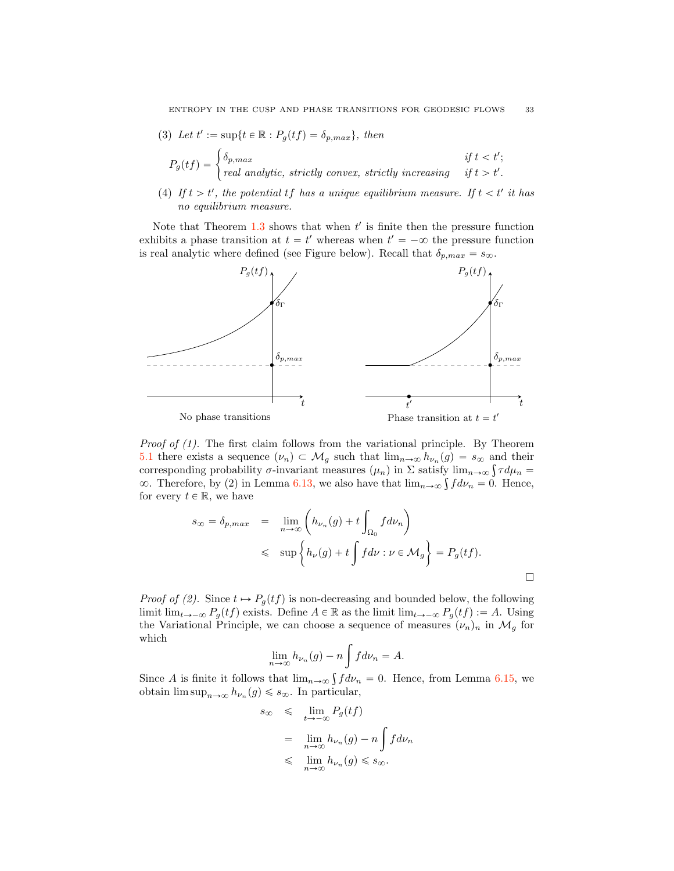(3) Let  $t' := \sup\{t \in \mathbb{R} : P_g(tf) = \delta_{p,max}\},\ then$ 

$$
P_g(tf) = \begin{cases} \delta_{p,max} & \text{if } t < t'; \\ \text{real analytic, strictly convex, strictly increasing} & \text{if } t > t'. \end{cases}
$$

(4) If  $t > t'$ , the potential  $tf$  has a unique equilibrium measure. If  $t < t'$  it has no equilibrium measure.

Note that Theorem  $1.3$  shows that when  $t'$  is finite then the pressure function exhibits a phase transition at  $t = t'$  whereas when  $t' = -\infty$  the pressure function is real analytic where defined (see Figure below). Recall that  $\delta_{p,max} = s_{\infty}$ .



Proof of (1). The first claim follows from the variational principle. By Theorem 5.1 there exists a sequence  $(\nu_n) \subset \mathcal{M}_g$  such that  $\lim_{n\to\infty} h_{\nu_n}(g) = s_{\infty}$  and their corresponding probability  $\sigma$ -invariant measures  $(\mu_n)$  in  $\Sigma$  satisfy  $\lim_{n\to\infty} \int \tau d\mu_n =$  $\infty$ . Therefore, by (2) in Lemma 6.13, we also have that  $\lim_{n\to\infty} \int f d\nu_n = 0$ . Hence, for every  $t \in \mathbb{R}$ , we have

$$
s_{\infty} = \delta_{p,max} = \lim_{n \to \infty} \left( h_{\nu_n}(g) + t \int_{\Omega_0} f d\nu_n \right)
$$
  

$$
\leq \sup \left\{ h_{\nu}(g) + t \int f d\nu : \nu \in \mathcal{M}_g \right\} = P_g(tf).
$$

*Proof of (2).* Since  $t \mapsto P_q(tf)$  is non-decreasing and bounded below, the following limit lim<sub>t $\rightarrow -\infty$ </sub>  $P_g(tf)$  exists. Define  $A \in \mathbb{R}$  as the limit lim<sub>t $\rightarrow -\infty$ </sub>  $P_g(tf) := A$ . Using the Variational Principle, we can choose a sequence of measures  $(\nu_n)_n$  in  $\mathcal{M}_g$  for which

$$
\lim_{n \to \infty} h_{\nu_n}(g) - n \int f d\nu_n = A.
$$

Since A is finite it follows that  $\lim_{n\to\infty} \int f d\nu_n = 0$ . Hence, from Lemma 6.15, we obtain  $\limsup_{n\to\infty} h_{\nu_n}(g) \leq s_\infty$ . In particular,

$$
\begin{array}{lcl} s_{\infty} & \leqslant & \displaystyle \lim_{t \rightarrow -\infty} P_g(t f) \\ \\ & = & \displaystyle \lim_{n \rightarrow \infty} h_{\nu_n}(g) - n \int f d\nu_n \\ \\ & \leqslant & \displaystyle \lim_{n \rightarrow \infty} h_{\nu_n}(g) \leqslant s_{\infty}. \end{array}
$$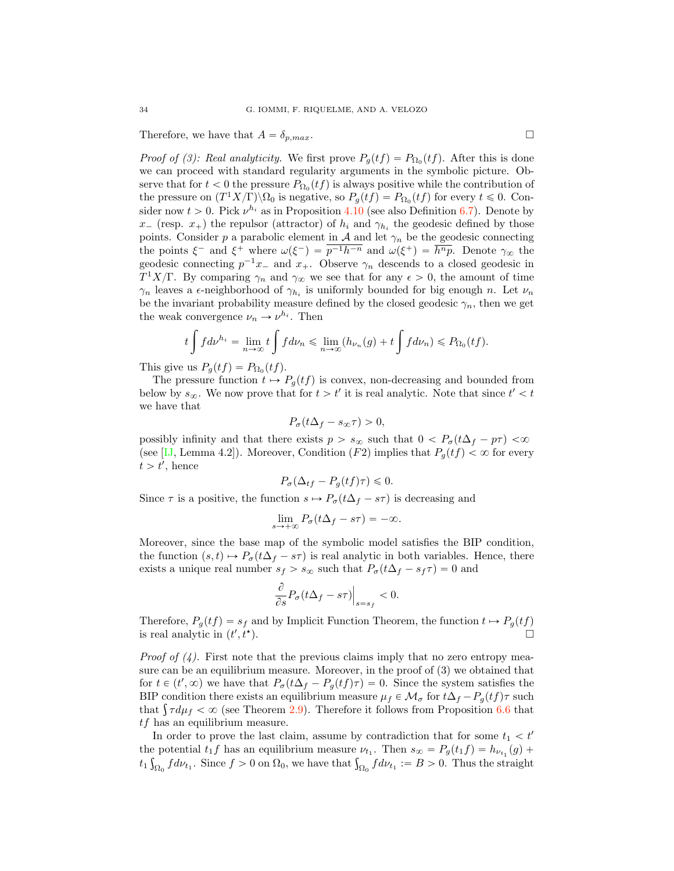Therefore, we have that  $A = \delta_{p,max}$ .

*Proof of (3): Real analyticity.* We first prove  $P_q(tf) = P_{\Omega_0}(tf)$ . After this is done we can proceed with standard regularity arguments in the symbolic picture. Observe that for  $t < 0$  the pressure  $P_{\Omega_0}(tf)$  is always positive while the contribution of the pressure on  $(T^1 X/\Gamma) \backslash \Omega_0$  is negative, so  $P_g(t f) = P_{\Omega_0}(t f)$  for every  $t \leq 0$ . Consider now  $t > 0$ . Pick  $\nu^{h_i}$  as in Proposition 4.10 (see also Definition 6.7). Denote by  $x_{-}$  (resp.  $x_{+}$ ) the repulsor (attractor) of  $h_i$  and  $\gamma_{h_i}$  the geodesic defined by those points. Consider p a parabolic element in  $A$  and let  $\gamma_n$  be the geodesic connecting the points  $\xi^-$  and  $\xi^+$  where  $\omega(\xi^-) = \overline{p^{-1}h^{-n}}$  and  $\omega(\xi^+) = \overline{h^{n}p}$ . Denote  $\gamma_\infty$  the geodesic connecting  $p^{-1}x_-$  and  $x_+$ . Observe  $\gamma_n$  descends to a closed geodesic in T<sup>1</sup>X/Γ. By comparing  $\gamma_n$  and  $\gamma_\infty$  we see that for any  $\epsilon > 0$ , the amount of time  $\gamma_n$  leaves a  $\epsilon$ -neighborhood of  $\gamma_{h_i}$  is uniformly bounded for big enough n. Let  $\nu_n$ be the invariant probability measure defined by the closed geodesic  $\gamma_n$ , then we get the weak convergence  $\nu_n \to \nu^{h_i}$ . Then

$$
t\int f d\nu^{h_i} = \lim_{n \to \infty} t \int f d\nu_n \le \lim_{n \to \infty} (h_{\nu_n}(g) + t \int f d\nu_n) \le P_{\Omega_0}(t f).
$$

This give us  $P_q(tf) = P_{\Omega_0}(tf)$ .

The pressure function  $t \mapsto P_g(t f)$  is convex, non-decreasing and bounded from below by  $s_{\infty}$ . We now prove that for  $t > t'$  it is real analytic. Note that since  $t' < t$ we have that

$$
P_{\sigma}(t\Delta_f - s_{\infty}\tau) > 0,
$$

possibly infinity and that there exists  $p > s_{\infty}$  such that  $0 < P_{\sigma}(t\Delta_f - p\tau) < \infty$ (see [IJ, Lemma 4.2]). Moreover, Condition (F2) implies that  $P<sub>g</sub>(tf) < \infty$  for every  $t > t'$ , hence

$$
P_{\sigma}(\Delta_{tf} - P_g(tf)\tau) \leq 0.
$$

Since  $\tau$  is a positive, the function  $s \mapsto P_{\sigma}(t\Delta_f - s\tau)$  is decreasing and

$$
\lim_{s \to +\infty} P_{\sigma}(t\Delta_f - s\tau) = -\infty.
$$

Moreover, since the base map of the symbolic model satisfies the BIP condition, the function  $(s, t) \mapsto P_{\sigma}(t\Delta_f - s\tau)$  is real analytic in both variables. Hence, there exists a unique real number  $s_f > s_{\infty}$  such that  $P_{\sigma}(t\Delta_f - s_f \tau) = 0$  and

$$
\frac{\partial}{\partial s} P_{\sigma}(t\Delta_f - s\tau)\Big|_{s=s_f} < 0.
$$

Therefore,  $P_g(tf) = s_f$  and by Implicit Function Theorem, the function  $t \mapsto P_g(tf)$  is real analytic in  $(t' \nt^*)$ is real analytic in  $(t'$  $, t^{\star}$ ).

*Proof of (4).* First note that the previous claims imply that no zero entropy measure can be an equilibrium measure. Moreover, in the proof of (3) we obtained that for  $t \in (t', \infty)$  we have that  $P_{\sigma}(t\Delta_f - P_g(t f)\tau) = 0$ . Since the system satisfies the BIP condition there exists an equilibrium measure  $\mu_f \in \mathcal{M}_{\sigma}$  for  $t\Delta_f - P_g(tf)\tau$  such that  $\int \tau d\mu_f < \infty$  (see Theorem 2.9). Therefore it follows from Proposition 6.6 that tf has an equilibrium measure.

In order to prove the last claim, assume by contradiction that for some  $t_1 < t'$ the potential  $t_1f$  has an equilibrium measure  $\nu_{t_1}$ . Then  $s_{\infty} = P_g(t_1 f) = h_{\nu_{t_1}}(g) +$  $t_1 \int_{\Omega_0} f d\nu_{t_1}$ . Since  $f > 0$  on  $\Omega_0$ , we have that  $\int_{\Omega_0} f d\nu_{t_1} := B > 0$ . Thus the straight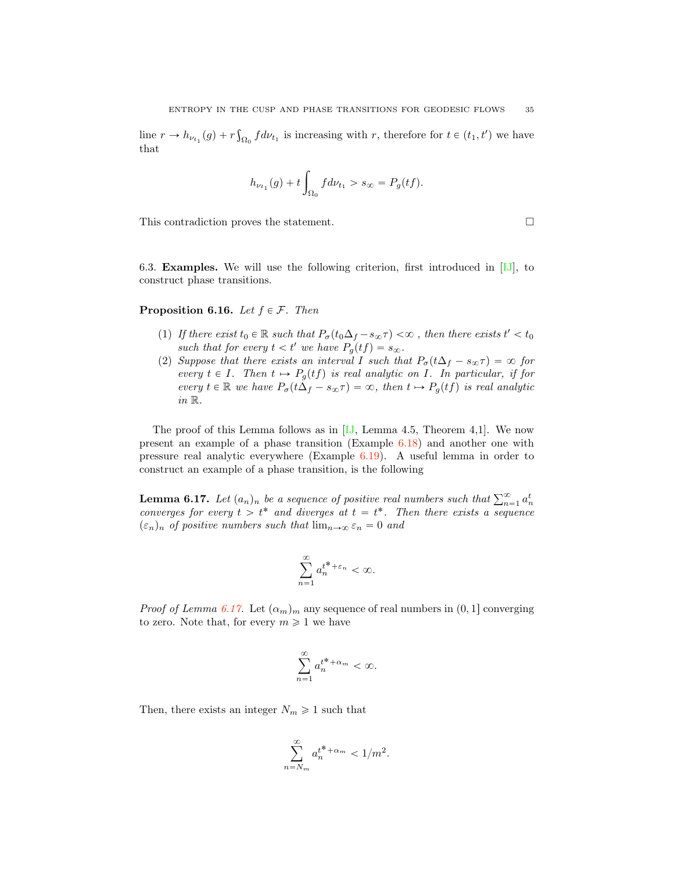line  $r \to h_{\nu_{t_1}}(g) + r \int_{\Omega_0} f d\nu_{t_1}$  is increasing with r, therefore for  $t \in (t_1, t')$  we have that

$$
h_{\nu_{t_1}}(g)+t\int_{\Omega_0}fd\nu_{t_1}>s_\infty=P_g(t f).
$$

This contradiction proves the statement.  $\Box$ 

6.3. Examples. We will use the following criterion, first introduced in [IJ], to construct phase transitions.

**Proposition 6.16.** Let  $f \in \mathcal{F}$ . Then

- (1) If there exist  $t_0 \in \mathbb{R}$  such that  $P_{\sigma}(t_0 \Delta_f s_{\infty} \tau) < \infty$ , then there exists  $t' < t_0$ such that for every  $t < t'$  we have  $P_g(tf) = s_{\infty}$ .
- (2) Suppose that there exists an interval I such that  $P_{\sigma}(t\Delta_f s_{\infty}\tau) = \infty$  for every  $t \in I$ . Then  $t \mapsto P_q(tf)$  is real analytic on I. In particular, if for every  $t \in \mathbb{R}$  we have  $P_{\sigma}(t\Delta_f - s_{\infty}\tau) = \infty$ , then  $t \mapsto P_{\sigma}(tf)$  is real analytic in R.

The proof of this Lemma follows as in  $[J, L, L, 4.5]$ . Theorem 4,1. We now present an example of a phase transition (Example 6.18) and another one with pressure real analytic everywhere (Example 6.19). A useful lemma in order to construct an example of a phase transition, is the following

**Lemma 6.17.** Let  $(a_n)_n$  be a sequence of positive real numbers such that  $\sum_{n=1}^{\infty} a_n^t$ converges for every  $t > t^*$  and diverges at  $t = t^*$ . Then there exists a sequence  $(\varepsilon_n)_n$  of positive numbers such that  $\lim_{n\to\infty} \varepsilon_n = 0$  and

$$
\sum_{n=1}^{\infty} a_n^{t^* + \varepsilon_n} < \infty.
$$

*Proof of Lemma 6.17.* Let  $(\alpha_m)_m$  any sequence of real numbers in  $(0, 1]$  converging to zero. Note that, for every  $m \geq 1$  we have

$$
\sum_{n=1}^{\infty} a_n^{t^* + \alpha_m} < \infty.
$$

Then, there exists an integer  $N_m \geq 1$  such that

$$
\sum_{n=N_m}^{\infty} a_n^{t^* + \alpha_m} < 1/m^2.
$$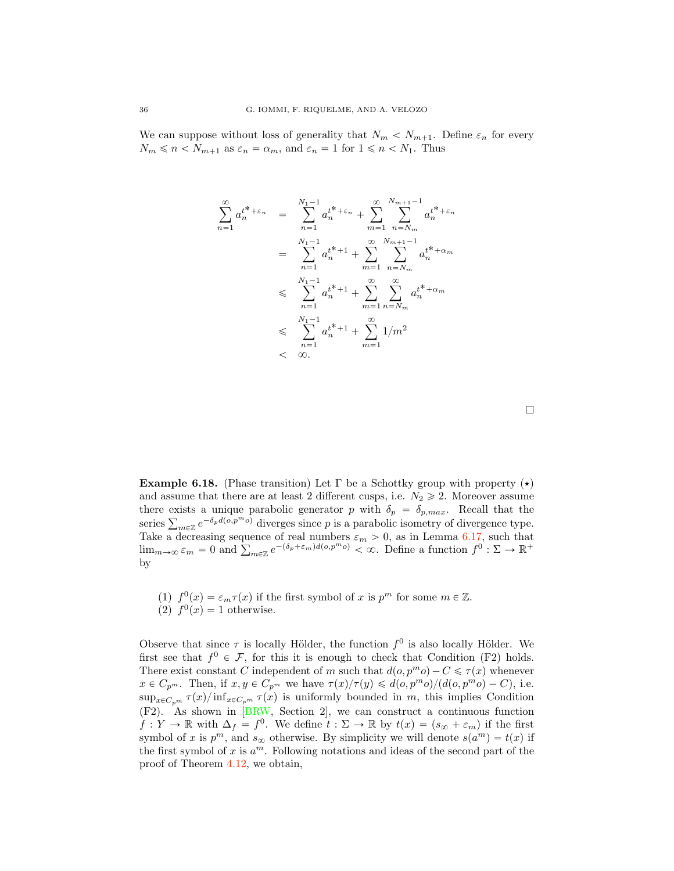We can suppose without loss of generality that  $N_m < N_{m+1}$ . Define  $\varepsilon_n$  for every  $N_m \leq n < N_{m+1}$  as  $\varepsilon_n = \alpha_m$ , and  $\varepsilon_n = 1$  for  $1 \leq n < N_1$ . Thus

$$
\sum_{n=1}^{\infty} a_n^{t^* + \varepsilon_n} = \sum_{n=1}^{N_1 - 1} a_n^{t^* + \varepsilon_n} + \sum_{m=1}^{\infty} \sum_{n=N_m}^{N_{m+1} - 1} a_n^{t^* + \varepsilon_n}
$$
  

$$
= \sum_{n=1}^{N_1 - 1} a_n^{t^* + 1} + \sum_{m=1}^{\infty} \sum_{n=N_m}^{N_{m+1} - 1} a_n^{t^* + \alpha_m}
$$
  

$$
\leqslant \sum_{n=1}^{N_1 - 1} a_n^{t^* + 1} + \sum_{m=1}^{\infty} \sum_{n=N_m}^{N_m} a_n^{t^* + \alpha_m}
$$
  

$$
\leqslant \sum_{n=1}^{N_1 - 1} a_n^{t^* + 1} + \sum_{m=1}^{\infty} 1/m^2
$$
  

$$
< \infty.
$$

**Example 6.18.** (Phase transition) Let  $\Gamma$  be a Schottky group with property  $(\star)$ and assume that there are at least 2 different cusps, i.e.  $N_2 \geq 2$ . Moreover assume there exists a unique parabolic generator p with  $\delta_p = \delta_{p,max}$ . Recall that the series  $\sum_{m\in\mathbb{Z}} e^{-\delta_p d(o, p^m o)}$  diverges since p is a parabolic isometry of divergence type. Take a decreasing sequence of real numbers  $\varepsilon_m > 0$ , as in Lemma 6.17, such that  $\lim_{m\to\infty} \varepsilon_m = 0$  and  $\sum_{m\in\mathbb{Z}} e^{-(\delta_p+\varepsilon_m)d(o,p^m o)} < \infty$ . Define a function  $f^0 : \Sigma \to \mathbb{R}^+$ by

(1)  $f^{0}(x) = \varepsilon_{m}\tau(x)$  if the first symbol of x is  $p^{m}$  for some  $m \in \mathbb{Z}$ . (2)  $f^0(x) = 1$  otherwise.

Observe that since  $\tau$  is locally Hölder, the function  $f^0$  is also locally Hölder. We first see that  $f^0 \in \mathcal{F}$ , for this it is enough to check that Condition (F2) holds. There exist constant C independent of m such that  $d(o, p^m o) - C \leq \tau(x)$  whenever  $x \in C_{p^m}$ . Then, if  $x, y \in C_{p^m}$  we have  $\tau(x)/\tau(y) \leq d(o, p^m o)/(d(o, p^m o) - C)$ , i.e.  $\sup_{x\in C_{n^m}} \tau(x)/\inf_{x\in C_{n^m}} \tau(x)$  is uniformly bounded in m, this implies Condition (F2). As shown in [BRW, Section 2], we can construct a continuous function  $f: Y \to \mathbb{R}$  with  $\Delta_f = f^0$ . We define  $t: \Sigma \to \mathbb{R}$  by  $t(x) = (s_{\infty} + \varepsilon_m)$  if the first symbol of x is  $p^m$ , and  $s_{\infty}$  otherwise. By simplicity we will denote  $s(a^m) = t(x)$  if the first symbol of x is  $a^m$ . Following notations and ideas of the second part of the proof of Theorem 4.12, we obtain,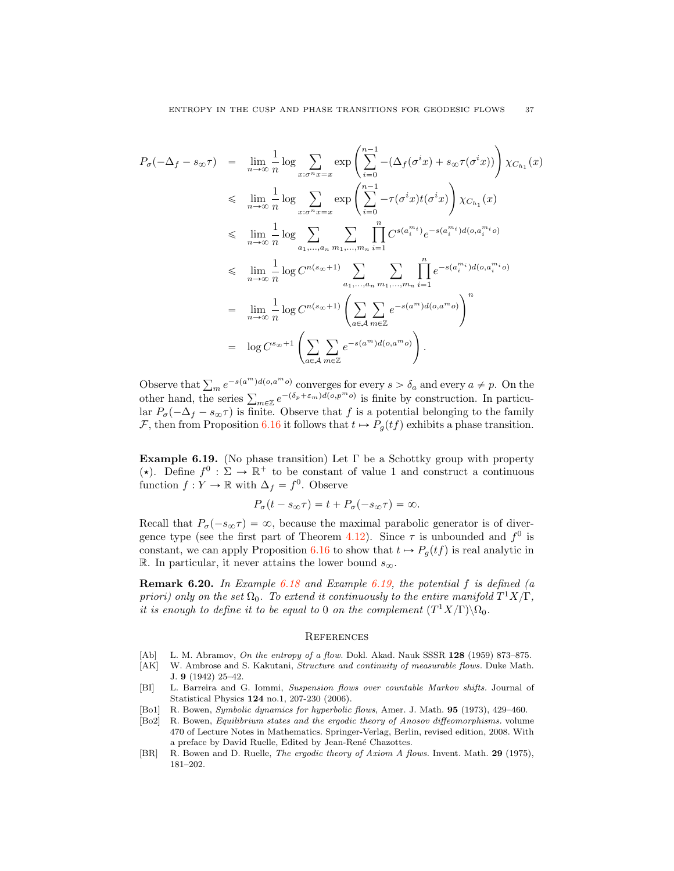$$
P_{\sigma}(-\Delta_{f} - s_{\infty}\tau) = \lim_{n \to \infty} \frac{1}{n} \log \sum_{x:\sigma^{n}x=x} \exp \left( \sum_{i=0}^{n-1} -(\Delta_{f}(\sigma^{i}x) + s_{\infty}\tau(\sigma^{i}x)) \right) \chi_{C_{h_{1}}}(x)
$$
  
\n
$$
\leq \lim_{n \to \infty} \frac{1}{n} \log \sum_{x:\sigma^{n}x=x} \exp \left( \sum_{i=0}^{n-1} -\tau(\sigma^{i}x)t(\sigma^{i}x) \right) \chi_{C_{h_{1}}}(x)
$$
  
\n
$$
\leq \lim_{n \to \infty} \frac{1}{n} \log \sum_{a_{1},...,a_{n}} \sum_{m_{1},...,m_{n}} \prod_{i=1}^{n} C^{s(a_{i}^{m_{i}})} e^{-s(a_{i}^{m_{i}})} d(\sigma, a_{i}^{m_{i}}\sigma)
$$
  
\n
$$
\leq \lim_{n \to \infty} \frac{1}{n} \log C^{n(s_{\infty}+1)} \sum_{a_{1},...,a_{n}} \sum_{m_{1},...,m_{n}} \prod_{i=1}^{n} e^{-s(a_{i}^{m_{i}})} d(\sigma, a_{i}^{m_{i}}\sigma)
$$
  
\n
$$
= \lim_{n \to \infty} \frac{1}{n} \log C^{n(s_{\infty}+1)} \left( \sum_{a \in \mathcal{A}} \sum_{m \in \mathbb{Z}} e^{-s(a^{m})} d(\sigma, a^{m} \sigma) \right)^{n}
$$
  
\n
$$
= \log C^{s_{\infty}+1} \left( \sum_{a \in \mathcal{A}} \sum_{m \in \mathbb{Z}} e^{-s(a^{m})} d(\sigma, a^{m} \sigma) \right).
$$

Observe that  $\sum_{m} e^{-s(a^m)d(o,a^m o)}$  converges for every  $s > \delta_a$  and every  $a \neq p$ . On the other hand, the series  $\sum_{m\in\mathbb{Z}} e^{-(\delta_p+\varepsilon_m)d(o,p^m o)}$  is finite by construction. In particular  $P_{\sigma}(-\Delta_f - s_{\infty}\tau)$  is finite. Observe that f is a potential belonging to the family *F*, then from Proposition 6.16 it follows that  $t \mapsto P_q(tf)$  exhibits a phase transition.

Example 6.19. (No phase transition) Let  $\Gamma$  be a Schottky group with property ( $\star$ ). Define  $f^0 : \Sigma \to \mathbb{R}^+$  to be constant of value 1 and construct a continuous function  $f: Y \to \mathbb{R}$  with  $\Delta_f = f^0$ . Observe

$$
P_{\sigma}(t - s_{\infty}\tau) = t + P_{\sigma}(-s_{\infty}\tau) = \infty.
$$

Recall that  $P_{\sigma}(-s_{\infty}\tau) = \infty$ , because the maximal parabolic generator is of divergence type (see the first part of Theorem 4.12). Since  $\tau$  is unbounded and  $f^0$  is constant, we can apply Proposition 6.16 to show that  $t \mapsto P_q(tf)$  is real analytic in R. In particular, it never attains the lower bound  $s_{\infty}$ .

**Remark 6.20.** In Example 6.18 and Example 6.19, the potential f is defined (a priori) only on the set  $\Omega_0$ . To extend it continuously to the entire manifold  $T^1X/\Gamma$ , it is enough to define it to be equal to 0 on the complement  $(T<sup>1</sup>X/\Gamma)\setminus\Omega_0$ .

## **REFERENCES**

- [Ab] L. M. Abramov, On the entropy of a flow. Dokl. Akad. Nauk SSSR 128 (1959) 873–875.
- [AK] W. Ambrose and S. Kakutani, Structure and continuity of measurable flows. Duke Math. J. 9 (1942) 25–42.
- [BI] L. Barreira and G. Iommi, Suspension flows over countable Markov shifts. Journal of Statistical Physics 124 no.1, 207-230 (2006).
- [Bo1] R. Bowen, Symbolic dynamics for hyperbolic flows, Amer. J. Math. 95 (1973), 429–460.
- [Bo2] R. Bowen, Equilibrium states and the ergodic theory of Anosov diffeomorphisms. volume 470 of Lecture Notes in Mathematics. Springer-Verlag, Berlin, revised edition, 2008. With a preface by David Ruelle, Edited by Jean-René Chazottes.
- [BR] R. Bowen and D. Ruelle, The ergodic theory of Axiom A flows. Invent. Math. 29 (1975), 181–202.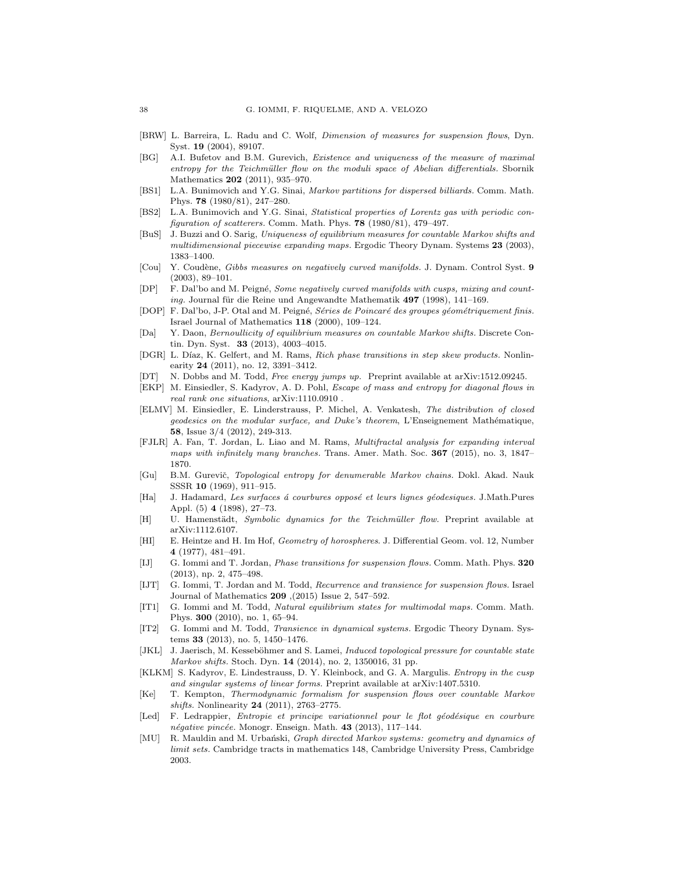- [BRW] L. Barreira, L. Radu and C. Wolf, Dimension of measures for suspension flows, Dyn. Syst. 19 (2004), 89107.
- [BG] A.I. Bufetov and B.M. Gurevich, Existence and uniqueness of the measure of maximal entropy for the Teichmüller flow on the moduli space of Abelian differentials. Sbornik Mathematics 202 (2011), 935-970.
- [BS1] L.A. Bunimovich and Y.G. Sinai, Markov partitions for dispersed billiards. Comm. Math. Phys. 78 (1980/81), 247–280.
- [BS2] L.A. Bunimovich and Y.G. Sinai, Statistical properties of Lorentz gas with periodic configuration of scatterers. Comm. Math. Phys. 78 (1980/81), 479–497.
- [BuS] J. Buzzi and O. Sarig, Uniqueness of equilibrium measures for countable Markov shifts and multidimensional piecewise expanding maps. Ergodic Theory Dynam. Systems 23 (2003), 1383–1400.
- [Cou] Y. Coudène, Gibbs measures on negatively curved manifolds. J. Dynam. Control Syst. 9 (2003), 89–101.
- [DP] F. Dal'bo and M. Peigné, Some negatively curved manifolds with cusps, mixing and counting. Journal für die Reine und Angewandte Mathematik 497 (1998), 141-169.
- [DOP] F. Dal'bo, J-P. Otal and M. Peigné, Séries de Poincaré des groupes géométriquement finis. Israel Journal of Mathematics 118 (2000), 109–124.
- [Da] Y. Daon, Bernoullicity of equilibrium measures on countable Markov shifts. Discrete Contin. Dyn. Syst. 33 (2013), 4003–4015.
- [DGR] L. Díaz, K. Gelfert, and M. Rams, Rich phase transitions in step skew products. Nonlinearity 24 (2011), no. 12, 3391–3412.
- [DT] N. Dobbs and M. Todd, Free energy jumps up. Preprint available at arXiv:1512.09245.
- [EKP] M. Einsiedler, S. Kadyrov, A. D. Pohl, Escape of mass and entropy for diagonal flows in real rank one situations, arXiv:1110.0910 .
- [ELMV] M. Einsiedler, E. Linderstrauss, P. Michel, A. Venkatesh, The distribution of closed  $geodesics$  on the modular surface, and  $Duke's$  theorem, L'Enseignement Mathématique, 58, Issue 3/4 (2012), 249-313.
- [FJLR] A. Fan, T. Jordan, L. Liao and M. Rams, Multifractal analysis for expanding interval maps with infinitely many branches. Trans. Amer. Math. Soc. 367 (2015), no. 3, 1847– 1870.
- [Gu] B.M. Gurevič, Topological entropy for denumerable Markov chains. Dokl. Akad. Nauk SSSR 10 (1969), 911–915.
- [Ha] J. Hadamard, Les surfaces á courbures opposé et leurs lignes géodesiques. J.Math.Pures Appl. (5) 4 (1898), 27–73.
- [H] U. Hamenstädt, Symbolic dynamics for the Teichmüller flow. Preprint available at arXiv:1112.6107.
- [HI] E. Heintze and H. Im Hof, Geometry of horospheres. J. Differential Geom. vol. 12, Number 4 (1977), 481–491.
- [IJ] G. Iommi and T. Jordan, Phase transitions for suspension flows. Comm. Math. Phys. 320 (2013), np. 2, 475–498.
- [IJT] G. Iommi, T. Jordan and M. Todd, Recurrence and transience for suspension flows. Israel Journal of Mathematics 209 ,(2015) Issue 2, 547–592.
- [IT1] G. Iommi and M. Todd, Natural equilibrium states for multimodal maps. Comm. Math. Phys. 300 (2010), no. 1, 65–94.
- [IT2] G. Iommi and M. Todd, Transience in dynamical systems. Ergodic Theory Dynam. Systems 33 (2013), no. 5, 1450–1476.
- [JKL] J. Jaerisch, M. Kesseböhmer and S. Lamei, *Induced topological pressure for countable state* Markov shifts. Stoch. Dyn. 14 (2014), no. 2, 1350016, 31 pp.
- [KLKM] S. Kadyrov, E. Lindestrauss, D. Y. Kleinbock, and G. A. Margulis. *Entropy in the cusp* and singular systems of linear forms. Preprint available at arXiv:1407.5310.
- [Ke] T. Kempton, Thermodynamic formalism for suspension flows over countable Markov shifts. Nonlinearity 24 (2011), 2763–2775.
- [Led] F. Ledrappier, Entropie et principe variationnel pour le flot géodésique en courbure  $n\acute{e}gative\ \, pinc\acute{e}e.$  Monogr. Enseign. Math. 43 (2013), 117–144.
- [MU] R. Mauldin and M. Urbański, Graph directed Markov systems: geometry and dynamics of limit sets. Cambridge tracts in mathematics 148, Cambridge University Press, Cambridge 2003.